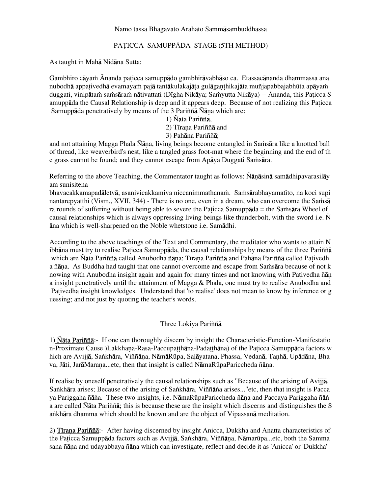### Namo tassa Bhagavato Arahato Sammåsambuddhassa

# PATICCA SAMUPPĀDA STAGE (5TH METHOD)

As taught in Mahå Nidåna Sutta:

Gambhīro cāyam Ānanda paticca samuppādo gambhīrāvabhāso ca. Etassacānanda dhammassa ana nubodhā appativedhā evamayam pajā tantākulakajāta gulāganthikajāta muñjapabbajabhūta apāyam duggati, vinipātam samsāram nātivattati (Dīgha Nikāya; Samyutta Nikāya) -- Ānanda, this Paticca S amuppāda the Causal Relationship is deep and it appears deep. Because of not realizing this Paticca Samuppāda penetratively by means of the 3 Pariññā Ñāna which are:

1) Ñåta Pariññå,

2) Tīrana Pariññā and

3) Pahåna Pariññå;

and not attaining Magga Phala Ñāṇa, living beings become entangled in Saṁsāra like a knotted ball of thread, like weaverbird's nest, like a tangled grass foot-mat where the beginning and the end of th e grass cannot be found; and they cannot escape from Apāya Duggati Samsāra.

Referring to the above Teaching, the Commentator taught as follows: Ñānāsinā samādhipavarasilāy am sunisitena

bhavacakkamapadāletvā, asanivicakkamiva niccanimmathanam. Samsārabhayamatīto, na koci supi nantarepyatthi (Vism., XVII, 344) - There is no one, even in a dream, who can overcome the Samsa ra rounds of suffering without being able to severe the Paticca Samupp $\bar{a}$ da = the Sa $\bar{a}$ ra Wheel of causal relationships which is always oppressing living beings like thunderbolt, with the sword i.e. Ñ āna which is well-sharpened on the Noble whetstone i.e. Samādhi.

According to the above teachings of the Text and Commentary, the meditator who wants to attain N ibbāna must try to realise Paticca Samuppāda, the causal relationships by means of the three Pariññā which are Ñāta Pariññā called Anubodha ñāna; Tīrana Pariññā and Pahāna Pariññā called Pativedh a ñāṇa. As Buddha had taught that one cannot overcome and escape from Saṁsāra because of not k nowing with Anubodha insight again and again for many times and not knowing with Pativedha ñān a insight penetratively until the attainment of Magga & Phala, one must try to realise Anubodha and Pativedha insight knowledges. Understand that 'to realise' does not mean to know by inference or g uessing; and not just by quoting the teacher's words.

# Three Lokiya Pariññå

1) Ñåta Pariññå:- If one can thoroughly discern by insight the Characteristic-Function-Manifestatio n-Proximate Cause )Lakkhana-Rasa-Paccupatthāna-Padatthāna) of the Paticca Samuppāda factors w hich are Avijjā, Sankhāra, Viññāna, NāmāRūpa, Salāyatana, Phassa, Vedanā, Tanhā, Upādāna, Bha va, Jāti, JarāMarana...etc, then that insight is called NāmaRūpaPariccheda ñāna.

If realise by oneself penetratively the causal relationships such as "Because of the arising of Avijjå, Sankhāra arises; Because of the arising of Sankhāra, Viññāna arises..."etc, then that insight is Pacca ya Pariggaha ñāna. These two insights, i.e. NāmaRūpaPariccheda ñāna and Paccaya Pariggaha ñān a are called Ñåta Pariññå; this is because these are the insight which discerns and distinguishes the S ankhāra dhamma which should be known and are the object of Vipassanā meditation.

2) Tirana Pariññā:- After having discerned by insight Anicca, Dukkha and Anatta characteristics of the Paticca Samuppāda factors such as Avijjā, Sankhāra, Viññāna, Nāmarūpa...etc, both the Samma sana ñāna and udayabbaya ñāna which can investigate, reflect and decide it as 'Anicca' or 'Dukkha'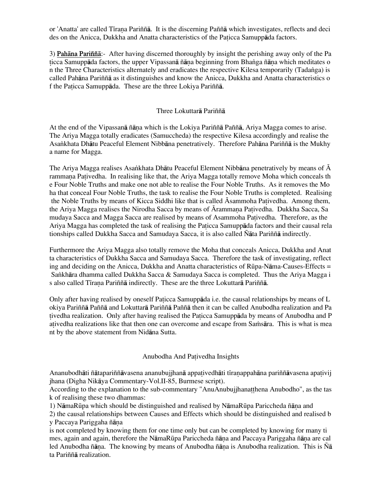or 'Anatta' are called Tīrana Pariññā. It is the discerning Paññã which investigates, reflects and deci des on the Anicca, Dukkha and Anatta characteristics of the Paticca Samuppada factors.

3) Pahåna Pariññå:- After having discerned thoroughly by insight the perishing away only of the Pa ticca Samuppāda factors, the upper Vipassanā ñāna beginning from Bhanga ñāna which meditates o n the Three Characteristics alternately and eradicates the respective Kilesa temporarily (Tadanga) is called Pahåna Pariññå as it distinguishes and know the Anicca, Dukkha and Anatta characteristics o f the Paticca Samuppāda. These are the three Lokiya Pariññā.

## Three Lokuttarå Pariññå

At the end of the Vipassana ñana which is the Lokiya Pariñña Pañña, Ariya Magga comes to arise. The Ariya Magga totally eradicates (Samuccheda) the respective Kilesa accordingly and realise the Asa∫khata Dhåtu Peaceful Element Nibbåna penetratively. Therefore Pahåna Pariññå is the Mukhy a name for Magga.

The Ariya Magga realises Asankhata Dhātu Peaceful Element Nibbāna penetratively by means of  $\overline{A}$ rammana Pativedha. In realising like that, the Ariya Magga totally remove Moha which conceals the e Four Noble Truths and make one not able to realise the Four Noble Truths. As it removes the Mo ha that conceal Four Noble Truths, the task to realise the Four Noble Truths is completed. Realising the Noble Truths by means of Kicca Siddhi like that is called  $\bar{A}$ sammoha Pativedha. Among them, the Ariya Magga realises the Nirodha Sacca by means of  $\bar{A}$ rammana Pativedha. Dukkha Sacca, Sa mudaya Sacca and Magga Sacca are realised by means of Asammoha Pativedha. Therefore, as the Ariya Magga has completed the task of realising the Paticca Samuppāda factors and their causal rela tionships called Dukkha Sacca and Samudaya Sacca, it is also called Ñåta Pariññå indirectly.

Furthermore the Ariya Magga also totally remove the Moha that conceals Anicca, Dukkha and Anat ta characteristics of Dukkha Sacca and Samudaya Sacca. Therefore the task of investigating, reflect ing and deciding on the Anicca, Dukkha and Anatta characteristics of Rūpa-Nāma-Causes-Effects = Sankhāra dhamma called Dukkha Sacca & Samudaya Sacca is completed. Thus the Ariya Magga i s also called Tīrana Pariññā indirectly. These are the three Lokuttarā Pariññā.

Only after having realised by oneself Paticca Samuppada i.e. the causal relationships by means of L okiya Pariññå Paññå and Lokuttarå Pariññå Paññå then it can be called Anubodha realization and Pa tivedha realization. Only after having realised the Paticca Samuppada by means of Anubodha and P ativedha realizations like that then one can overcome and escape from Samsara. This is what is mea nt by the above statement from Nidåna Sutta.

### Anubodha And Pativedha Insights

Ananubodhāti ñātapariññāvasena ananubujjhanā appativedhāti tīraṇappahāna pariññāvasena apativij jhana (Digha Nikåya Commentary-Vol.II-85, Burmese script).

According to the explanation to the sub-commentary "AnuAnubujjhanat thena Anubodho", as the tas k of realising these two dhammas:

1) NāmaRūpa which should be distinguished and realised by NāmaRūpa Pariccheda ñāna and

2) the causal relationships between Causes and Effects which should be distinguished and realised b y Paccaya Pariggaha ñāna

is not completed by knowing them for one time only but can be completed by knowing for many ti mes, again and again, therefore the NāmaRūpa Pariccheda ñāna and Paccaya Pariggaha ñāna are cal led Anubodha ñāna. The knowing by means of Anubodha ñāna is Anubodha realization. This is Ñā ta Pariññå realization.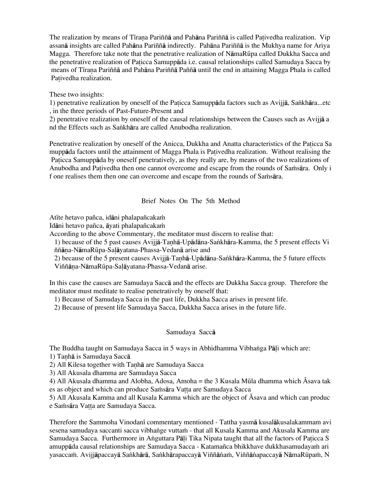The realization by means of Tirana Pariññã and Pahãna Pariññã is called Pativedha realization. Vip assanå insights are called Pahåna Pariññå indirectly. Pahåna Pariññå is the Mukhya name for Ariya Magga. Therefore take note that the penetrative realization of NåmaRËpa called Dukkha Sacca and the penetrative realization of Paticca Samuppāda i.e. causal relationships called Samudaya Sacca by means of Tīrana Pariññā and Pahāna Pariññā Paññā until the end in attaining Magga Phala is called Pativedha realization.

### These two insights:

1) penetrative realization by oneself of the Paticca Samuppāda factors such as Avijjā, Sankhāra...etc , in the three periods of Past-Future-Present and

2) penetrative realization by oneself of the causal relationships between the Causes such as Avijjå a nd the Effects such as Sankhāra are called Anubodha realization.

Penetrative realization by oneself of the Anicca, Dukkha and Anatta characteristics of the Paticca Sa muppāda factors until the attainment of Magga Phala is Pativedha realization. Without realising the Paticca Samuppāda by oneself penetratively, as they really are, by means of the two realizations of Anubodha and Pativedha then one cannot overcome and escape from the rounds of Samsara. Only i f one realises them then one can overcome and escape from the rounds of Samisara.

## Brief Notes On The 5th Method

Atīte hetavo pañca, idāni phalapañcakam

Idāni hetavo pañca, āyati phalapañcakam

According to the above Commentary, the meditator must discern to realise that:

1) because of the 5 past causes Avijjā-Tanhā-Upādāna-Sankhāra-Kamma, the 5 present effects Vi ññāna-NāmaRūpa-Salāyatana-Phassa-Vedanā arise and

2) because of the 5 present causes Avijjā-Taṇhā-Upādāna-Saṅkhāra-Kamma, the 5 future effects

Viññāna-NāmaRūpa-Saļāyatana-Phassa-Vedanā arise.

In this case the causes are Samudaya Saccå and the effects are Dukkha Sacca group. Therefore the meditator must meditate to realise penetratively by oneself that:

1) Because of Samudaya Sacca in the past life, Dukkha Sacca arises in present life.

2) Because of present life Samudaya Sacca, Dukkha Sacca arises in the future life.

### Samudaya Saccå

The Buddha taught on Samudaya Sacca in 5 ways in Abhidhamma Vibhanga Pāli which are:

1) Tanhā is Samudaya Saccā

2) All Kilesa together with Tanha are Samudaya Sacca

3) All Akusala dhamma are Samudaya Sacca

4) All Akusala dhamma and Alobha, Adosa, Amoha = the 3 Kusala Mūla dhamma which  $\overline{A}$ sava tak es as object and which can produce Samsara Vatta are Samudaya Sacca

5) All Akusala Kamma and all Kusala Kamma which are the object of  $\overline{A}$ sava and which can produc e Samsara Vatta are Samudaya Sacca.

Therefore the Sammoha Vinodani commentary mentioned - Tattha yasma kusalakusalakammam avi sesena samudaya saccanti sacca vibhange vuttam - that all Kusala Kamma and Akusala Kamma are Samudaya Sacca. Furthermore in Anguttara Pāli Tika Nipata taught that all the factors of Paticca S amuppāda causal relationships are Samudaya Sacca - Katamañca bhikkhave dukkhasamudayam ari yasaccam. Avijjāpaccayā Sankhārā, Sankhārapaccayā Viññānam, Viññānapaccayā NāmaRūpam, N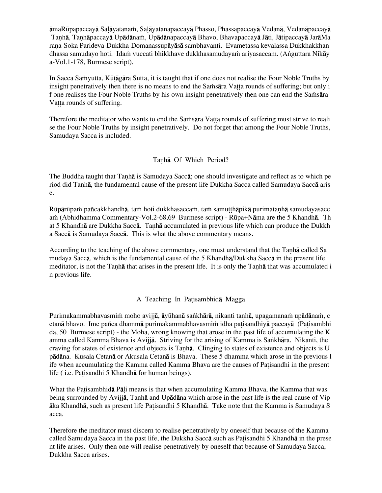āmaRūpapaccayā Salāyatanan, Salāyatanapaccayā Phasso, Phassapaccayā Vedanā, Vedanāpaccayā Tanhā, Tanhāpaccayā Upādānam, Upādānapaccayā Bhavo, Bhavapaccayā Jāti, Jātipaccayā JarāMa rana-Soka Parideva-Dukkha-Domanassupāyāsā sambhavanti. Evametassa kevalassa Dukkhakkhan dhassa samudayo hoti. Idam vuccati bhikkhave dukkhasamudayam ariyasaccam. (Anguttara Nikāy a-Vol.1-178, Burmese script).

In Sacca Samyutta, Kūtāgāra Sutta, it is taught that if one does not realise the Four Noble Truths by insight penetratively then there is no means to end the Samsara Vatta rounds of suffering; but only i f one realises the Four Noble Truths by his own insight penetratively then one can end the Samesara Vatta rounds of suffering.

Therefore the meditator who wants to end the Samsara Vatta rounds of suffering must strive to reali se the Four Noble Truths by insight penetratively. Do not forget that among the Four Noble Truths, Samudaya Sacca is included.

## Tanhā Of Which Period?

The Buddha taught that Tanha is Samudaya Sacca; one should investigate and reflect as to which pe riod did Tanhā, the fundamental cause of the present life Dukkha Sacca called Samudaya Saccā aris e.

Rūpārūpam pañcakkhandhā, tam hoti dukkhasaccam, tam samutthāpikā purimatanhā samudayasacc am (Abhidhamma Commentary-Vol.2-68,69 Burmese script) - Rūpa+Nāma are the 5 Khandhā. Th at 5 Khandhā are Dukkha Saccā. Tanhā accumulated in previous life which can produce the Dukkh a Saccå is Samudaya Saccå. This is what the above commentary means.

According to the teaching of the above commentary, one must understand that the Tanha called Sa mudaya Saccå, which is the fundamental cause of the 5 Khandhå/Dukkha Saccå in the present life meditator, is not the Tanhā that arises in the present life. It is only the Tanhā that was accumulated i n previous life.

# A Teaching In Patisambhida Magga

Purimakammabhavasmim moho avijjā, āyūhanā saṅkhārā, nikanti tanhā, upagamanaṁ upādānaṁ, c etanā bhavo. Ime pañca dhammā purimakammabhavasmim idha patisandhiyā paccayā (Patisambhi da, 50 Burmese script) - the Moha, wrong knowing that arose in the past life of accumulating the K amma called Kamma Bhava is Avijjā. Striving for the arising of Kamma is Sankhāra. Nikanti, the craving for states of existence and objects is Tanhā. Clinging to states of existence and objects is U pådåna. Kusala Cetanå or Akusala Cetanå is Bhava. These 5 dhamma which arose in the previous l ife when accumulating the Kamma called Kamma Bhava are the causes of Patisandhi in the present life ( i.e. Patisandhi 5 Khandhā for human beings).

What the Patisambhida Pali means is that when accumulating Kamma Bhava, the Kamma that was being surrounded by Avijia, Tanhã and Upãdãna which arose in the past life is the real cause of Vip åka Khandhå, such as present life Pa isandhi 5 Khandhå. Take note that the Kamma is Samudaya S acca.

Therefore the meditator must discern to realise penetratively by oneself that because of the Kamma called Samudaya Sacca in the past life, the Dukkha Sacca such as Patisandhi 5 Khandha in the prese nt life arises. Only then one will realise penetratively by oneself that because of Samudaya Sacca, Dukkha Sacca arises.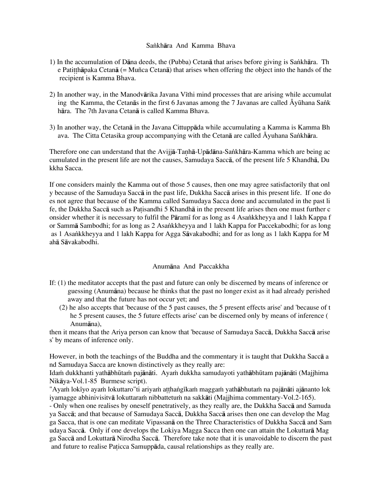### Sankhāra And Kamma Bhava

- 1) In the accumulation of Dāna deeds, the (Pubba) Cetanā that arises before giving is Sankhāra. Th e Patitth $\bar{a}$ paka Cetan $\bar{a}$  (= Muñca Cetan $\bar{a}$ ) that arises when offering the object into the hands of the recipient is Kamma Bhava.
- 2) In another way, in the Manodvārika Javana Vīthi mind processes that are arising while accumulat ing the Kamma, the Cetan $\bar{a}$ s in the first 6 Javanas among the 7 Javanas are called Āyūhana Sank håra. The 7th Javana Cetanå is called Kamma Bhava.
- 3) In another way, the Cetanå in the Javana Cittuppåda while accumulating a Kamma is Kamma Bh ava. The Citta Cetasika group accompanying with the Cetana are called Áyuhana Sankhara.

Therefore one can understand that the Avijjā-Tanhā-Upādāna-Sankhāra-Kamma which are being ac cumulated in the present life are not the causes, Samudaya Saccå, of the present life 5 Khandhå, Du kkha Sacca.

If one considers mainly the Kamma out of those 5 causes, then one may agree satisfactorily that onl y because of the Samudaya Saccå in the past life, Dukkha Saccå arises in this present life. If one do es not agree that because of the Kamma called Samudaya Sacca done and accumulated in the past li fe, the Dukkha Sacca such as Patisandhi 5 Khandha in the present life arises then one must further c onsider whether it is necessary to fulfil the Pāramī for as long as 4 Asankkheyya and 1 lakh Kappa f or Sammā Sambodhi; for as long as 2 Asankkheyya and 1 lakh Kappa for Paccekabodhi; for as long as 1 Asankkheyya and 1 lakh Kappa for Agga Sāvakabodhi; and for as long as 1 lakh Kappa for M ahå Såvakabodhi.

# Anumåna And Paccakkha

- If: (1) the meditator accepts that the past and future can only be discerned by means of inference or guessing (Anumåna) because he thinks that the past no longer exist as it had already perished away and that the future has not occur yet; and
	- (2) he also accepts that 'because of the 5 past causes, the 5 present effects arise' and 'because of t he 5 present causes, the 5 future effects arise' can be discerned only by means of inference ( Anumåna),

then it means that the Ariya person can know that 'because of Samudaya Saccå, Dukkha Saccå arise s' by means of inference only.

However, in both the teachings of the Buddha and the commentary it is taught that Dukkha Saccå a nd Samudaya Sacca are known distinctively as they really are:

Idam dukkhanti yathābhūtam pajānāti. Ayam dukkha samudayoti yathābhūtam pajānāti (Majjhima Nikåya-Vol.1-85 Burmese script).

"Ayam lokīyo ayam lokuttaro"ti ariyam atthangīkam maggam yathābhutam na pajānāti ajānanto lok iyamagge abhinivisitvā lokuttaram nibbattetum na sakkāti (Majjhima commentary-Vol.2-165).

- Only when one realises by oneself penetratively, as they really are, the Dukkha Saccå and Samuda ya Saccå; and that because of Samudaya Saccå, Dukkha Saccå arises then one can develop the Mag ga Sacca, that is one can meditate Vipassanå on the Three Characteristics of Dukkha Saccå and Sam udaya Saccå. Only if one develops the Lokiya Magga Sacca then one can attain the Lokuttarå Mag ga Saccå and Lokuttarå Nirodha Saccå. Therefore take note that it is unavoidable to discern the past and future to realise Paticca Samuppāda, causal relationships as they really are.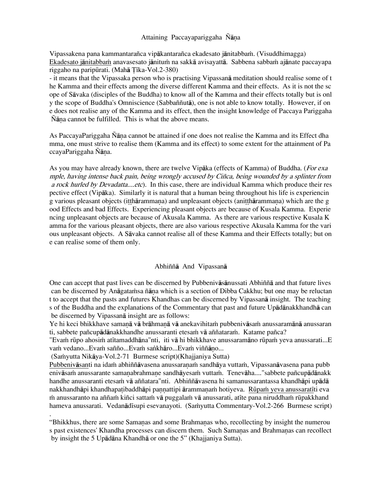### Attaining Paccayapariggaha Ñāna

Vipassakena pana kammantarañca vipākantarañca ekadesato jānitabbam. (Visuddhimagga) Ekadesato jānitabbam anavasesato jānitum na sakkā avisayattā. Sabbena sabbam ajānate paccayapa riggaho na paripūrati. (Mahā Tīka-Vol.2-380)

- it means that the Vipassaka person who is practising Vipassanå meditation should realise some of t he Kamma and their effects among the diverse different Kamma and their effects. As it is not the sc ope of Såvaka (disciples of the Buddha) to know all of the Kamma and their effects totally but is onl y the scope of Buddha's Omniscience (Sabbaññutå), one is not able to know totally. However, if on e does not realise any of the Kamma and its effect, then the insight knowledge of Paccaya Pariggaha Ñāna cannot be fulfilled. This is what the above means.

As PaccayaPariggaha Ñāna cannot be attained if one does not realise the Kamma and its Effect dha mma, one must strive to realise them (Kamma and its effect) to some extent for the attainment of Pa ccayaPariggaha Ñāna.

As you may have already known, there are twelve Vipaka (effects of Kamma) of Buddha. (*For exa* mple, having intense back pain, being wrongly accused by Ciñca, being wounded by a splinter from a rock hurled by Devadatta....etc). In this case, there are individual Kamma which produce their res pective effect (Vipåka). Similarly it is natural that a human being throughout his life is experiencin g various pleasant objects (itthārammana) and unpleasant objects (anitthārammana) which are the g ood Effects and bad Effects. Experiencing pleasant objects are because of Kusala Kamma. Experie ncing unpleasant objects are because of Akusala Kamma. As there are various respective Kusala K amma for the various pleasant objects, there are also various respective Akusala Kamma for the vari ous unpleasant objects. A Såvaka cannot realise all of these Kamma and their Effects totally; but on e can realise some of them only.

### Abhiññå And Vipassanå

One can accept that past lives can be discerned by Pubbenivåsånussati Abhiññå and that future lives can be discerned by Anāgatañsa ñāna which is a section of Dibba Cakkhu; but one may be reluctan t to accept that the pasts and futures Khandhas can be discerned by Vipassanå insight. The teaching s of the Buddha and the explanations of the Commentary that past and future Upådånakkhandhå can be discerned by Vipassanå insight are as follows:

Ye hi keci bhikkhave samanā vā brāhmanā vā anekavihitam pubbenivāsam anussaramānā anussaran ti, sabbete pañcupādānakkhandhe anussaranti etesam vā aññataram. Katame pañca?

"Evam rūpo ahosim atītamaddhāna"nti, iti vā hi bhikkhave anussaramāno rūpam yeva anussarati...E vam vedano...Evam sañño...Evam sankhāro...Evam viññāno...

(Samyutta Nikāya-Vol.2-71 Burmese script) (Khajjaniya Sutta)

Pubbenivāsanti na idam abhiññāvasena anussaranam sandhāya vuttam, Vipassanāvasena pana pubb enivāsam anussarante samaṇabrahmaṇe sandhāyesaṁ vuttaṁ. Tenevāha...."sabbete pañcupādānakk handhe anussaranti etesam vā aññatara "nti. Abhiññāvasena hi samanussarantassa khandhāpi upādā nakkhandhāpi khandhapa tibaddhāpi pannattipi ārammanam hotiyeva. Rūpam yeva anussaratīti eva m anussaranto na aññam kiñci sattam vā puggalam vā anussarati, atīte pana niruddham rūpakkhand hameva anussarati. Vedanādīsupi esevanayoti. (Samyutta Commentary-Vol.2-266 Burmese script) .

"Bhikkhus, there are some Samanas and some Brahmanas who, recollecting by insight the numerou s past existences' Khandha processes can discern them. Such Samanas and Brahmanas can recollect by insight the 5 Upådåna Khandhå or one the 5" (Khajjaniya Sutta).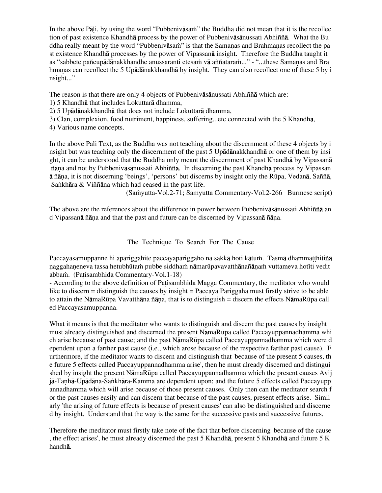In the above Pāļi, by using the word "Pubbenivāsam" the Buddha did not mean that it is the recollec tion of past existence Khandhå process by the power of Pubbenivåsånussati Abhiññå. What the Bu ddha really meant by the word "Pubbenivāsam" is that the Samanas and Brahmanas recollect the pa st existence Khandhå processes by the power of Vipassanå insight. Therefore the Buddha taught it as "sabbete pañcupādānakkhandhe anussaranti etesam vā aññataram..." - "...these Samaṇas and Bra hmanas can recollect the 5 Upādānakkhandhā by insight. They can also recollect one of these 5 by i nsight..."

The reason is that there are only 4 objects of Pubbenivåsånussati Abhiññå which are:

- 1) 5 Khandhå that includes Lokuttarå dhamma,
- 2) 5 Upådånakkhandhå that does not include Lokuttarå dhamma,
- 3) Clan, complexion, food nutriment, happiness, suffering...etc connected with the 5 Khandhå,
- 4) Various name concepts.

In the above Pali Text, as the Buddha was not teaching about the discernment of these 4 objects by i nsight but was teaching only the discernment of the past 5 Upådånakkhandhå or one of them by insi ght, it can be understood that the Buddha only meant the discernment of past Khandhå by Vipassanå ñåˆa and not by Pubbenivåsånussati Abhiññå. In discerning the past Khandhå process by Vipassan å ñåˆa, it is not discerning 'beings', 'persons' but discerns by insight only the RËpa, Vedanå, Saññå, Sankhāra  $&$  Viññāna which had ceased in the past life.

(Samyutta-Vol.2-71; Samyutta Commentary-Vol.2-266 Burmese script)

The above are the references about the difference in power between Pubbenivåsånussati Abhiññå an d Vipassanā ñāna and that the past and future can be discerned by Vipassanā ñāna.

The Technique To Search For The Cause

Paccayasamuppanne hi apariggahite paccayapariggaho na sakkā hoti kātum. Tasmā dhammatthitiñā naggahaneneva tassa hetubhūtam pubbe siddham nāmarūpavavatthānañānam vuttameva hotīti vedit abbam. (Patisambhida Commentary-Vol.1-18)

- According to the above definition of Patisambhida Magga Commentary, the meditator who would like to discern = distinguish the causes by insight = Paccaya Pariggaha must firstly strive to be able to attain the NāmaRūpa Vavatthāna ñāna, that is to distinguish = discern the effects NāmaRūpa call ed Paccayasamuppanna.

What it means is that the meditator who wants to distinguish and discern the past causes by insight must already distinguished and discerned the present NåmaRËpa called Paccayuppannadhamma whi ch arise because of past cause; and the past NåmaRËpa called Paccayuppannadhamma which were d ependent upon a farther past cause (i.e., which arose because of the respective farther past cause). F urthermore, if the meditator wants to discern and distinguish that 'because of the present 5 causes, th e future 5 effects called Paccayuppannadhamma arise', then he must already discerned and distingui shed by insight the present NāmaRūpa called Paccayuppannadhamma which the present causes Avij jā-Tanhā-Upādāna-Sankhāra-Kamma are dependent upon; and the future 5 effects called Paccayupp annadhamma which will arise because of those present causes. Only then can the meditator search f or the past causes easily and can discern that because of the past causes, present effects arise. Simil arly 'the arising of future effects is because of present causes' can also be distinguished and discerne d by insight. Understand that the way is the same for the successive pasts and successive futures.

Therefore the meditator must firstly take note of the fact that before discerning 'because of the cause , the effect arises', he must already discerned the past 5 Khandhå, present 5 Khandhå and future 5 K handhå.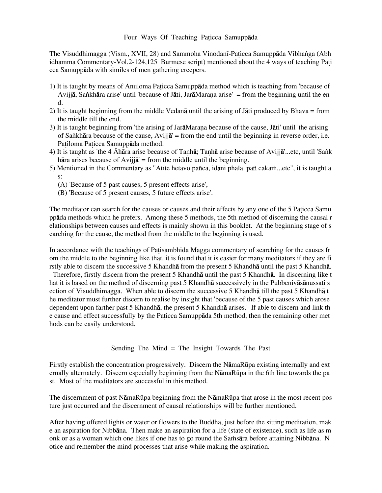## Four Ways Of Teaching Paticca Samuppāda

The Visuddhimagga (Vism., XVII, 28) and Sammoha Vinodanī-Paticca Samuppāda Vibhanga (Abh idhamma Commentary-Vol.2-124,125 Burmese script) mentioned about the 4 ways of teaching Pati cca Samuppåda with similes of men gathering creepers.

- 1) It is taught by means of Anuloma Paticca Samuppada method which is teaching from 'because of Avijjā, Sankhāra arise' until 'because of Jāti, JarāMarana arise' = from the beginning until the en d.
- 2) It is taught beginning from the middle Vedanå until the arising of Jåti produced by Bhava = from the middle till the end.
- 3) It is taught beginning from 'the arising of JarāMarana because of the cause, Jāti' until 'the arising of Sankhāra because of the cause, Avijjā' = from the end until the beginning in reverse order, i.e. Patiloma Paticca Samuppāda method.
- 4) It is taught as 'the 4 Åhāra arise because of Tanhā; Tanhā arise because of Avijjā'...etc, until 'Sank håra arises because of Avijjå' = from the middle until the beginning.
- 5) Mentioned in the Commentary as "Atīte hetavo pañca, idāni phala pañ cakam...etc", it is taught a s:
	- (A) 'Because of 5 past causes, 5 present effects arise',
	- (B) 'Because of 5 present causes, 5 future effects arise'.

The meditator can search for the causes or causes and their effects by any one of the 5 Paticca Samu ppåda methods which he prefers. Among these 5 methods, the 5th method of discerning the causal r elationships between causes and effects is mainly shown in this booklet. At the beginning stage of s earching for the cause, the method from the middle to the beginning is used.

In accordance with the teachings of Patisambhida Magga commentary of searching for the causes fr om the middle to the beginning like that, it is found that it is easier for many meditators if they are fi rstly able to discern the successive 5 Khandhå from the present 5 Khandhå until the past 5 Khandhå.

 Therefore, firstly discern from the present 5 Khandhå until the past 5 Khandhå. In discerning like t hat it is based on the method of discerning past 5 Khandhå successively in the Pubbenivåsånussati s ection of Visuddhimagga. When able to discern the successive 5 Khandhå till the past 5 Khandhå t he meditator must further discern to realise by insight that 'because of the 5 past causes which arose dependent upon farther past 5 Khandhå, the present 5 Khandhå arises.' If able to discern and link th e cause and effect successfully by the Pa icca Samuppåda 5th method, then the remaining other met hods can be easily understood.

Sending The Mind = The Insight Towards The Past

Firstly establish the concentration progressively. Discern the NåmaRËpa existing internally and ext ernally alternately. Discern especially beginning from the NāmaRūpa in the 6th line towards the pa st. Most of the meditators are successful in this method.

The discernment of past NåmaRËpa beginning from the NåmaRËpa that arose in the most recent pos ture just occurred and the discernment of causal relationships will be further mentioned.

After having offered lights or water or flowers to the Buddha, just before the sitting meditation, mak e an aspiration for Nibbåna. Then make an aspiration for a life (state of existence), such as life as m onk or as a woman which one likes if one has to go round the Samsara before attaining Nibbana. N otice and remember the mind processes that arise while making the aspiration.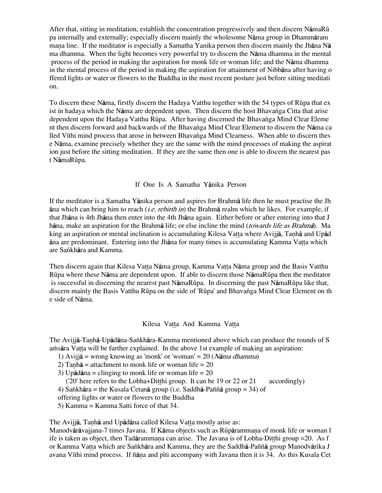After that, sitting in meditation, establish the concentration progressively and then discern NåmaRË pa internally and externally; especially discern mainly the wholesome Nåma group in Dhammåram mana line. If the meditator is especially a Samatha Yanika person then discern mainly the Jhāna Nā ma dhamma. When the light becomes very powerful try to discern the Nåma dhamma in the mental process of the period in making the aspiration for monk life or woman life; and the Nåma dhamma in the mental process of the period in making the aspiration for attainment of Nibbåna after having o ffered lights or water or flowers to the Buddha in the most recent posture just before sitting meditati on.

To discern these Nåma, firstly discern the Hadaya Vatthu together with the 54 types of RËpa that ex ist in hadaya which the Nāma are dependent upon. Then discern the host Bhavanga Citta that arise dependent upon the Hadaya Vatthu Rūpa. After having discerned the Bhavanga Mind Clear Eleme nt then discern forward and backwards of the Bhavanga Mind Clear Element to discern the Nāma ca lled Vīthi mind process that arose in between Bhavanga Mind Clearness. When able to discern thes e Nåma, examine precisely whether they are the same with the mind processes of making the aspirat ion just before the sitting meditation. If they are the same then one is able to discern the nearest pas t NåmaRËpa.

### If One Is A Samatha Yånika Person

If the meditator is a Samatha Yånika person and aspires for Brahmå life then he must practise the Jh  $\bar{a}$ na which can bring him to reach (*i.e. rebirth in*) the Brahma realm which he likes. For example, if that Jhåna is 4th Jhåna then enter into the 4th Jhåna again. Either before or after entering into that J hāna, make an aspiration for the Brahmā life; or else incline the mind (towards life as Brahmā). Ma king an aspiration or mental inclination is accumulating Kilesa Vatta where Avijja, Tanhā and Upād  $\bar{a}$ na are predominant. Entering into the Jh $\bar{a}$ na for many times is accumulating Kamma Vatta which are Sankhāra and Kamma.

Then discern again that Kilesa Vatta Nāma group, Kamma Vatta Nāma group and the Basis Vatthu RËpa where these Nåma are dependent upon. If able to discern those NåmaRËpa then the meditator is successful in discerning the nearest past NåmaRËpa. In discerning the past NåmaRËpa like that, discern mainly the Basis Vatthu Rūpa on the side of 'Rūpa' and Bhavanga Mind Clear Element on th e side of Nåma.

#### Kilesa Vatta And Kamma Vatta

The Avijjā-Tanhā-Upādāna-Sankhāra-Kamma mentioned above which can produce the rounds of S amsara Vatta will be further explained. In the above 1st example of making an aspiration:

- 1) Avijj $\bar{a}$  = wrong knowing as 'monk' or 'woman' = 20 (*Nāma dhamma*)
- 2) Tanh $\bar{a}$  = attachment to monk life or woman life = 20
- 3) Up $\bar{a}$ dana = clinging to monk life or woman life = 20

( $20'$  here refers to the Lobha+Ditthi group. It can be 19 or 22 or 21 accordingly)

4) Sankhāra = the Kusala Cetanā group (i.e. Saddhā-Paññā group = 34) of

offering lights or water or flowers to the Buddha

5) Kamma = Kamma Satti force of that 34.

The Avijjā, Tanhā and Upādāna called Kilesa Vatta mostly arise as:

Manodvārāvajjana-7 times Javana. If Kāma objects such as Rūpārammana of monk life or woman l ife is taken as object, then Tadārammana can arise. The Javana is of Lobha-Ditthi group = 20. As f or Kamma Vatta which are Sankhāra and Kamma, they are the Saddhā-Paññā group Manodvārika J avana Vīthi mind process. If ñāna and pīti accompany with Javana then it is 34. As this Kusala Cet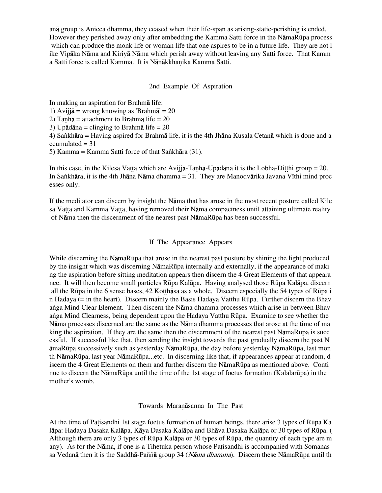anå group is Anicca dhamma, they ceased when their life-span as arising-static-perishing is ended. However they perished away only after embedding the Kamma Satti force in the NåmaRËpa process which can produce the monk life or woman life that one aspires to be in a future life. They are not l ike Vipåka Nåma and Kiriyå Nåma which perish away without leaving any Satti force. That Kamm a Satti force is called Kamma. It is Nānākkhanika Kamma Satti.

### 2nd Example Of Aspiration

In making an aspiration for Brahmå life:

1) Avijjå = wrong knowing as 'Brahmå' = 20

2) Tanhā = attachment to Brahmā life =  $20$ 

3) Upådåna = clinging to Brahmå life = 20

4) Sa∫khåra = Having aspired for Brahmå life, it is the 4th Jhåna Kusala Cetanå which is done and a  $ccumulated =  $31$$ 

5) Kamma = Kamma Satti force of that Sankhāra  $(31)$ .

In this case, in the Kilesa Vatta which are Avijia-Tanha-Upadana it is the Lobha-Ditthi group = 20. In Sankhāra, it is the 4th Jhāna Nāma dhamma = 31. They are Manodvārika Javana Vīthi mind proc esses only.

If the meditator can discern by insight the Nåma that has arose in the most recent posture called Kile sa Vatta and Kamma Vatta, having removed their Nāma compactness until attaining ultimate reality of Nåma then the discernment of the nearest past NåmaRËpa has been successful.

### If The Appearance Appears

While discerning the NåmaRËpa that arose in the nearest past posture by shining the light produced by the insight which was discerning NāmaRūpa internally and externally, if the appearance of maki ng the aspiration before sitting meditation appears then discern the 4 Great Elements of that appeara nce. It will then become small particles RËpa Kalåpa. Having analysed those RËpa Kalåpa, discern all the Rūpa in the 6 sense bases, 42 Kotthasa as a whole. Discern especially the 54 types of Rūpa i n Hadaya (= in the heart). Discern mainly the Basis Hadaya Vatthu RËpa. Further discern the Bhav a∫ga Mind Clear Element. Then discern the Nåma dhamma processes which arise in between Bhav a∫ga Mind Clearness, being dependent upon the Hadaya Vatthu RËpa. Examine to see whether the Nåma processes discerned are the same as the Nåma dhamma processes that arose at the time of ma king the aspiration. If they are the same then the discernment of the nearest past NāmaRūpa is succ essful. If successful like that, then sending the insight towards the past gradually discern the past N åmaRËpa successively such as yesterday NåmaRËpa, the day before yesterday NåmaRËpa, last mon th NåmaRËpa, last year NåmaRËpa...etc. In discerning like that, if appearances appear at random, d iscern the 4 Great Elements on them and further discern the NamaRūpa as mentioned above. Conti nue to discern the NāmaRūpa until the time of the 1st stage of foetus formation (Kalalarūpa) in the mother's womb.

### Towards Maranāsanna In The Past

At the time of Patisandhi 1st stage foetus formation of human beings, there arise 3 types of Rūpa Ka låpa: Hadaya Dasaka Kalåpa, Kåya Dasaka Kalåpa and Bhåva Dasaka Kalåpa or 30 types of RËpa. ( Although there are only 3 types of RËpa Kalåpa or 30 types of RËpa, the quantity of each type are m any). As for the Nāma, if one is a Tihetuka person whose Patisandhi is accompanied with Somanas sa Vedanā then it is the Saddhā-Paññā group 34 (Nāma dhamma). Discern these NāmaRūpa until th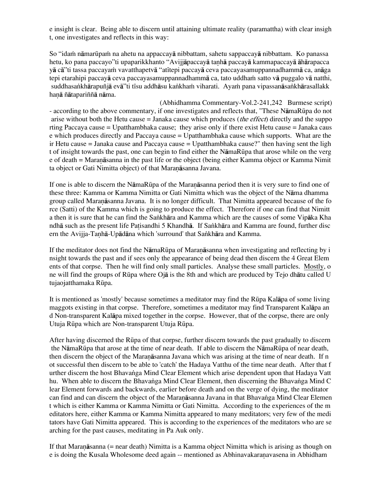e insight is clear. Being able to discern until attaining ultimate reality (paramattha) with clear insigh t, one investigates and reflects in this way:

So "idam nāmarūpam na ahetu na appaccayā nibbattam, sahetu sappaccayā nibbattam. Ko panassa hetu, ko pana paccayo"ti upaparikkhanto "Avijjāpaccayā tanhā paccayā kammapaccayā āhārapacca yā cā"ti tassa paccayam vavatthapetvā "atītepi paccayā ceva paccayasamuppannadhammā ca, anāga tepi etarahipi paccayā ceva paccayasamuppannadhammā ca, tato uddham satto vā puggalo vā natthi, suddhasankhārapuñjā evā"ti tīsu addhāsu kankham viharati. Ayam pana vipassanāsankhārasallakk hanā ñātapariññā nāma.

(Abhidhamma Commentary-Vol.2-241,242 Burmese script) - according to the above commentary, if one investigates and reflects that, "These NåmaRËpa do not arise without both the Hetu cause = Janaka cause which produces (*the effect*) directly and the suppo rting Paccaya cause = Upatthambhaka cause; they arise only if there exist Hetu cause = Janaka caus e which produces directly and Paccaya cause = Upatthambhaka cause which supports. What are the ir Hetu cause = Janaka cause and Paccaya cause = Upatthambhaka cause?" then having sent the ligh t of insight towards the past, one can begin to find either the NåmaRËpa that arose while on the verg e of death = Maranāsanna in the past life or the object (being either Kamma object or Kamma Nimit ta object or Gati Nimitta object) of that Maranāsanna Javana.

If one is able to discern the NāmaRūpa of the Maranāsanna period then it is very sure to find one of these three: Kamma or Kamma Nimitta or Gati Nimitta which was the object of the Nåma dhamma group called Maranāsanna Javana. It is no longer difficult. That Nimitta appeared because of the fo rce (Satti) of the Kamma which is going to produce the effect. Therefore if one can find that Nimitt a then it is sure that he can find the Sankhāra and Kamma which are the causes of some Vipāka Kha ndhā such as the present life Patisandhi 5 Khandhā. If Sankhāra and Kamma are found, further disc ern the Avijja-Tanhā-Upādāna which 'surround' that Sankhāra and Kamma.

If the meditator does not find the NāmaRūpa of Maranāsanna when investigating and reflecting by i nsight towards the past and if sees only the appearance of being dead then discern the 4 Great Elem ents of that corpse. Then he will find only small particles. Analyse these small particles. Mostly, o ne will find the groups of RËpa where Ojå is the 8th and which are produced by Tejo dhåtu called U tujaojatthamaka Rūpa.

It is mentioned as 'mostly' because sometimes a meditator may find the RËpa Kalåpa of some living maggots existing in that corpse. Therefore, sometimes a meditator may find Transparent Kalåpa an d Non-transparent Kalåpa mixed together in the corpse. However, that of the corpse, there are only Utuja Rūpa which are Non-transparent Utuja Rūpa.

After having discerned the RËpa of that corpse, further discern towards the past gradually to discern the NåmaRËpa that arose at the time of near death. If able to discern the NåmaRËpa of near death, then discern the object of the Maranasanna Javana which was arising at the time of near death. If n ot successful then discern to be able to 'catch' the Hadaya Vatthu of the time near death. After that f urther discern the host Bhavanga Mind Clear Element which arise dependent upon that Hadaya Vatt hu. When able to discern the Bhavanga Mind Clear Element, then discerning the Bhavanga Mind C lear Element forwards and backwards, earlier before death and on the verge of dying, the meditator can find and can discern the object of the Maranāsanna Javana in that Bhavanga Mind Clear Elemen t which is either Kamma or Kamma Nimitta or Gati Nimitta. According to the experiences of the m editators here, either Kamma or Kamma Nimitta appeared to many meditators; very few of the medi tators have Gati Nimitta appeared. This is according to the experiences of the meditators who are se arching for the past causes, meditating in Pa Auk only.

If that Maranāsanna (= near death) Nimitta is a Kamma object Nimitta which is arising as though on e is doing the Kusala Wholesome deed again -- mentioned as Abhinavakaranavasena in Abhidham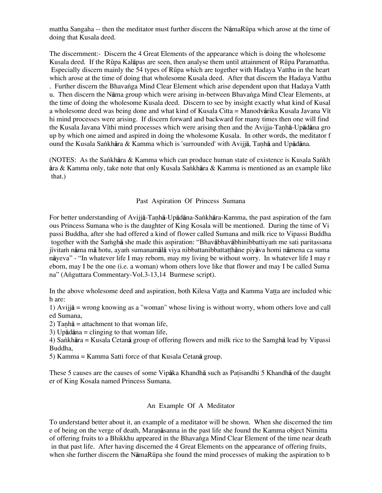mattha Sangaha -- then the meditator must further discern the NåmaRËpa which arose at the time of doing that Kusala deed.

The discernment:- Discern the 4 Great Elements of the appearance which is doing the wholesome Kusala deed. If the RËpa Kalåpas are seen, then analyse them until attainment of RËpa Paramattha. Especially discern mainly the 54 types of RËpa which are together with Hadaya Vatthu in the heart which arose at the time of doing that wholesome Kusala deed. After that discern the Hadaya Vatthu . Further discern the Bhavanga Mind Clear Element which arise dependent upon that Hadaya Vatth u. Then discern the Nāma group which were arising in-between Bhavanga Mind Clear Elements, at the time of doing the wholesome Kusala deed. Discern to see by insight exactly what kind of Kusal a wholesome deed was being done and what kind of Kusala Citta = Manodvārika Kusala Javana Vīt hi mind processes were arising. If discern forward and backward for many times then one will find the Kusala Javana Vīthi mind processes which were arising then and the Avijja-Tanhā-Upādāna gro up by which one aimed and aspired in doing the wholesome Kusala. In other words, the meditator f ound the Kusala Sankhāra & Kamma which is 'surrounded' with Avijjā, Tanhā and Upādāna.

(NOTES: As the Sankhāra & Kamma which can produce human state of existence is Kusala Sankh åra & Kamma only, take note that only Kusala Sa∫khåra & Kamma is mentioned as an example like that.)

#### Past Aspiration Of Princess Sumana

For better understanding of Avijjā-Tanhā-Upādāna-Sankhāra-Kamma, the past aspiration of the fam ous Princess Sumana who is the daughter of King Kosala will be mentioned. During the time of Vi passi Buddha, after she had offered a kind of flower called Sumana and milk rice to Vipassi Buddha together with the Samgha she made this aspiration: "Bhavabhavabhinibbattiyam me sati paritassana jīvitam nāma mā hotu, ayam sumanamālā viya nibbattanibbatta thāne piyāva homi nāmena ca suma nåyeva" - "In whatever life I may reborn, may my living be without worry. In whatever life I may r eborn, may I be the one (i.e. a woman) whom others love like that flower and may I be called Suma na" (Anguttara Commentary-Vol.3-13,14 Burmese script).

In the above wholesome deed and aspiration, both Kilesa Vatta and Kamma Vatta are included whic h are:

1) Avijjå = wrong knowing as a "woman" whose living is without worry, whom others love and call ed Sumana,

2) Tanh $\bar{a}$  = attachment to that woman life,

3) Upådåna = clinging to that woman life,

4) Sankhāra = Kusala Cetanā group of offering flowers and milk rice to the Samghā lead by Vipassi Buddha,

5) Kamma = Kamma Satti force of that Kusala Cetanå group.

These 5 causes are the causes of some Vipāka Khandhā such as Patisandhi 5 Khandhā of the daught er of King Kosala named Princess Sumana.

#### An Example Of A Meditator

To understand better about it, an example of a meditator will be shown. When she discerned the tim e of being on the verge of death, Maranāsanna in the past life she found the Kamma object Nimitta of offering fruits to a Bhikkhu appeared in the Bhavanga Mind Clear Element of the time near death in that past life. After having discerned the 4 Great Elements on the appearance of offering fruits, when she further discern the NāmaRūpa she found the mind processes of making the aspiration to b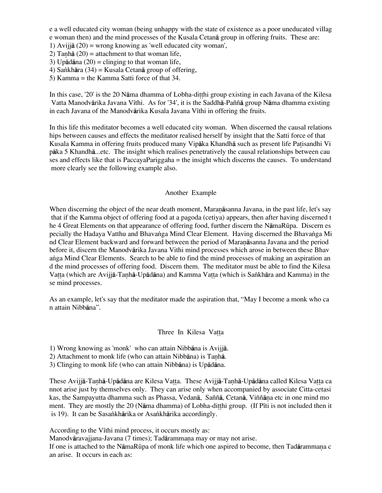e a well educated city woman (being unhappy with the state of existence as a poor uneducated villag e woman then) and the mind processes of the Kusala Cetanå group in offering fruits. These are:

1) Avijjå (20) = wrong knowing as 'well educated city woman',

- 2) Tanhā  $(20)$  = attachment to that woman life,
- 3) Up $\bar{a}$ d $\bar{a}$ na (20) = clinging to that woman life,
- 4) Sankhāra (34) = Kusala Cetanā group of offering,
- 5) Kamma = the Kamma Satti force of that 34.

In this case, '20' is the 20 Nāma dhamma of Lobha-ditthi group existing in each Javana of the Kilesa Vatta Manodvārika Javana Vīthi. As for '34', it is the Saddhā-Paññā group Nāma dhamma existing in each Javana of the Manodvārika Kusala Javana Vīthi in offering the fruits.

In this life this meditator becomes a well educated city woman. When discerned the causal relations hips between causes and effects the meditator realised herself by insight that the Satti force of that Kusala Kamma in offering fruits produced many Vipāka Khandhā such as present life Patisandhi Vi påka 5 Khandhå...etc. The insight which realises penetratively the causal relationships between cau ses and effects like that is PaccayaPariggaha = the insight which discerns the causes. To understand more clearly see the following example also.

### Another Example

When discerning the object of the near death moment, Maranāsanna Javana, in the past life, let's say that if the Kamma object of offering food at a pagoda (cetiya) appears, then after having discerned t he 4 Great Elements on that appearance of offering food, further discern the NāmaRūpa. Discern es pecially the Hadaya Vatthu and Bhavanga Mind Clear Element. Having discerned the Bhavanga Mi nd Clear Element backward and forward between the period of Maranāsanna Javana and the period before it, discern the Manodvårika Javana Vithi mind processes which arose in between these Bhav anga Mind Clear Elements. Search to be able to find the mind processes of making an aspiration an d the mind processes of offering food. Discern them. The meditator must be able to find the Kilesa Vatta (which are Avijjā-Tanhā-Upādāna) and Kamma Vatta (which is Sankhāra and Kamma) in the se mind processes.

As an example, let's say that the meditator made the aspiration that, "May I become a monk who ca n attain Nibbåna".

### Three In Kilesa Vatta

1) Wrong knowing as 'monk' who can attain Nibbåna is Avijjå.

2) Attachment to monk life (who can attain Nibbāna) is Tanhā.

3) Clinging to monk life (who can attain Nibbåna) is Upådåna.

These Avijjā-Tanhā-Upādāna are Kilesa Vatta. These Avijjā-Tanhā-Upādāna called Kilesa Vatta ca nnot arise just by themselves only. They can arise only when accompanied by associate Citta-cetasi kas, the Sampayutta dhamma such as Phassa, Vedanā, Saññā, Cetanā, Viññāna etc in one mind mo ment. They are mostly the 20 (Nāma dhamma) of Lobha-ditthi group. (If P<sub>I</sub>ti is not included then it is 19). It can be Sasankhārika or Asankhārika accordingly.

According to the V<sub>I</sub>thi mind process, it occurs mostly as:

Manodvāravajjana-Javana (7 times); Tadārammana may or may not arise.

If one is attached to the NāmaRūpa of monk life which one aspired to become, then Tadārammana c an arise. It occurs in each as: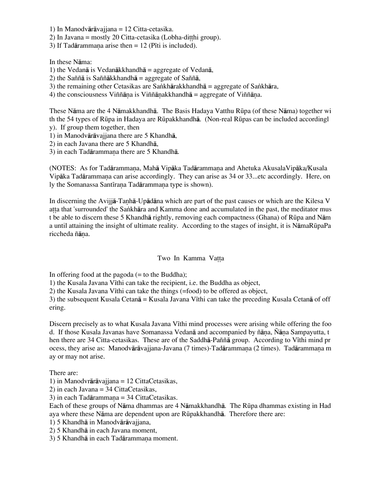1) In Manodvåråvajjana = 12 Citta-cetasika.

2) In Javana = mostly 20 Citta-cetasika (Lobha-ditthi group).

3) If Tadārammana arise then  $= 12$  (Piti is included).

In these Nåma:

1) the Vedanå is Vedanåkkhandhå = aggregate of Vedanå,

2) the Saññå is Saññåkkhandhå = aggregate of Saññå,

3) the remaining other Cetasikas are Sankhārakkhandhā = aggregate of Sankhāra,

4) the consciousness Viññāna is Viññānakkhandhā = aggregate of Viññāna.

These Nåma are the 4 Nåmakkhandhå. The Basis Hadaya Vatthu RËpa (of these Nåma) together wi th the 54 types of RËpa in Hadaya are RËpakkhandhå. (Non-real RËpas can be included accordingl

y). If group them together, then

1) in Manodvåråvajjana there are 5 Khandhå,

2) in each Javana there are 5 Khandhå,

3) in each Tadārammana there are 5 Khandhā.

(NOTES: As for Tadārammana, Mahā Vipāka Tadārammana and Ahetuka AkusalaVipāka/Kusala Vipāka Tadārammana can arise accordingly. They can arise as 34 or 33...etc accordingly. Here, on ly the Somanassa Santīrana Tadārammana type is shown).

In discerning the Avijjā-Tanhā-Upādāna which are part of the past causes or which are the Kilesa V atta that 'surrounded' the Sankhāra and Kamma done and accumulated in the past, the meditator mus t be able to discern these 5 Khandhå rightly, removing each compactness (Ghana) of RËpa and Nåm a until attaining the insight of ultimate reality. According to the stages of insight, it is NåmaRËpaPa riccheda ñāna.

# Two In Kamma Vatta

In offering food at the pagoda  $(=$  to the Buddha);

1) the Kusala Javana Vīthi can take the recipient, i.e. the Buddha as object,

2) the Kusala Javana Vīthi can take the things  $(=food)$  to be offered as object,

3) the subsequent Kusala Cetan $\bar{a}$  = Kusala Javana V<sub>I</sub>thi can take the preceding Kusala Cetan $\bar{a}$  of off ering.

Discern precisely as to what Kusala Javana Vīthi mind processes were arising while offering the foo d. If those Kusala Javanas have Somanassa Vedanā and accompanied by ñāna, Ñāna Sampayutta, t hen there are 34 Citta-cetasikas. These are of the Saddha-Pañña group. According to V<sub>I</sub>thi mind pr ocess, they arise as: Manodvārāvajjana-Javana (7 times)-Tadārammana (2 times). Tadārammana m ay or may not arise.

There are:

1) in Manodvråråvajjana = 12 CittaCetasikas,

2) in each Javana = 34 CittaCetasikas,

3) in each Tad $\bar{a}$ rammana = 34 CittaCetasikas.

Each of these groups of Nåma dhammas are 4 Nåmakkhandhå. The RËpa dhammas existing in Had aya where these Nåma are dependent upon are RËpakkhandhå. Therefore there are:

1) 5 Khandhå in Manodvåråvajjana,

2) 5 Khandhå in each Javana moment,

3) 5 Khandhā in each Tadārammana moment.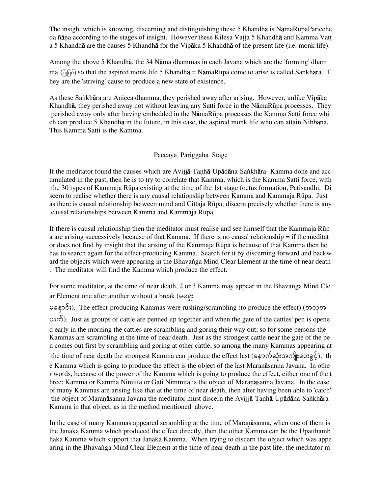The insight which is knowing, discerning and distinguishing these 5 Khandhå is NåmaRËpaParicche da ñāna according to the stages of insight. However these Kilesa Vatta 5 Khandhā and Kamma Vatt a 5 Khandhå are the causes 5 Khandhå for the Vipåka 5 Khandhå of the present life (i.e. monk life).

Among the above 5 Khandhå, the 34 Nåma dhammas in each Javana which are the 'forming' dham ma ( $\sqrt{q}$  $\sqrt{6}$ ) so that the aspired monk life 5 Khandhā = NāmaRūpa come to arise is called Sankhāra. T hey are the 'striving' cause to produce a new state of existence.

As these Sa∫khåra are Anicca dhamma, they perished away after arising. However, unlike Vipåka Khandhå, they perished away not without leaving any Satti force in the NåmaRËpa processes. They perished away only after having embedded in the NåmaRËpa processes the Kamma Satti force whi ch can produce 5 Khandhå in the future, in this case, the aspired monk life who can attain Nibbåna. This Kamma Satti is the Kamma.

# Paccaya Pariggaha Stage

If the meditator found the causes which are Avijjā-Tanhā-Upādāna-Sankhāra- Kamma done and acc umulated in the past, then he is to try to correlate that Kamma, which is the Kamma Satti force, with the 30 types of Kammaja Rūpa existing at the time of the 1st stage foetus formation, Patisandhi. Di scern to realise whether there is any causal relationship between Kamma and Kammaja RËpa. Just as there is causal relationship between mind and Cittaja RËpa, discern precisely whether there is any causal relationships between Kamma and Kammaja RËpa.

If there is causal relationship then the meditator must realise and see himself that the Kammaja Rūp a are arising successively because of that Kamma. If there is no causal relationship = if the meditat or does not find by insight that the arising of the Kammaja RËpa is because of that Kamma then he has to search again for the effect-producing Kamma. Search for it by discerning forward and backw ard the objects which were appearing in the Bhavanga Mind Clear Element at the time of near death . The meditator will find the Kamma which produce the effect.

For some meditator, at the time of near death, 2 or 3 Kamma may appear in the Bhavanga Mind Cle ar Element one after another without a break ( $\infty$ S):

 $\epsilon$   $\in$   $\mathcal{E}$ ;). The effect-producing Kammas were rushing/scrambling (to produce the effect) ( $\infty$  $\infty$  $\infty$ ි, Just as groups of cattle are penned up together and when the gate of the cattles' pen is opene d early in the morning the cattles are scrambling and goring their way out, so for some persons the Kammas are scrambling at the time of near death. Just as the strongest cattle near the gate of the pe n comes out first by scrambling and goring at other cattle, so among the many Kammas appearing at the time of near death the strongest Kamma can produce the effect last (နောက်ဆုံးအကျိုးပေးခွင့်); th e Kamma which is going to produce the effect is the object of the last Maranasanna Javana. In othe r words, because of the power of the Kamma which is going to produce the effect, either one of the t hree: Kamma or Kamma Nimitta or Gati Nimmita is the object of Maranāsanna Javana. In the case of many Kammas are arising like that at the time of near death, then after having been able to 'catch' the object of Maranāsanna Javana the meditator must discern the Avijjā-Tanhā-Upādāna-Sankhāra-Kamma in that object, as in the method mentioned above.

In the case of many Kammas appeared scrambling at the time of Maranāsanna, when one of them is the Janaka Kamma which produced the effect directly, then the other Kamma can be the Upatthamb haka Kamma which support that Janaka Kamma. When trying to discern the object which was appe aring in the Bhavanga Mind Clear Element at the time of near death in the past life, the meditator m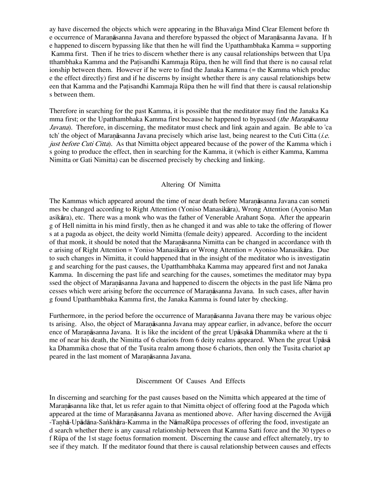ay have discerned the objects which were appearing in the Bhavanga Mind Clear Element before the e occurrence of Maranāsanna Javana and therefore bypassed the object of Maranāsanna Javana. If h e happened to discern bypassing like that then he will find the Upatthambhaka Kamma = supporting Kamma first. Then if he tries to discern whether there is any causal relationships between that Upa tthambhaka Kamma and the Patisandhi Kammaja Rūpa, then he will find that there is no causal relat ionship between them. However if he were to find the Janaka Kamma (= the Kamma which produc e the effect directly) first and if he discerns by insight whether there is any causal relationships betw een that Kamma and the Patisandhi Kammaja Rūpa then he will find that there is causal relationship s between them.

Therefore in searching for the past Kamma, it is possible that the meditator may find the Janaka Ka mma first; or the Upatthambhaka Kamma first because he happened to bypassed (the Maranasanna Javana). Therefore, in discerning, the meditator must check and link again and again. Be able to 'ca tch' the object of Maran $\bar{a}$ sanna Javana precisely which arise last, being nearest to the Cuti Citta (*i.e.*) just before Cuti Citta). As that Nimitta object appeared because of the power of the Kamma which i s going to produce the effect, then in searching for the Kamma, it (which is either Kamma, Kamma Nimitta or Gati Nimitta) can be discerned precisely by checking and linking.

### Altering Of Nimitta

The Kammas which appeared around the time of near death before Maranasanna Javana can someti mes be changed according to Right Attention (Yoniso Manasikåra), Wrong Attention (Ayoniso Man asikāra), etc. There was a monk who was the father of Venerable Arahant Sona. After the appearin g of Hell nimitta in his mind firstly, then as he changed it and was able to take the offering of flower s at a pagoda as object, the deity world Nimitta (female deity) appeared. According to the incident of that monk, it should be noted that the Maranāsanna Nimitta can be changed in accordance with the e arising of Right Attention = Yoniso Manasikåra or Wrong Attention = Ayoniso Manasikåra. Due to such changes in Nimitta, it could happened that in the insight of the meditator who is investigatin g and searching for the past causes, the Upatthambhaka Kamma may appeared first and not Janaka Kamma. In discerning the past life and searching for the causes, sometimes the meditator may bypa ssed the object of Maranāsanna Javana and happened to discern the objects in the past life Nāma pro cesses which were arising before the occurrence of Maranāsanna Javana. In such cases, after havin g found Upatthambhaka Kamma first, the Janaka Kamma is found later by checking.

Furthermore, in the period before the occurrence of Maranasanna Javana there may be various objectured. ts arising. Also, the object of Maranāsanna Javana may appear earlier, in advance, before the occurr ence of Maranāsanna Javana. It is like the incident of the great Upāsakā Dhammika where at the ti me of near his death, the Nimitta of 6 chariots from 6 deity realms appeared. When the great Upåså ka Dhammika chose that of the Tusita realm among those 6 chariots, then only the Tusita chariot ap peared in the last moment of Maranasanna Javana.

### Discernment Of Causes And Effects

In discerning and searching for the past causes based on the Nimitta which appeared at the time of Maranāsanna like that, let us refer again to that Nimitta object of offering food at the Pagoda which appeared at the time of Maranāsanna Javana as mentioned above. After having discerned the Avijia -Tanhā-Upādāna-Sankhāra-Kamma in the NāmaRūpa processes of offering the food, investigate an d search whether there is any causal relationship between that Kamma Satti force and the 30 types o f RËpa of the 1st stage foetus formation moment. Discerning the cause and effect alternately, try to see if they match. If the meditator found that there is causal relationship between causes and effects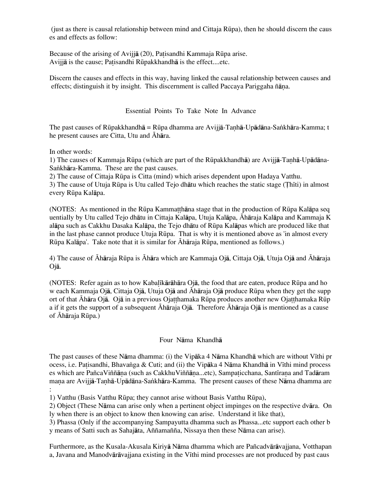(just as there is causal relationship between mind and Cittaja RËpa), then he should discern the caus es and effects as follow:

Because of the arising of Avijia (20), Patisandhi Kammaja Rūpa arise. Avijjā is the cause; Patisandhi Rūpakkhandhā is the effect....etc.

Discern the causes and effects in this way, having linked the causal relationship between causes and effects; distinguish it by insight. This discernment is called Paccaya Pariggaha ñāna.

Essential Points To Take Note In Advance

The past causes of Rūpakkhandhā = Rūpa dhamma are Avijjā-Tanhā-Upādāna-Sankhāra-Kamma; t he present causes are Citta, Utu and Āhāra.

In other words:

1) The causes of Kammaja Rūpa (which are part of the Rūpakkhandhā) are Avijjā-Tanhā-Upādāna-Sankhāra-Kamma. These are the past causes.

2) The cause of Cittaja RËpa is Citta (mind) which arises dependent upon Hadaya Vatthu.

3) The cause of Utuja Rūpa is Utu called Tejo dhātu which reaches the static stage (Thīti) in almost every Rūpa Kalāpa.

(NOTES: As mentioned in the Rūpa Kammatth $\bar{a}$  has stage that in the production of Rūpa Kalāpa seq uentially by Utu called Tejo dhåtu in Cittaja Kalåpa, Utuja Kalåpa, Óhåraja Kalåpa and Kammaja K alåpa such as Cakkhu Dasaka Kalåpa, the Tejo dhåtu of RËpa Kalåpas which are produced like that in the last phase cannot produce Utuja RËpa. That is why it is mentioned above as 'in almost every Rūpa Kalāpa'. Take note that it is similar for Āhāraja Rūpa, mentioned as follows.)

4) The cause of Áhāraja Rūpa is Áhāra which are Kammaja Ojā, Cittaja Ojā, Utuja Ojā and Áhāraja Ojå.

(NOTES: Refer again as to how Kabal $\vec{a}$ kārāhāra Ojā, the food that are eaten, produce Rūpa and ho w each Kammaja Ojā, Cittaja Ojā, Utuja Ojā and Āhāraja Ojā produce Rūpa when they get the supp ort of that Āhāra Ojā. Ojā in a previous Ojatthamaka Rūpa produces another new Ojatthamaka Rūp a if it gets the support of a subsequent  $\bar{A}h\bar{a}$ raja Oj $\bar{a}$ . Therefore  $\bar{A}h\bar{a}$ raja Oj $\bar{a}$  is mentioned as a cause of Āhāraja Rūpa.)

# Four Nåma Khandhå

The past causes of these Nāma dhamma: (i) the Vipāka 4 Nāma Khandhā which are without Vīthi pr ocess, i.e. Patisandhi, Bhavanga & Cuti; and (ii) the Vipāka 4 Nāma Khandhā in Vīthi mind process es which are PañcaViññāṇa (such as CakkhuViññāṇa...etc), Sampaticchana, Santīraṇa and Tadāram mana are Avijjā-Tanhā-Upādāna-Sankhāra-Kamma. The present causes of these Nāma dhamma are :

1) Vatthu (Basis Vatthu RËpa; they cannot arise without Basis Vatthu RËpa),

2) Object (These Nåma can arise only when a pertinent object impinges on the respective dvåra. On ly when there is an object to know then knowing can arise. Understand it like that),

3) Phassa (Only if the accompanying Sampayutta dhamma such as Phassa...etc support each other b y means of Satti such as Sahajåta, Aññamañña, Nissaya then these Nåma can arise).

Furthermore, as the Kusala-Akusala Kiriyå Nåma dhamma which are Pañcadvåråvajjana, Votthapan a, Javana and Manodvārāvajjana existing in the Vīthi mind processes are not produced by past caus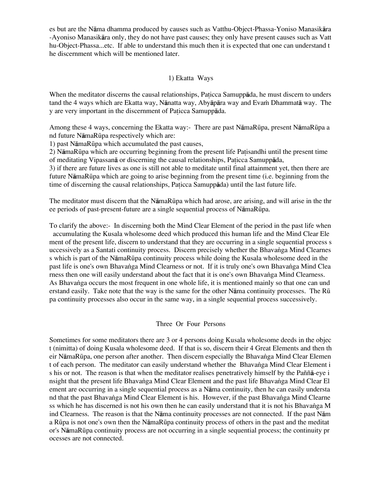es but are the Nåma dhamma produced by causes such as Vatthu-Object-Phassa-Yoniso Manasikåra -Ayoniso Manasikåra only, they do not have past causes; they only have present causes such as Vatt hu-Object-Phassa...etc. If able to understand this much then it is expected that one can understand t he discernment which will be mentioned later.

### 1) Ekatta Ways

When the meditator discerns the causal relationships, Paticca Samuppāda, he must discern to unders tand the 4 ways which are Ekatta way, Nānatta way, Abyāpāra way and Evam Dhammatā way. The y are very important in the discernment of Paticca Samuppada.

Among these 4 ways, concerning the Ekatta way:- There are past NåmaRËpa, present NåmaRËpa a nd future NåmaRËpa respectively which are:

1) past NåmaRËpa which accumulated the past causes,

2) NāmaRūpa which are occurring beginning from the present life Patisandhi until the present time of meditating Vipassanå or discerning the causal relationships, Pa icca Samuppåda,

3) if there are future lives as one is still not able to meditate until final attainment yet, then there are future NåmaRËpa which are going to arise beginning from the present time (i.e. beginning from the time of discerning the causal relationships, Paticca Samuppāda) until the last future life.

The meditator must discern that the NåmaRËpa which had arose, are arising, and will arise in the thr ee periods of past-present-future are a single sequential process of NåmaRËpa.

To clarify the above:- In discerning both the Mind Clear Element of the period in the past life when accumulating the Kusala wholesome deed which produced this human life and the Mind Clear Ele ment of the present life, discern to understand that they are occurring in a single sequential process s uccessively as a Santati continuity process. Discern precisely whether the Bhavanga Mind Clearnes s which is part of the NåmaRËpa continuity process while doing the Kusala wholesome deed in the past life is one's own Bhavanga Mind Clearness or not. If it is truly one's own Bhavanga Mind Clea rness then one will easily understand about the fact that it is one's own Bhavanga Mind Clearness. As Bhavanga occurs the most frequent in one whole life, it is mentioned mainly so that one can und erstand easily. Take note that the way is the same for the other Nama continuity processes. The Rū pa continuity processes also occur in the same way, in a single sequential process successively.

### Three Or Four Persons

Sometimes for some meditators there are 3 or 4 persons doing Kusala wholesome deeds in the objec t (nimitta) of doing Kusala wholesome deed. If that is so, discern their 4 Great Elements and then th eir NāmaRūpa, one person after another. Then discern especially the Bhavanga Mind Clear Elemen t of each person. The meditator can easily understand whether the Bhavanga Mind Clear Element i s his or not. The reason is that when the meditator realises penetratively himself by the Paññå-eye i nsight that the present life Bhavanga Mind Clear Element and the past life Bhavanga Mind Clear El ement are occurring in a single sequential process as a Nåma continuity, then he can easily understa nd that the past Bhavanga Mind Clear Element is his. However, if the past Bhavanga Mind Clearne ss which he has discerned is not his own then he can easily understand that it is not his Bhavanga M ind Clearness. The reason is that the Nåma continuity processes are not connected. If the past Nåm a RËpa is not one's own then the NåmaRËpa continuity process of others in the past and the meditat or's NåmaRËpa continuity process are not occurring in a single sequential process; the continuity pr ocesses are not connected.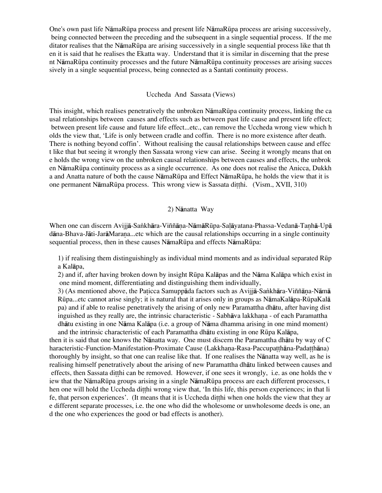One's own past life NåmaRËpa process and present life NåmaRËpa process are arising successively, being connected between the preceding and the subsequent in a single sequential process. If the me ditator realises that the NåmaRËpa are arising successively in a single sequential process like that th en it is said that he realises the Ekatta way. Understand that it is similar in discerning that the prese nt NåmaRËpa continuity processes and the future NåmaRËpa continuity processes are arising succes sively in a single sequential process, being connected as a Santati continuity process.

#### Uccheda And Sassata (Views)

This insight, which realises penetratively the unbroken NåmaRËpa continuity process, linking the ca usal relationships between causes and effects such as between past life cause and present life effect; between present life cause and future life effect...etc., can remove the Uccheda wrong view which h olds the view that, 'Life is only between cradle and coffin. There is no more existence after death. There is nothing beyond coffin'. Without realising the causal relationships between cause and effec t like that but seeing it wrongly then Sassata wrong view can arise. Seeing it wrongly means that on e holds the wrong view on the unbroken causal relationships between causes and effects, the unbrok en NåmaRËpa continuity process as a single occurrence. As one does not realise the Anicca, Dukkh a and Anatta nature of both the cause NåmaRËpa and Effect NåmaRËpa, he holds the view that it is one permanent NāmaRūpa process. This wrong view is Sassata ditthi. (Vism., XVII, 310)

#### 2) Nånatta Way

When one can discern Avijjā-Saṅkhāra-Viññāna-NāmāRūpa-Salāyatana-Phassa-Vedanā-Tanhā-Upā dāna-Bhava-Jāti-JarāMarana...etc which are the causal relationships occurring in a single continuity sequential process, then in these causes NāmaRūpa and effects NāmaRūpa:

1) if realising them distinguishingly as individual mind moments and as individual separated RËp a Kalåpa,

2) and if, after having broken down by insight RËpa Kalåpas and the Nåma Kalåpa which exist in one mind moment, differentiating and distinguishing them individually,

3) (As mentioned above, the Paticca Samuppāda factors such as Avijjā-Sankhāra-Viññāna-Nāmā RËpa...etc cannot arise singly; it is natural that it arises only in groups as NåmaKalåpa-RËpaKalå pa) and if able to realise penetratively the arising of only new Paramattha dhåtu, after having dist inguished as they really are, the intrinsic characteristic - Sabhāva lakkhana - of each Paramattha dhåtu existing in one Nåma Kalåpa (i.e. a group of Nåma dhamma arising in one mind moment) and the intrinsic characteristic of each Paramattha dhåtu existing in one RËpa Kalåpa,

then it is said that one knows the Nånatta way. One must discern the Paramattha dhåtu by way of C haracteristic-Function-Manifestation-Proximate Cause (Lakkhana-Rasa-Paccupatthana-Padatthana) thoroughly by insight, so that one can realise like that. If one realises the Nånatta way well, as he is realising himself penetratively about the arising of new Paramattha dhåtu linked between causes and effects, then Sassata ditthi can be removed. However, if one sees it wrongly, i.e. as one holds the v iew that the NåmaRËpa groups arising in a single NåmaRËpa process are each different processes, t hen one will hold the Uccheda ditthi wrong view that, 'In this life, this person experiences; in that li fe, that person experiences'. (It means that it is Uccheda dithi when one holds the view that they are e different separate processes, i.e. the one who did the wholesome or unwholesome deeds is one, an d the one who experiences the good or bad effects is another).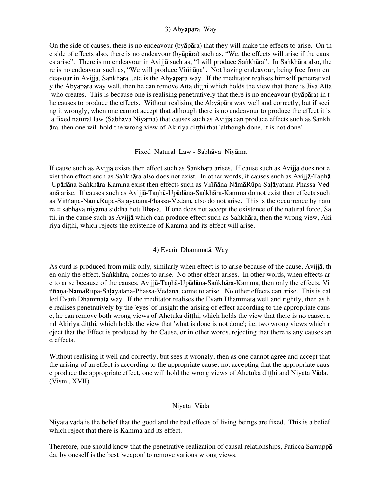### 3) Abyåpåra Way

On the side of causes, there is no endeavour (byåpåra) that they will make the effects to arise. On th e side of effects also, there is no endeavour (byåpåra) such as, "We, the effects will arise if the caus es arise". There is no endeavour in Avijjā such as, "I will produce Sankhāra". In Sankhāra also, the re is no endeavour such as, "We will produce Viññana". Not having endeavour, being free from en deavour in Avijjå, Sa∫khåra...etc is the Abyåpåra way. If the meditator realises himself penetrativel y the Abyāpāra way well, then he can remove Atta ditthi which holds the view that there is Jiva Atta who creates. This is because one is realising penetratively that there is no endeavour (byåpåra) in t he causes to produce the effects. Without realising the Abyåpåra way well and correctly, but if seei ng it wrongly, when one cannot accept that although there is no endeavour to produce the effect it is a fixed natural law (Sabhāva Niyāma) that causes such as Avijjā can produce effects such as Sankh  $\overline{a}$ ra, then one will hold the wrong view of Akiriya ditthi that 'although done, it is not done'.

### Fixed Natural Law - Sabhåva Niyåma

If cause such as Avijiā exists then effect such as Sankhāra arises. If cause such as Avijiā does not e xist then effect such as Sankhāra also does not exist. In other words, if causes such as Avijjā-Tanhā -Upādāna-Sankhāra-Kamma exist then effects such as Viññāna-NāmāRūpa-Salāyatana-Phassa-Ved anā arise. If causes such as Avijjā-Tanhā-Upādāna-Sankhāra-Kamma do not exist then effects such as Viññāna-NāmāRūpa-Salāyatana-Phassa-Vedanā also do not arise. This is the occurrence by natu re = sabhāva niyāma siddha hotūBhāva. If one does not accept the existence of the natural force, Sa tti, in the cause such as Avijjā which can produce effect such as Sankhāra, then the wrong view, Aki riya ditthi, which rejects the existence of Kamma and its effect will arise.

# 4) Evam Dhammata Way

As curd is produced from milk only, similarly when effect is to arise because of the cause, Avijjå, th en only the effect, Sankhāra, comes to arise. No other effect arises. In other words, when effects are e to arise because of the causes, Avijjā-Tanhā-Upādāna-Sankhāra-Kamma, then only the effects, Vi ññāna-NāmāRūpa-Salāyatana-Phassa-Vedanā, come to arise. No other effects can arise. This is cal led Evam Dhammatā way. If the meditator realises the Evam Dhammatā well and rightly, then as h e realises penetratively by the 'eyes' of insight the arising of effect according to the appropriate caus e, he can remove both wrong views of Ahetuka ditthi, which holds the view that there is no cause, a nd Akiriya ditthi, which holds the view that 'what is done is not done'; i.e. two wrong views which r eject that the Effect is produced by the Cause, or in other words, rejecting that there is any causes an d effects.

Without realising it well and correctly, but sees it wrongly, then as one cannot agree and accept that the arising of an effect is according to the appropriate cause; not accepting that the appropriate caus e produce the appropriate effect, one will hold the wrong views of Ahetuka ditthi and Niyata Vāda. (Vism., XVII)

### Niyata Våda

Niyata våda is the belief that the good and the bad effects of living beings are fixed. This is a belief which reject that there is Kamma and its effect.

Therefore, one should know that the penetrative realization of causal relationships, Paticca Samuppa da, by oneself is the best 'weapon' to remove various wrong views.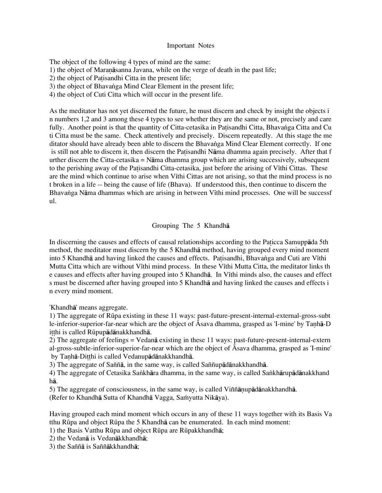#### Important Notes

The object of the following 4 types of mind are the same: 1) the object of Maranāsanna Javana, while on the verge of death in the past life; 2) the object of Patisandhi Citta in the present life; 3) the object of Bhavanga Mind Clear Element in the present life; 4) the object of Cuti Citta which will occur in the present life.

As the meditator has not yet discerned the future, he must discern and check by insight the objects i n numbers 1,2 and 3 among these 4 types to see whether they are the same or not, precisely and care fully. Another point is that the quantity of Citta-cetasika in Patisandhi Citta, Bhavanga Citta and Cu ti Citta must be the same. Check attentively and precisely. Discern repeatedly. At this stage the me ditator should have already been able to discern the Bhavanga Mind Clear Element correctly. If one is still not able to discern it, then discern the Patisandhi Nama dhamma again precisely. After that f urther discern the Citta-cetasika = Nåma dhamma group which are arising successively, subsequent to the perishing away of the Patisandhi Citta-cetasika, just before the arising of V<sub>I</sub>thi Cittas. These are the mind which continue to arise when V<sub>I</sub>thi Cittas are not arising, so that the mind process is no t broken in a life -- being the cause of life (Bhava). If understood this, then continue to discern the Bhavanga Nāma dhammas which are arising in between Vīthi mind processes. One will be successf ul.

### Grouping The 5 Khandhå

In discerning the causes and effects of causal relationships according to the Paticca Samuppāda 5th method, the meditator must discern by the 5 Khandhå method, having grouped every mind moment into 5 Khandhā and having linked the causes and effects. Patisandhi, Bhavanga and Cuti are Vīthi Mutta Citta which are without Vīthi mind process. In these Vīthi Mutta Citta, the meditator links th e causes and effects after having grouped into 5 Khandha. In V<sub>I</sub>thi minds also, the causes and effect s must be discerned after having grouped into 5 Khandhå and having linked the causes and effects i n every mind moment.

'Khandhå' means aggregate.

1) The aggregate of RËpa existing in these 11 ways: past-future-present-internal-external-gross-subt le-inferior-superior-far-near which are the object of  $\overline{A}$ sava dhamma, grasped as 'I-mine' by Tanh $\overline{a}$ -D itthi is called Rūpupādānakkhandhā.

2) The aggregate of feelings = Vedanå existing in these 11 ways: past-future-present-internal-extern al-gross-subtle-inferior-superior-far-near which are the object of  $\overline{A}$ sava dhamma, grasped as 'I-mine' by Tanhā-Ditthi is called Vedanupādānakkhandhā.

3) The aggregate of Saññå, in the same way, is called Saññupådånakkhandhå.

4) The aggregate of Cetasika Sankhāra dhamma, in the same way, is called Sankhārupādānakkhand hå.

5) The aggregate of consciousness, in the same way, is called Viññānupādānakkhandhā. (Refer to Khandhā Sutta of Khandhā Vagga, Saṁyutta Nikāya).

Having grouped each mind moment which occurs in any of these 11 ways together with its Basis Va tthu RËpa and object RËpa the 5 Khandhå can be enumerated. In each mind moment:

1) the Basis Vatthu RËpa and object RËpa are RËpakkhandhå;

2) the Vedanå is Vedanåkkhandhå;

3) the Saññå is Saññåkkhandhå;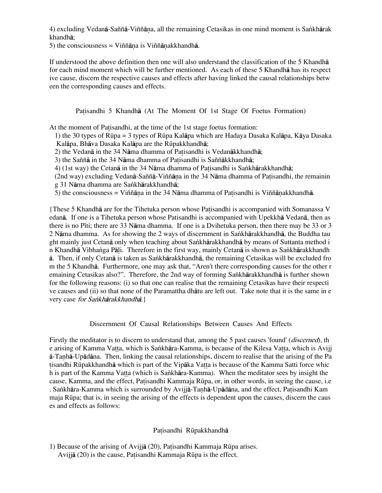4) excluding Vedanā-Saññā-Viññāna, all the remaining Cetasikas in one mind moment is Sankhārak khandhå;

5) the consciousness = Viññāna is Viññānakkhandhā.

If understood the above definition then one will also understand the classification of the 5 Khandhå for each mind moment which will be further mentioned. As each of these 5 Khandhå has its respect ive cause, discern the respective causes and effects after having linked the causal relationships betw een the corresponding causes and effects.

Patisandhi 5 Khandhā (At The Moment Of 1st Stage Of Foetus Formation)

At the moment of Patisandhi, at the time of the 1st stage foetus formation:

1) the 30 types of RËpa = 3 types of RËpa Kalåpa which are Hadaya Dasaka Kalåpa, Kåya Dasaka Kalāpa, Bhāva Dasaka Kalāpa are the Rūpakkhandhā;

2) the Vedanā in the 34 Nāma dhamma of Patisandhi is Vedanākkhandhā;

3) the Saññā in the 34 Nāma dhamma of Patisandhi is Saññākkhandhā;

4) (1st way) the Cetan $\bar{a}$  in the 34 N $\bar{a}$ ma dhamma of Patisandhi is Sankhārakkhandhā;

 $(2nd$  way) excluding Vedan $\bar{a}$ -Saññ $\bar{a}$ -Viññ $\bar{a}$ na in the 34 N $\bar{a}$ ma dhamma of Patisandhi, the remainin g 31 Nāma dhamma are Sankhārakkhandhā;

5) the consciousness = Viññāna in the 34 Nāma dhamma of Patisandhi is Viññānakkhandhā.

{These 5 Khandhā are for the Tihetuka person whose Patisandhi is accompanied with Somanassa V edanå. If one is a Tihetuka person whose Patisandhi is accompanied with Upekkhå Vedanå, then as there is no Pīti; there are 33 Nāma dhamma. If one is a Dvihetuka person, then there may be 33 or 3 2 Nāma dhamma. As for showing the 2 ways of discernment in Sankhārakkhandhā, the Buddha tau ght mainly just Cetanā only when teaching about Sankhārakkhandhā by means of Suttanta method i n Khandhā Vibhanga Pāli. Therefore in the first way, mainly Cetanā is shown as Sankhārakkhandh å. Then, if only Cetanå is taken as Sa∫khårakkhandhå, the remaining Cetasikas will be excluded fro m the 5 Khandhå. Furthermore, one may ask that, "Aren't there corresponding causes for the other r emaining Cetasikas also?". Therefore, the 2nd way of forming Sankhārakkhandhā is further shown for the following reasons: (i) so that one can realise that the remaining Cetasikas have their respecti ve causes and (ii) so that none of the Paramattha dhåtu are left out. Take note that it is the same in e very case for Sankhārakkhandhā.}

Discernment Of Causal Relationships Between Causes And Effects

Firstly the meditator is to discern to understand that, among the 5 past causes 'found' (*discerned*), the e arising of Kamma Vatta, which is Sankhāra-Kamma, is because of the Kilesa Vatta, which is Avijj  $\bar{a}$ -Tanh $\bar{a}$ -Up $\bar{a}$ d $\bar{a}$ na. Then, linking the causal relationships, discern to realise that the arising of the Pa tisandhi Rūpakkhandhā which is part of the Vipāka Vatta is because of the Kamma Satti force whic h is part of the Kamma Vatta (which is Sankhāra-Kamma). When the meditator sees by insight the cause, Kamma, and the effect, Patisandhi Kammaja Rūpa, or, in other words, in seeing the cause, i.e . Sankhāra-Kamma which is surrounded by Avijjā-Tanhā-Upādāna, and the effect, Patisandhi Kam maja RËpa; that is, in seeing the arising of the effects is dependent upon the causes, discern the caus es and effects as follows:

# Patisandhi Rūpakkhandhā

1) Because of the arising of Avijiā (20), Patisandhi Kammaja Rūpa arises. Avijjā (20) is the cause, Patisandhi Kammaja Rūpa is the effect.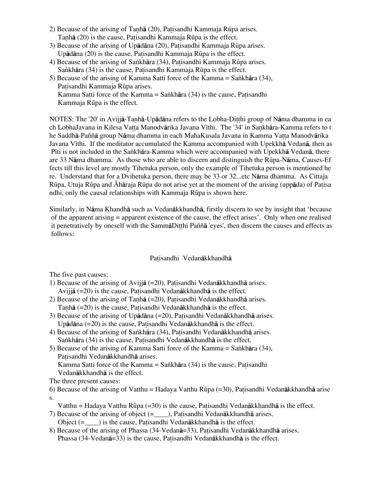- 2) Because of the arising of Tanh $\bar{a}$  (20), Patisandhi Kammaja Rūpa arises. Tanhā (20) is the cause, Patisandhi Kammaja Rūpa is the effect.
- 3) Because of the arising of Upādāna (20), Patisandhi Kammaja Rūpa arises. Upādāna (20) is the cause, Patisandhi Kammaja Rūpa is the effect.
- 4) Because of the arising of Sankhāra (34), Patisandhi Kammaja Rūpa arises. Sankhāra (34) is the cause, Patisandhi Kammaja Rūpa is the effect.
- 5) Because of the arising of Kamma Satti force of the Kamma = Sankhāra (34), Patisandhi Kammaja Rūpa arises. Kamma Satti force of the Kamma = Sankhāra  $(34)$  is the cause, Patisandhi Kammaja Rūpa is the effect.

NOTES: The '20' in Avijjā-Tanhā-Upādāna refers to the Lobha-Ditthi group of Nāma dhamma in ea ch LobhaJavana in Kilesa Vatta Manodvārika Javana Vīthi. The '34' in Sankhāra-Kamma refers to t he Saddhā-Paññā group Nāma dhamma in each MahaKusala Javana in Kamma Vatta Manodvārika Javana Vīthi. If the meditator accumulated the Kamma accompanied with Upekkhā Vedanā, then as Pīti is not included in the Sankhāra-Kamma which were accompanied with Upekkhā Vedanā, there are 33 Nåma dhamma. As those who are able to discern and distinguish the RËpa-Nåma, Causes-Ef fects till this level are mostly Tihetuka person, only the example of Tihetuka person is mentioned he re. Understand that for a Dvihetuka person, there may be 33 or 32...etc Nåma dhamma. As Cittaja Rūpa, Utuja Rūpa and Āhāraja Rūpa do not arise yet at the moment of the arising (uppāda) of Patisa ndhi, only the causal relationships with Kammaja Rūpa is shown here.

Similarly, in Nåma Khandhå such as Vedanåkkhandhå, firstly discern to see by insight that 'because of the apparent arising = apparent existence of the cause, the effect arises'. Only when one realised it penetratively by oneself with the SammaDitthi Pañña 'eyes', then discern the causes and effects as follows:

# Patisandhi Vedanākkhandhā

The five past causes:

- 1) Because of the arising of Aviji $\bar{a}$  (=20), Patisandhi Vedan $\bar{a}$ kkhandh $\bar{a}$  arises. Avijjā  $(=20)$  is the cause, Patisandhi Vedanākkhandhā is the effect.
- 2) Because of the arising of Tanhā (=20), Patisandhi Vedanākkhandhā arises. Tanhā (=20) is the cause, Patisandhi Vedanākkhandhā is the effect.
- 3) Because of the arising of Up $\bar{a}$ dāna (=20), Patisandhi Vedanākkhandhā arises. Upādāna (=20) is the cause, Patisandhi Vedanākkhandhā is the effect.
- 4) Because of the arising of Sankhāra (34), Patisandhi Vedanākkhandhā arises. Sankhāra (34) is the cause, Patisandhi Vedanākkhandhā is the effect.
- 5) Because of the arising of Kamma Satti force of the Kamma = Sankhāra (34), Patisandhi Vedanākkhandhā arises. Kamma Satti force of the Kamma = Sankhāra  $(34)$  is the cause, Patisandhi

Vedanåkkhandhå is the effect.

The three present causes:

6) Because of the arising of Vatthu = Hadaya Vatthu Rūpa (=30), Patisandhi Vedanākkhandhā arise s.

- Vatthu = Hadaya Vatthu Rūpa  $(=30)$  is the cause, Patisandhi Vedanākkhandhā is the effect.
- 7) Because of the arising of object  $(=-)$ , Patisandhi Vedanākkhandhā arises. Object  $(=$   $)$  is the cause, Patisandhi Vedanākkhandhā is the effect.
- 8) Because of the arising of Phassa (34-Vedan $\bar{a}$ =33), Patisandhi Vedan $\bar{a}$ kkhandh $\bar{a}$  arises. Phassa (34-Vedanā=33) is the cause, Patisandhi Vedanākkhandhā is the effect.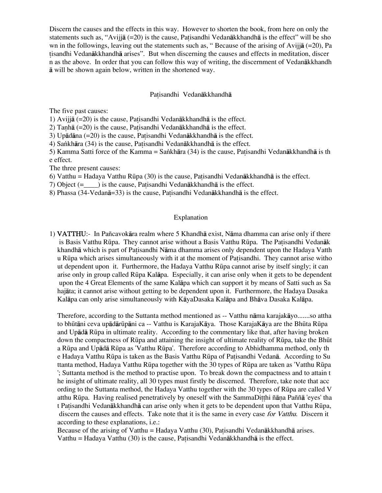Discern the causes and the effects in this way. However to shorten the book, from here on only the statements such as, "Avijj $\bar{a}$  (=20) is the cause, Patisandhi Vedan $\bar{a}$ kkhandh $\bar{a}$  is the effect" will be sho wn in the followings, leaving out the statements such as, "Because of the arising of Avijia (=20), Pa isandhi Vedanåkkhandhå arises". But when discerning the causes and effects in meditation, discer n as the above. In order that you can follow this way of writing, the discernment of Vedanåkkhandh å will be shown again below, written in the shortened way.

#### Patisandhi Vedanākkhandhā

The five past causes:

1) Avijjā  $(=20)$  is the cause, Patisandhi Vedanākkhandhā is the effect.

2) Tanhā ( $=20$ ) is the cause, Patisandhi Vedanākkhandhā is the effect.

3) Upādāna  $(=20)$  is the cause, Patisandhi Vedanākkhandhā is the effect.

4) Sankhāra (34) is the cause, Patisandhi Vedanākkhandhā is the effect.

5) Kamma Satti force of the Kamma = Sankhāra (34) is the cause, Patisandhi Vedanākkhandhā is th e effect.

The three present causes:

6) Vatthu = Hadaya Vatthu Rūpa (30) is the cause, Patisandhi Vedan $\bar{a}$ kkhandh $\bar{a}$  is the effect.

7) Object  $(=$   $)$  is the cause, Patisandhi Vedan $\overline{a}$ kkhandh $\overline{a}$  is the effect.

8) Phassa (34-Vedanā=33) is the cause, Patisandhi Vedanākkhandhā is the effect.

#### Explanation

1) VATTHU:- In Pañcavokåra realm where 5 Khandhå exist, Nåma dhamma can arise only if there is Basis Vatthu Rūpa. They cannot arise without a Basis Vatthu Rūpa. The Patisandhi Vedanāk khandhā which is part of Patisandhi Nāma dhamma arises only dependent upon the Hadaya Vatth u RËpa which arises simultaneously with it at the moment of Pa isandhi. They cannot arise witho ut dependent upon it. Furthermore, the Hadaya Vatthu RËpa cannot arise by itself singly; it can arise only in group called RËpa Kalåpa. Especially, it can arise only when it gets to be dependent upon the 4 Great Elements of the same Kalåpa which can support it by means of Satti such as Sa hajåta; it cannot arise without getting to be dependent upon it. Furthermore, the Hadaya Dasaka Kalåpa can only arise simultaneously with KåyaDasaka Kalåpa and Bhåva Dasaka Kalåpa.

Therefore, according to the Suttanta method mentioned as -- Vatthu nåma karajakåyo.......so attha to bhūtāni ceva upādārūpāni ca -- Vatthu is KarajaKāya. Those KarajaKāya are the Bhūta Rūpa and Upådå RËpa in ultimate reality. According to the commentary like that, after having broken down the compactness of Rūpa and attaining the insight of ultimate reality of Rūpa, take the Bhūt a RËpa and Upådå RËpa as 'Vatthu RËpa'. Therefore according to Abhidhamma method, only th e Hadaya Vatthu Rūpa is taken as the Basis Vatthu Rūpa of Patisandhi Vedanā. According to Su ttanta method, Hadaya Vatthu RËpa together with the 30 types of RËpa are taken as 'Vatthu RËpa '; Suttanta method is the method to practise upon. To break down the compactness and to attain t he insight of ultimate reality, all 30 types must firstly be discerned. Therefore, take note that acc ording to the Suttanta method, the Hadaya Vatthu together with the 30 types of RËpa are called V atthu Rūpa. Having realised penetratively by oneself with the SammaDitthi ñāna Paññā 'eyes' tha t Patisandhi Vedanākkhandhā can arise only when it gets to be dependent upon that Vatthu Rūpa, discern the causes and effects. Take note that it is the same in every case for Vatthu. Discern it according to these explanations, i.e.:

Because of the arising of Vatthu = Hadaya Vatthu (30), Patisandhi Vedanākkhandhā arises. Vatthu = Hadaya Vatthu (30) is the cause, Patisandhi Vedan $\bar{a}$ kkhandh $\bar{a}$  is the effect.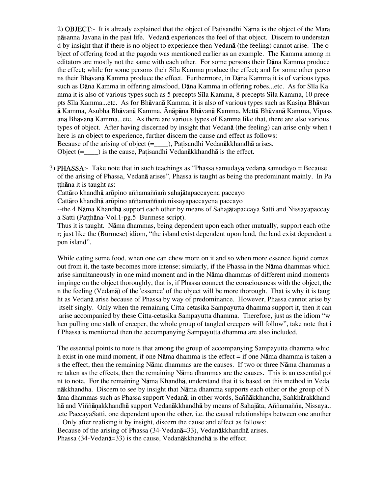2) **OBJECT**:- It is already explained that the object of Patisandhi Nama is the object of the Mara ˆåsanna Javana in the past life. Vedanå experiences the feel of that object. Discern to understan d by insight that if there is no object to experience then Vedanå (the feeling) cannot arise. The o bject of offering food at the pagoda was mentioned earlier as an example. The Kamma among m editators are mostly not the same with each other. For some persons their Dåna Kamma produce the effect; while for some persons their S<sub>Ila</sub> Kamma produce the effect; and for some other perso ns their Bhåvanå Kamma produce the effect. Furthermore, in Dåna Kamma it is of various types such as Dāna Kamma in offering almsfood, Dāna Kamma in offering robes...etc. As for Sīla Ka mma it is also of various types such as 5 precepts Sila Kamma, 8 precepts Sila Kamma, 10 prece pts Sīla Kamma...etc. As for Bhāvanā Kamma, it is also of various types such as Kasina Bhāvan å Kamma, Asubha Bhåvanå Kamma, Ónåpåna Bhåvanå Kamma, Mettå Bhåvanå Kamma, Vipass anå Bhåvanå Kamma...etc. As there are various types of Kamma like that, there are also various types of object. After having discerned by insight that Vedanå (the feeling) can arise only when t here is an object to experience, further discern the cause and effect as follows: Because of the arising of object  $(= \_$ ), Patisandhi Vedanākkhandhā arises. Object  $(=-)$  is the cause, Patisandhi Vedan $\bar{a}$ kkhandh $\bar{a}$  is the effect.

3) PHASSA:- Take note that in such teachings as "Phassa samudayå vedanå samudayo = Because of the arising of Phassa, Vedanå arises", Phassa is taught as being the predominant mainly. In Pa tthāna it is taught as:

Cattāro khandhā arūpino aññamaññam sahajātapaccayena paccayo

Cattāro khandhā arūpino aññamaññam nissayapaccayena paccayo

--the 4 Nåma Khandhå support each other by means of Sahajåtapaccaya Satti and Nissayapaccay a Satti (Patthāna-Vol.1-pg.5 Burmese script).

Thus it is taught. Nåma dhammas, being dependent upon each other mutually, support each othe r; just like the (Burmese) idiom, "the island exist dependent upon land, the land exist dependent u pon island".

While eating some food, when one can chew more on it and so when more essence liquid comes out from it, the taste becomes more intense; similarly, if the Phassa in the Nåma dhammas which arise simultaneously in one mind moment and in the Nåma dhammas of different mind moments impinge on the object thoroughly, that is, if Phassa connect the consciousness with the object, the n the feeling (Vedanå) of the 'essence' of the object will be more thorough. That is why it is taug ht as Vedanå arise because of Phassa by way of predominance. However, Phassa cannot arise by itself singly. Only when the remaining Citta-cetasika Sampayutta dhamma support it, then it can arise accompanied by these Citta-cetasika Sampayutta dhamma. Therefore, just as the idiom "w hen pulling one stalk of creeper, the whole group of tangled creepers will follow", take note that i f Phassa is mentioned then the accompanying Sampayutta dhamma are also included.

The essential points to note is that among the group of accompanying Sampayutta dhamma whic h exist in one mind moment, if one Nåma dhamma is the effect = if one Nåma dhamma is taken a s the effect, then the remaining Nåma dhammas are the causes. If two or three Nåma dhammas a re taken as the effects, then the remaining Nåma dhammas are the causes. This is an essential poi nt to note. For the remaining Nåma Khandhå, understand that it is based on this method in Veda nåkkhandha. Discern to see by insight that Nåma dhamma supports each other or the group of N åma dhammas such as Phassa support Vedanå; in other words, Saññåkkhandha, Sa∫khårakkhand hā and Viññānakkhandhā support Vedanākkhandhā by means of Sahajāta, Aññamañña, Nissaya.. .etc PaccayaSatti, one dependent upon the other, i.e. the causal relationships between one another . Only after realising it by insight, discern the cause and effect as follows: Because of the arising of Phassa (34-Vedanå=33), Vedanåkkhandhå arises.

Phassa (34-Vedanå=33) is the cause, Vedanåkkhandhå is the effect.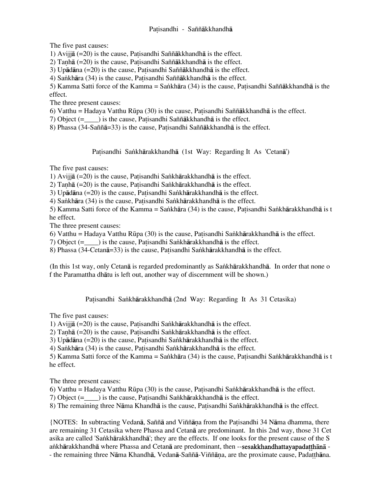# Patisandhi - Saññākkhandhā

The five past causes:

1) Avijjā  $(=20)$  is the cause, Patisandhi Saññākkhandhā is the effect.

2) Tanhā  $(=20)$  is the cause, Patisandhi Saññākkhandhā is the effect.

3) Upādāna  $(=20)$  is the cause, Patisandhi Saññākkhandhā is the effect.

4) Sankhāra (34) is the cause, Patisandhi Saññākkhandhā is the effect.

5) Kamma Satti force of the Kamma = Sankhāra (34) is the cause, Patisandhi Saññākkhandhā is the effect.

The three present causes:

6) Vatthu = Hadaya Vatthu Rūpa (30) is the cause, Patisandhi Saññākkhandhā is the effect.

7) Object  $(=\_$ ) is the cause, Patisandhi Saññākkhandhā is the effect.

8) Phassa (34-Saññā=33) is the cause, Patisandhi Saññākkhandhā is the effect.

Patisandhi Sankhārakkhandhā (1st Way: Regarding It As 'Cetanā')

The five past causes:

1) Avijjā (=20) is the cause, Patisandhi Sankhārakkhandhā is the effect.

2) Tanhā (=20) is the cause, Patisandhi Sankhārakkhandhā is the effect.

3) Up $\bar{a}$ dāna (=20) is the cause, Patisandhi Sankhārakkhandhā is the effect.

4) Sankhāra (34) is the cause, Patisandhi Sankhārakkhandhā is the effect.

5) Kamma Satti force of the Kamma = Sankhāra (34) is the cause, Patisandhi Sankhārakkhandhā is t he effect.

The three present causes:

6) Vatthu = Hadaya Vatthu Rūpa (30) is the cause, Patisandhi Sankhārakkhandhā is the effect.

7) Object (=\_\_\_\_) is the cause, Patisandhi Sankhārakkhandhā is the effect.

8) Phassa (34-Cetanā=33) is the cause, Patisandhi Sankhārakkhandhā is the effect.

(In this 1st way, only Cetanā is regarded predominantly as Sankhārakkhandhā. In order that none o f the Paramattha dhåtu is left out, another way of discernment will be shown.)

Patisandhi Sankhārakkhandhā (2nd Way: Regarding It As 31 Cetasika)

The five past causes:

1) Aviji $\bar{a}$  (=20) is the cause, Patisandhi Sankhārakkhandhā is the effect.

2) Tanhā (=20) is the cause, Patisandhi Sankhārakkhandhā is the effect.

3) Upādāna (=20) is the cause, Patisandhi Sankhārakkhandhā is the effect.

4) Sankhāra (34) is the cause, Patisandhi Sankhārakkhandhā is the effect.

5) Kamma Satti force of the Kamma = Sankhāra (34) is the cause, Patisandhi Sankhārakkhandhā is t he effect.

The three present causes:

6) Vatthu = Hadaya Vatthu Rūpa (30) is the cause, Patisandhi Sankhārakkhandhā is the effect.

7) Object (=\_\_\_\_) is the cause, Patisandhi Sankhārakkhandhā is the effect.

8) The remaining three Nāma Khandhā is the cause, Patisandhi Sankhārakkhandhā is the effect.

{NOTES: In subtracting Vedanå, Saññå and Viññåˆa from the Pa isandhi 34 Nåma dhamma, there are remaining 31 Cetasika where Phassa and Cetanå are predominant. In this 2nd way, those 31 Cet asika are called 'Sankhārakkhandhā'; they are the effects. If one looks for the present cause of the S ankhārakkhandhā where Phassa and Cetanā are predominant, then --sesakkhandhattayapadatthānā -- the remaining three Nāma Khandhā, Vedanā-Saññā-Viññāna, are the proximate cause, Padatthāna.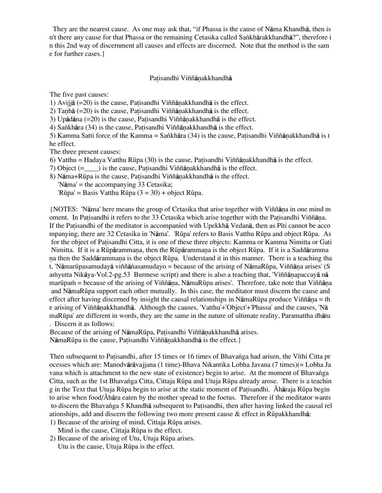They are the nearest cause. As one may ask that, "if Phassa is the cause of Nåma Khandhå, then is n't there any cause for that Phassa or the remaining Cetasika called Sankhārakkhandhā?", therefore i n this 2nd way of discernment all causes and effects are discerned. Note that the method is the sam e for further cases.}

### Patisandhi Viññānakkhandhā

The five past causes:

1) Avijjā  $(=20)$  is the cause, Patisandhi Viññānakkhandhā is the effect.

2) Tanhā (=20) is the cause, Patisandhi Viññānakkhandhā is the effect.

3) Upādāna  $(=20)$  is the cause, Patisandhi Viññānakkhandhā is the effect.

4) Sankhāra  $(34)$  is the cause, Patisandhi Viññānakkhandhā is the effect.

5) Kamma Satti force of the Kamma = Sankhāra (34) is the cause, Patisandhi Viññānakkhandhā is t he effect.

The three present causes:

6) Vatthu = Hadaya Vatthu Rūpa (30) is the cause, Patisandhi Viññānakkhandhā is the effect.

7) Object  $(=$   $)$  is the cause, Patisandhi Viññānakkhandhā is the effect.

8) Nāma+Rūpa is the cause, Patisandhi Viññānakkhandhā is the effect.

'Nåma' = the accompanying 33 Cetasika;

'Rūpa' = Basis Vatthu Rūpa  $(3 = 30)$  + object Rūpa.

{NOTES: 'Nåma' here means the group of Cetasika that arise together with Viññåˆa in one mind m oment. In Patisandhi it refers to the 33 Cetasika which arise together with the Patisandhi Viññāna. If the Patisandhi of the meditator is accompanied with Upekkha Vedana, then as Piti cannot be acco mpanying, there are 32 Cetasika in 'Nåma'. 'RËpa' refers to Basis Vatthu RËpa and object RËpa. As for the object of Patisandhi Citta, it is one of these three objects: Kamma or Kamma Nimitta or Gati Nimitta. If it is a Rüpārammana, then the Rüpārammana is the object Rüpa. If it is a Saddāramma na then the Saddārammana is the object Rūpa. Understand it in this manner. There is a teaching tha t, 'Nāmarūpasamudayā viññānasamudayo = because of the arising of NāmaRūpa, Viññāṇa arises' (S amyutta Nikāya-Vol.2-pg.53 Burmese script) and there is also a teaching that, 'Viññānapaccayā nā marūpam = because of the arising of Viññāna, NāmaRūpa arises'. Therefore, take note that Viññāna and NåmaRËpa support each other mutually. In this case, the meditator must discern the cause and effect after having discerned by insight the causal relationships in NāmaRūpa produce Viññāna = th e arising of Viññānakkhandhā. Although the causes, 'Vatthu'+'Object'+'Phassa' and the causes, 'Nā maRËpa' are different in words, they are the same in the nature of ultimate reality, Paramattha dhåtu . Discern it as follows:

Because of the arising of NāmaRūpa, Patisandhi Viññānakkhandhā arises. NāmaRūpa is the cause, Patisandhi Viññānakkhandhā is the effect.

Then subsequent to Patisandhi, after 15 times or 16 times of Bhavanga had arisen, the Vīthi Citta pr ocesses which are: Manodvåråvajjana (1 time)-Bhava Nikantika Lobha Javana (7 times)(= Lobha Ja vana which is attachment to the new state of existence) begin to arise. At the moment of Bhavanga Citta, such as the 1st Bhavanga Citta, Cittaja Rūpa and Utuja Rūpa already arose. There is a teachin g in the Text that Utuja Rūpa begin to arise at the static moment of Patisandhi. Ahāraja Rūpa begin to arise when food/ $\overline{A}$ hara eaten by the mother spread to the foetus. Therefore if the meditator wants to discern the Bhavanga 5 Khandhā subsequent to Patisandhi, then after having linked the causal rel ationships, add and discern the following two more present cause  $\&$  effect in Rūpakkhandhā:

- 1) Because of the arising of mind, Cittaja Rūpa arises. Mind is the cause, Cittaja Rūpa is the effect.
- 2) Because of the arising of Utu, Utuja Rūpa arises. Utu is the cause, Utuja Rūpa is the effect.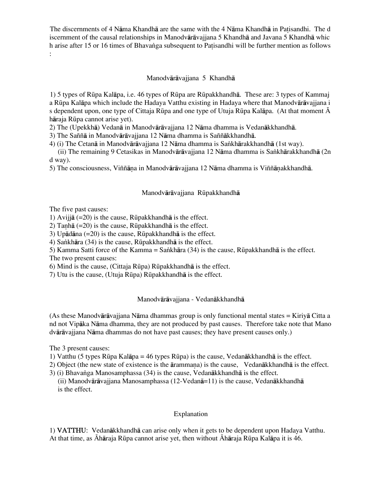The discernments of 4 Nāma Khandhā are the same with the 4 Nāma Khandhā in Patisandhi. The d iscernment of the causal relationships in Manodvåråvajjana 5 Khandhå and Javana 5 Khandhå whic h arise after 15 or 16 times of Bhavanga subsequent to Patisandhi will be further mention as follows :

# Manodvåråvajjana 5 Khandhå

1) 5 types of RËpa Kalåpa, i.e. 46 types of RËpa are RËpakkhandhå. These are: 3 types of Kammaj a Rūpa Kalāpa which include the Hadaya Vatthu existing in Hadaya where that Manodvārāvajjana i s dependent upon, one type of Cittaja Rūpa and one type of Utuja Rūpa Kalāpa. (At that moment  $\bar{A}$ håraja RËpa cannot arise yet).

2) The (Upekkhå) Vedanå in Manodvåråvajjana 12 Nåma dhamma is Vedanåkkhandhå.

3) The Saññå in Manodvåråvajjana 12 Nåma dhamma is Saññåkkhandhå.

4) (i) The Cetanā in Manodvārāvajjana 12 Nāma dhamma is Sankhārakkhandhā (1st way).

 (ii) The remaining 9 Cetasikas in Manodvåråvajjana 12 Nåma dhamma is Sa∫khårakkhandhå (2n d way).

5) The consciousness, Viññāna in Manodvārāvajiana 12 Nāma dhamma is Viññānakkhandhā.

## Manodvārāvajjana Rūpakkhandhā

The five past causes:

1) Aviijā  $(=20)$  is the cause, Rūpakkhandhā is the effect.

2) Tanhā  $(=20)$  is the cause, Rūpakkhandhā is the effect.

3) Up $\bar{a}$ dāna (=20) is the cause, Rūpakkhandhā is the effect.

4) Sankhāra (34) is the cause, Rūpakkhandhā is the effect.

5) Kamma Satti force of the Kamma = Sankhāra (34) is the cause, Rūpakkhandhā is the effect.

The two present causes:

6) Mind is the cause, (Cittaja RËpa) RËpakkhandhå is the effect.

7) Utu is the cause, (Utuja RËpa) RËpakkhandhå is the effect.

# Manodvåråvajjana - Vedanåkkhandhå

(As these Manodvåråvajjana Nåma dhammas group is only functional mental states = Kiriyå Citta a nd not Vipåka Nåma dhamma, they are not produced by past causes. Therefore take note that Mano dvåråvajjana Nåma dhammas do not have past causes; they have present causes only.)

The 3 present causes:

1) Vatthu (5 types RËpa Kalåpa = 46 types RËpa) is the cause, Vedanåkkhandhå is the effect.

2) Object (the new state of existence is the  $\bar{a}$ rammana) is the cause, Vedan $\bar{a}$ kkhandh $\bar{a}$  is the effect.

3) (i) Bhavanga Manosamphassa (34) is the cause, Vedanākkhandhā is the effect.

 (ii) Manodvåråvajjana Manosamphassa (12-Vedanå=11) is the cause, Vedanåkkhandhå is the effect.

# Explanation

1) VATTHU: Vedanåkkhandhå can arise only when it gets to be dependent upon Hadaya Vatthu. At that time, as Āhāraja Rūpa cannot arise yet, then without Āhāraja Rūpa Kalāpa it is 46.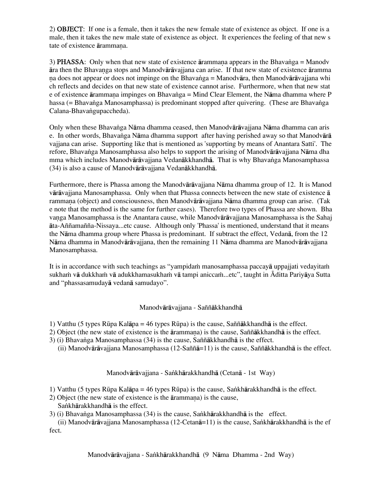2) OBJECT: If one is a female, then it takes the new female state of existence as object. If one is a male, then it takes the new male state of existence as object. It experiences the feeling of that new s tate of existence ārammana.

3) PHASSA: Only when that new state of existence  $\bar{a}$  rammana appears in the Bhavanga = Manodv åra then the Bhavaˆga stops and Manodvåråvajjana can arise. If that new state of existence åramma na does not appear or does not impinge on the Bhavanga = Manodvāra, then Manodvārāvajjana whi ch reflects and decides on that new state of existence cannot arise. Furthermore, when that new stat e of existence ārammana impinges on Bhavanga = Mind Clear Element, the Nāma dhamma where P hassa (= Bhavanga Manosamphassa) is predominant stopped after quivering. (These are Bhavanga Calana-Bhavangupaccheda).

Only when these Bhava∫ga Nåma dhamma ceased, then Manodvåråvajjana Nåma dhamma can aris e. In other words, Bhavanga Nāma dhamma support after having perished away so that Manodvārā vajjana can arise. Supporting like that is mentioned as 'supporting by means of Anantara Satti'. The refore, Bhavanga Manosamphassa also helps to support the arising of Manodvārāvajjana Nāma dha mma which includes Manodvārāvajjana Vedanākkhandhā. That is why Bhavanga Manosamphassa (34) is also a cause of Manodvåråvajjana Vedanåkkhandhå.

Furthermore, there is Phassa among the Manodvåråvajjana Nåma dhamma group of 12. It is Manod våråvajjana Manosamphassa. Only when that Phassa connects between the new state of existence å rammana (object) and consciousness, then Manodvārāvajjana Nāma dhamma group can arise. (Tak e note that the method is the same for further cases). Therefore two types of Phassa are shown. Bha vanga Manosamphassa is the Anantara cause, while Manodvārāvajjana Manosamphassa is the Sahaj åta-Aññamañña-Nissaya...etc cause. Although only 'Phassa' is mentioned, understand that it means the Nåma dhamma group where Phassa is predominant. If subtract the effect, Vedanå, from the 12 Nåma dhamma in Manodvåråvajjana, then the remaining 11 Nåma dhamma are Manodvåråvajjana Manosamphassa.

It is in accordance with such teachings as "yampidam manosamphassa paccaya uppajjati vedayitam sukham vā dukkham vā adukkhamasukham vā tampi aniccam ...etc", taught in Āditta Pariyāya Sutta and "phassasamudayå vedanå samudayo".

# Manodvåråvajjana - Saññåkkhandhå

1) Vatthu (5 types RËpa Kalåpa = 46 types RËpa) is the cause, Saññåkkhandhå is the effect.

- 2) Object (the new state of existence is the ārammana) is the cause, Saññākkhandhā is the effect.
- 3) (i) Bhava∫ga Manosamphassa (34) is the cause, Saññåkkhandhå is the effect.
	- (ii) Manodvåråvajjana Manosamphassa (12-Saññå=11) is the cause, Saññåkkhandhå is the effect.

### Manodvārāvajjana - Saṅkhārakkhandhā (Cetanā - 1st Way)

- 1) Vatthu (5 types RËpa Kalåpa = 46 types RËpa) is the cause, Sa∫khårakkhandhå is the effect.
- $2)$  Object (the new state of existence is the  $\bar{a}$ rammana) is the cause, Sankhārakkhandhā is the effect.
- 3) (i) Bhavanga Manosamphassa (34) is the cause, Sankhārakkhandhā is the effect.

(ii) Manodvārāvajjana Manosamphassa (12-Cetanā=11) is the cause, Sankhārakkhandhā is the ef fect.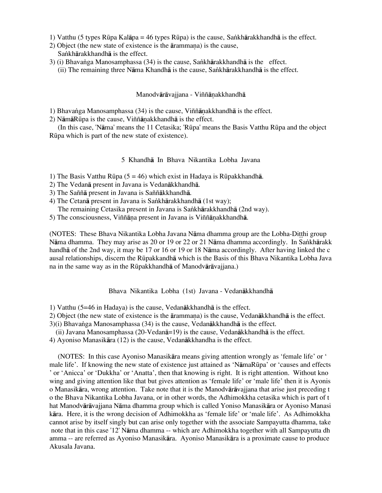- 1) Vatthu (5 types Rūpa Kalāpa = 46 types Rūpa) is the cause, Sankhārakkhandhā is the effect.
- $2)$  Object (the new state of existence is the  $\bar{a}$ rammana) is the cause, Sankhārakkhandhā is the effect.
- 3) (i) Bhavanga Manosamphassa (34) is the cause, Sankhārakkhandhā is the effect.
	- (ii) The remaining three N $\overline{a}$ ma Khandh $\overline{a}$  is the cause, Sankh $\overline{a}$ rakkhandh $\overline{a}$  is the effect.

### Manodvārāvajjana - Viññānakkhandhā

1) Bhavanga Manosamphassa  $(34)$  is the cause, Viññānakkhandhā is the effect.

2) NāmāRūpa is the cause, Viññānakkhandhā is the effect.

 (In this case, 'Nåma' means the 11 Cetasika; 'RËpa' means the Basis Vatthu RËpa and the object RËpa which is part of the new state of existence).

### 5 Khandhå In Bhava Nikantika Lobha Javana

1) The Basis Vatthu Rūpa (5 = 46) which exist in Hadaya is Rūpakkhandhā.

- 2) The Vedanå present in Javana is Vedanåkkhandhå.
- 3) The Saññå present in Javana is Saññåkkhandhå.
- 4) The Cetanā present in Javana is Sankhārakkhandhā (1st way);

The remaining Cetasika present in Javana is Sankhārakkhandhā (2nd way).

5) The consciousness, Viññāna present in Javana is Viññānakkhandhā.

(NOTES: These Bhava Nikantika Lobha Javana Nāma dhamma group are the Lobha-Ditthi group Nāma dhamma. They may arise as 20 or 19 or 22 or 21 Nāma dhamma accordingly. In Sankhārakk handhå of the 2nd way, it may be 17 or 16 or 19 or 18 Nåma accordingly. After having linked the c ausal relationships, discern the RËpakkandhå which is the Basis of this Bhava Nikantika Lobha Java na in the same way as in the RËpakkhandhå of Manodvåråvajjana.)

Bhava Nikantika Lobha (1st) Javana - Vedanåkkhandhå

1) Vatthu (5=46 in Hadaya) is the cause, Vedanåkkhandhå is the effect.

2) Object (the new state of existence is the  $\overline{a}$  rammana) is the cause, Vedan $\overline{a}$ kkhandh $\overline{a}$  is the effect.

3)(i) Bhavanga Manosamphassa (34) is the cause, Vedanākkhandhā is the effect.

- (ii) Javana Manosamphassa (20-Vedanå=19) is the cause, Vedanåkkhandhå is the effect.
- 4) Ayoniso Manasikåra (12) is the cause, Vedanåkkhandha is the effect.

 (NOTES: In this case Ayoniso Manasikåra means giving attention wrongly as 'female life' or ' male life'. If knowing the new state of existence just attained as 'NåmaRËpa' or 'causes and effects ' or 'Anicca' or 'Dukkha' or 'Anatta', then that knowing is right. It is right attention. Without kno wing and giving attention like that but gives attention as 'female life' or 'male life' then it is Ayonis o Manasikåra, wrong attention. Take note that it is the Manodvåråvajjana that arise just preceding t o the Bhava Nikantika Lobha Javana, or in other words, the Adhimokkha cetasika which is part of t hat Manodvåråvajjana Nåma dhamma group which is called Yoniso Manasikåra or Ayoniso Manasi kåra. Here, it is the wrong decision of Adhimokkha as 'female life' or 'male life'. As Adhimokkha cannot arise by itself singly but can arise only together with the associate Sampayutta dhamma, take note that in this case '12' Nåma dhamma -- which are Adhimokkha together with all Sampayutta dh amma -- are referred as Ayoniso Manasikåra. Ayoniso Manasikåra is a proximate cause to produce Akusala Javana.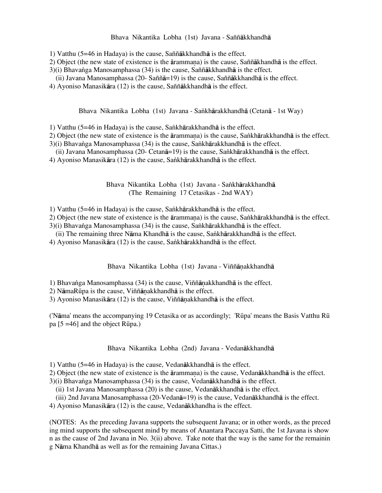### Bhava Nikantika Lobha (1st) Javana - Saññåkkhandhå

1) Vatthu (5=46 in Hadaya) is the cause, Saññåkkhandhå is the effect.

2) Object (the new state of existence is the ārammana) is the cause, Saññākhandhā is the effect.

- 3)(i) Bhavanga Manosamphassa (34) is the cause, Saññākkhandhā is the effect.
- (ii) Javana Manosamphassa (20- Saññå=19) is the cause, Saññåkkhandhå is the effect.
- 4) Ayoniso Manasikåra (12) is the cause, Saññåkkhandhå is the effect.

Bhava Nikantika Lobha (1st) Javana - Sankhārakkhandhā (Cetanā - 1st Way)

1) Vatthu (5=46 in Hadaya) is the cause, Sankhārakkhandhā is the effect.

- 2) Object (the new state of existence is the ārammana) is the cause, Sankhārakkhandhā is the effect.
- 3)(i) Bhavanga Manosamphassa (34) is the cause, Sankhārakkhandhā is the effect.
- (ii) Javana Manosamphassa (20- Cetan $\bar{a}$ =19) is the cause, Sankhārakkhandhā is the effect.
- 4) Ayoniso Manasikāra (12) is the cause, Sankhārakkhandhā is the effect.

Bhava Nikantika Lobha (1st) Javana - Sankhārakkhandhā (The Remaining 17 Cetasikas - 2nd WAY)

1) Vatthu (5=46 in Hadaya) is the cause, Sankhārakkhandhā is the effect.

2) Object (the new state of existence is the ārammana) is the cause, Sankhārakkhandhā is the effect.

3)(i) Bhavanga Manosamphassa (34) is the cause, Sankhārakkhandhā is the effect.

- (ii) The remaining three Nāma Khandhā is the cause, Sankhārakkhandhā is the effect.
- 4) Ayoniso Manasikāra (12) is the cause, Sankhārakkhandhā is the effect.

Bhava Nikantika Lobha (1st) Javana - Viññānakkhandhā

1) Bhavanga Manosamphassa  $(34)$  is the cause, Viññānakkhandhā is the effect.

2) N $\bar{a}$ ma $R\bar{u}$ pa is the cause, Viññ $\bar{a}$ nakkhandh $\bar{a}$  is the effect.

3) Ayoniso Manasikāra  $(12)$  is the cause, Viññānakkhandhā is the effect.

('Nåma' means the accompanying 19 Cetasika or as accordingly; 'RËpa' means the Basis Vatthu RË pa  $[5 = 46]$  and the object Rūpa.)

Bhava Nikantika Lobha (2nd) Javana - Vedanåkkhandhå

1) Vatthu (5=46 in Hadaya) is the cause, Vedanåkkhandhå is the effect.

- 2) Object (the new state of existence is the  $\overline{a}$ rammana) is the cause, Vedan $\overline{a}$ kkhandh $\overline{a}$  is the effect.
- 3)(i) Bhavanga Manosamphassa (34) is the cause, Vedanākkhandhā is the effect.
	- (ii) 1st Javana Manosamphassa (20) is the cause, Vedanåkkhandhå is the effect.
	- (iii) 2nd Javana Manosamphassa (20-Vedanå=19) is the cause, Vedanåkkhandhå is the effect.
- 4) Ayoniso Manasikåra (12) is the cause, Vedanåkkhandha is the effect.

(NOTES: As the preceding Javana supports the subsequent Javana; or in other words, as the preced ing mind supports the subsequent mind by means of Anantara Paccaya Satti, the 1st Javana is show n as the cause of 2nd Javana in No. 3(ii) above. Take note that the way is the same for the remainin g Nåma Khandhå as well as for the remaining Javana Cittas.)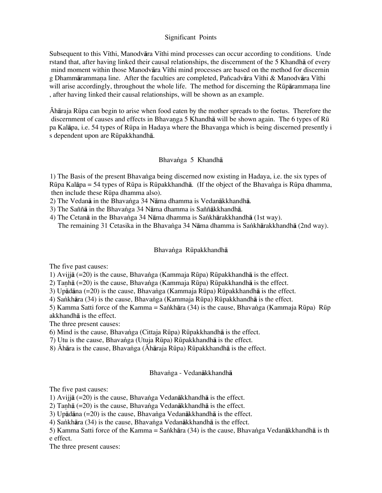# Significant Points

Subsequent to this V<sub>I</sub>thi, Manodvāra V<sub>I</sub>thi mind processes can occur according to conditions. Unde rstand that, after having linked their causal relationships, the discernment of the 5 Khandhå of every mind moment within those Manodvāra Vīthi mind processes are based on the method for discernin g Dhammārammana line. After the faculties are completed, Pañcadvāra Vīthi & Manodvāra Vīthi will arise accordingly, throughout the whole life. The method for discerning the Rūpārammana line , after having linked their causal relationships, will be shown as an example.

Óhåraja RËpa can begin to arise when food eaten by the mother spreads to the foetus. Therefore the discernment of causes and effects in Bhavanga 5 Khandh $\bar{a}$  will be shown again. The 6 types of  $R\bar{u}$ pa Kalāpa, i.e. 54 types of Rūpa in Hadaya where the Bhavanga which is being discerned presently i s dependent upon are Rūpakkhandhā.

## Bhavanga 5 Khandha

1) The Basis of the present Bhavanga being discerned now existing in Hadaya, i.e. the six types of Rūpa Kalāpa = 54 types of Rūpa is Rūpakkhandhā. (If the object of the Bhavanga is Rūpa dhamma, then include these Rūpa dhamma also).

2) The Vedanā in the Bhavanga 34 Nāma dhamma is Vedanākkhandhā.

3) The Saññā in the Bhavanga 34 Nāma dhamma is Saññākkhandhā.

4) The Cetanā in the Bhavanga 34 Nāma dhamma is Sankhārakkhandhā (1st way). The remaining 31 Cetasika in the Bhavanga 34 Nāma dhamma is Sankhārakkhandhā (2nd way).

# Bhavanga Rūpakkhandhā

The five past causes:

1) Avijjå (=20) is the cause, Bhava∫ga (Kammaja RËpa) RËpakkhandhå is the effect.

2) Taṇhā (=20) is the cause, Bhavaṅga (Kammaja Rūpa) Rūpakkhandhā is the effect.

3) Upādāna (=20) is the cause, Bhavanga (Kammaja Rūpa) Rūpakkhandhā is the effect.

4) Sa∫khåra (34) is the cause, Bhava∫ga (Kammaja RËpa) RËpakkhandhå is the effect.

5) Kamma Satti force of the Kamma = Sankhāra (34) is the cause, Bhavanga (Kammaja Rūpa) Rūp akkhandhå is the effect.

The three present causes:

6) Mind is the cause, Bhavanga (Cittaja Rūpa) Rūpakkhandhā is the effect.

7) Utu is the cause, Bhavanga (Utuja Rūpa) Rūpakkhandhā is the effect.

8) Áhāra is the cause, Bhavanga (Áhāraja Rūpa) Rūpakkhandhā is the effect.

### Bhavanga - Vedanākkhandhā

The five past causes:

1) Avijjā (=20) is the cause, Bhavanga Vedanākkhandhā is the effect.

2) Tanhā (=20) is the cause, Bhavanga Vedanākkhandhā is the effect.

3) Upādāna (=20) is the cause, Bhavanga Vedanākkhandhā is the effect.

4) Sankhāra (34) is the cause, Bhavanga Vedanākkhandhā is the effect.

5) Kamma Satti force of the Kamma = Sankhāra (34) is the cause, Bhavanga Vedanākkhandhā is th e effect.

The three present causes: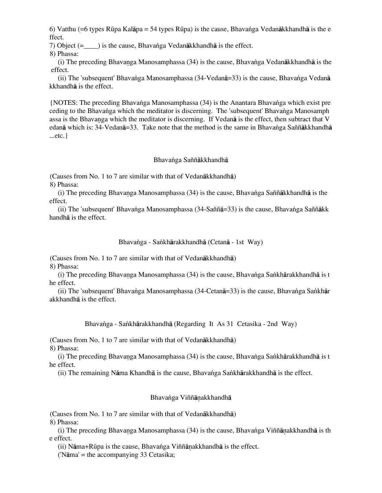6) Vatthu (=6 types RËpa Kalåpa = 54 types RËpa) is the cause, Bhava∫ga Vedanåkkhandhå is the e ffect.

7) Object (=  $\blacksquare$ ) is the cause, Bhavanga Vedanākkhandhā is the effect.

8) Phassa:

(i) The preceding Bhavanga Manosamphassa (34) is the cause, Bhavanga Vedan $\bar{a}$ kkhandh $\bar{a}$  is the effect.

(ii) The 'subsequent' Bhavanga Manosamphassa (34-Vedanā=33) is the cause, Bhavanga Vedanā kkhandhå is the effect.

{NOTES: The preceding Bhava∫ga Manosamphassa (34) is the Anantara Bhava∫ga which exist pre ceding to the Bhavanga which the meditator is discerning. The 'subsequent' Bhavanga Manosamph assa is the Bhavanga which the meditator is discerning. If Vedana is the effect, then subtract that V edanā which is: 34-Vedanā=33. Take note that the method is the same in Bhavanga Saññākkhandhā ...etc.}

## Bhavanga Saññākkhandhā

(Causes from No. 1 to 7 are similar with that of Vedanåkkhandhå) 8) Phassa:

(i) The preceding Bhavanga Manosamphassa (34) is the cause, Bhavanga Saññākkhandhā is the effect.

 (ii) The 'subsequent' Bhava∫ga Manosamphassa (34-Saññå=33) is the cause, Bhava∫ga Saññåkk handhå is the effect.

### Bhavanga - Sankhārakkhandhā (Cetanā - 1st Way)

(Causes from No. 1 to 7 are similar with that of Vedanåkkhandhå) 8) Phassa:

(i) The preceding Bhavanga Manosamphassa (34) is the cause, Bhavanga Sankhārakkhandhā is t he effect.

(ii) The 'subsequent' Bhavanga Manosamphassa (34-Cetanā=33) is the cause, Bhavanga Sankhār akkhandhå is the effect.

Bhava∫ga - Sa∫khårakkhandhå (Regarding It As 31 Cetasika - 2nd Way)

(Causes from No. 1 to 7 are similar with that of Vedanåkkhandhå) 8) Phassa:

(i) The preceding Bhavanga Manosamphassa (34) is the cause, Bhavanga Sankhārakkhandhā is t he effect.

(ii) The remaining Nāma Khandhā is the cause, Bhavanga Sankhārakkhandhā is the effect.

# Bhavanga Viññānakkhandhā

(Causes from No. 1 to 7 are similar with that of Vedanåkkhandhå)

8) Phassa:

(i) The preceding Bhavanga Manosamphassa (34) is the cause, Bhavanga Viññānakkhandhā is th e effect.

(ii) N $\bar{a}$ ma+Rūpa is the cause, Bhavanga Viññ $\bar{a}$ nakkhandh $\bar{a}$  is the effect.

('Nåma' = the accompanying 33 Cetasika;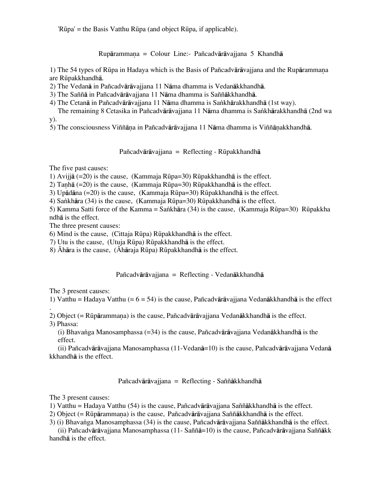'RËpa' = the Basis Vatthu RËpa (and object RËpa, if applicable).

 $R$ upārammana = Colour Line:- Pañcadvārāvajjana 5 Khandhā

1) The 54 types of Rūpa in Hadaya which is the Basis of Pañcadvārāvajjana and the Rupārammana are RËpakkhandhå.

2) The Vedanå in Pañcadvåråvajjana 11 Nåma dhamma is Vedanåkkhandhå.

3) The Saññå in Pañcadvåråvajjana 11 Nåma dhamma is Saññåkkhandhå.

4) The Cetanā in Pañcadvārāvajjana 11 Nāma dhamma is Sankhārakkhandhā (1st way).

The remaining 8 Cetasika in Pañcadvārāvajiana 11 Nāma dhamma is Sankhārakkhandhā (2nd wa y).

5) The consciousness Viññāna in Pañcadvārāvajjana 11 Nāma dhamma is Viññānakkhandhā.

Pañcadvārāvajjana = Reflecting - Rūpakkhandhā

The five past causes:

1) Avijjā (=20) is the cause, (Kammaja Rūpa=30) Rūpakkhandhā is the effect.

2) Tanhā (=20) is the cause, (Kammaja Rūpa=30) Rūpakkhandhā is the effect.

3) Upådåna (=20) is the cause, (Kammaja RËpa=30) RËpakkhandhå is the effect.

4) Sankhāra (34) is the cause, (Kammaja Rūpa=30) Rūpakkhandhā is the effect.

5) Kamma Satti force of the Kamma = Sankhāra (34) is the cause, (Kammaja Rūpa=30) Rūpakkha ndhå is the effect.

The three present causes:

6) Mind is the cause, (Cittaja RËpa) RËpakkhandhå is the effect.

7) Utu is the cause, (Utuja RËpa) RËpakkhandhå is the effect.

8)  $\bar{A}$ hāra is the cause, ( $\bar{A}$ hāraja Rūpa) Rūpakkhandhā is the effect.

Pañcadvåråvajjana = Reflecting - Vedanåkkhandhå

The 3 present causes:

1) Vatthu = Hadaya Vatthu (=  $6 = 54$ ) is the cause, Pañcadvārāvajiana Vedanākkhandhā is the effect

. 2) Object (=  $R\bar{u}$ pārammana) is the cause, Pañcadvārāvajiana Vedanākkhandhā is the effect.

3) Phassa:

 (i) Bhava∫ga Manosamphassa (=34) is the cause, Pañcadvåråvajjana Vedanåkkhandhå is the effect.

 (ii) Pañcadvåråvajjana Manosamphassa (11-Vedanå=10) is the cause, Pañcadvåråvajjana Vedanå kkhandhå is the effect.

# Pañcadvåråvajjana = Reflecting - Saññåkkhandhå

The 3 present causes:

1) Vatthu = Hadaya Vatthu (54) is the cause, Pañcadvåråvajjana Saññåkkhandhå is the effect.

2) Object (=  $R\bar{u}$ pārammana) is the cause, Pañcadvārāvajjana Saññākkhandhā is the effect.

3) (i) Bhava∫ga Manosamphassa (34) is the cause, Pañcadvåråvajjana Saññåkkhandhå is the effect.

 (ii) Pañcadvåråvajjana Manosamphassa (11- Saññå=10) is the cause, Pañcadvåråvajjana Saññåkk handhå is the effect.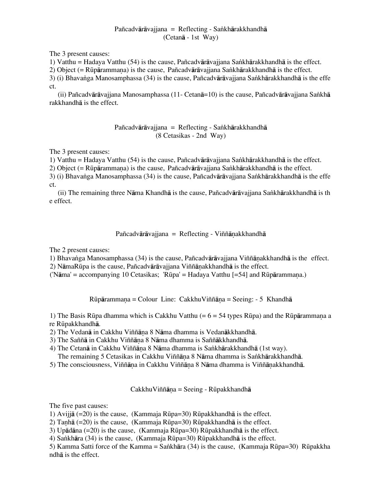# Pañcadvārāvajjana = Reflecting - Sankhārakkhandhā (Cetanå - 1st Way)

The 3 present causes:

1) Vatthu = Hadaya Vatthu (54) is the cause, Pañcadvārāvajjana Sankhārakkhandhā is the effect.

2) Object (= Rūpārammana) is the cause, Pañcadvārāvajjana Sankhārakkhandhā is the effect.

3) (i) Bhavanga Manosamphassa (34) is the cause, Pañcadvārāvajjana Sankhārakkhandhā is the effe ct.

(ii) Pañcadvārāvajjana Manosamphassa (11- Cetanā=10) is the cause, Pañcadvārāvajjana Sankhā rakkhandhå is the effect.

# Pañcadvārāvajjana = Reflecting - Sankhārakkhandhā (8 Cetasikas - 2nd Way)

The 3 present causes:

1) Vatthu = Hadaya Vatthu (54) is the cause, Pañcadvåråvajjana Sa∫khårakkhandhå is the effect.

2) Object (= Rūpārammana) is the cause, Pañcadvārāvajiana Sankhārakkhandhā is the effect.

3) (i) Bhavanga Manosamphassa (34) is the cause, Pañcadvārāvajjana Sankhārakkhandhā is the effe ct.

 (ii) The remaining three Nåma Khandhå is the cause, Pañcadvåråvajjana Sa∫khårakkhandhå is th e effect.

# Pañcadvārāvajjana = Reflecting - Viññānakkhandhā

The 2 present causes:

1) Bhavanga Manosamphassa (34) is the cause, Pañcadvārāvajjana Viññānakkhandhā is the effect.

2) NāmaRūpa is the cause, Pañcadvārāvajjana Viññānakkhandhā is the effect.

 $(Nāma' = accompanying 10 Cetasikas; 'Rūpa' = Hadava Vatthu [ = 54] and Rūpārammana.)$ 

 $R\bar{u}p\bar{a}r$ ammana = Colour Line: CakkhuViññ $\bar{a}$ na = Seeing: - 5 Khandh $\bar{a}$ 

1) The Basis Rūpa dhamma which is Cakkhu Vatthu ( $= 6 = 54$  types Rūpa) and the Rūpārammana a re Rüpakkhandhā.

2) The Vedanā in Cakkhu Viññāna 8 Nāma dhamma is Vedanākkhandhā.

3) The Saññā in Cakkhu Viññāna 8 Nāma dhamma is Saññākkhandhā.

4) The Cetanā in Cakkhu Viññāna 8 Nāma dhamma is Sankhārakkhandhā (1st way).

The remaining 5 Cetasikas in Cakkhu Viññāna 8 Nāma dhamma is Sankhārakkhandhā.

5) The consciousness, Viññāna in Cakkhu Viññāna 8 Nāma dhamma is Viññānakkhandhā.

 $CakkhuViññāna = Seeing - Rūpakkhandhā$ 

The five past causes:

1) Avijjā (=20) is the cause, (Kammaja Rūpa=30) Rūpakkhandhā is the effect.

2) Tanhā (=20) is the cause, (Kammaja Rūpa=30) Rūpakkhandhā is the effect.

3) Upådåna (=20) is the cause, (Kammaja RËpa=30) RËpakkhandhå is the effect.

4) Sankhāra (34) is the cause, (Kammaja Rūpa=30) Rūpakkhandhā is the effect.

5) Kamma Satti force of the Kamma = Sankhāra (34) is the cause, (Kammaja Rūpa=30) Rūpakkha ndhå is the effect.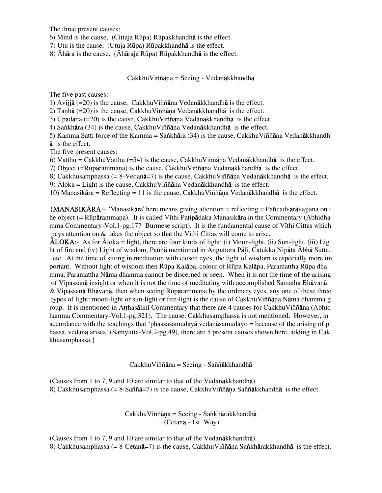The three present causes:

6) Mind is the cause, (Cittaja RËpa) RËpakkhandhå is the effect.

7) Utu is the cause, (Utuja RËpa) RËpakkhandhå is the effect.

8)  $\bar{A}$ hāra is the cause, ( $\bar{A}$ hāraja Rūpa) Rūpakkhandhā is the effect.

Cakkhu Viññāna = Seeing - Vedanākkhandhā

The five past causes:

1) Avijjā  $(=20)$  is the cause, Cakkhu Viññāna Vedanākkhandhā is the effect.

2) Tanhā  $(=20)$  is the cause, CakkhuViññāna Vedanākkhandhā is the effect.

3) Upādāna  $(=20)$  is the cause, Cakkhu Viññāna Vedanākkhandhā is the effect.

4) Sankhāra (34) is the cause, CakkhuViññāna Vedanākkhandhā is the effect.

5) Kamma Satti force of the Kamma = Sankhāra (34) is the cause, CakkhuViññāna Vedanākkhandh å is the effect.

The five present causes:

6) Vatthu = CakkhuVatthu (=54) is the cause, CakkhuViññāna Vedanākkhandhā is the effect.

7) Object (=Rūpārammana) is the cause, Cakkhu Viññāna Vedanākkhandhā is the effect.

8) Cakkhusamphassa (= 8-Vedan $\bar{a}$ =7) is the cause, CakkhuViññana Vedanakkhandha is the effect.

9)  $\bar{A}$ loka = Light is the cause, Cakkhu Viññāna Vedanākkhandhā is the effect.

10) Manasikāra = Reflecting = 11 is the cause, Cakkhu Viññāna Vedanākkhandhā is the effect.

 ${MANASIK\bar{A}RA:}$  'Manasikāra' here means giving attention = reflecting = Pañcadvārāvajjana on t he object (= Rūpārammana). It is called Vīthi Patipādaka Manasikāra in the Commentary (Abhidha mma Commentary-Vol.1-pg.177 Burmese script). It is the fundamental cause of Vīthi Cittas which pays attention on  $&$  takes the object so that the V<sub>I</sub>thi Cittas will come to arise.

 $\overline{\text{ALOK}}$ A:- As for  $\overline{\text{A}}$ loka = light, there are four kinds of light: (i) Moon-light, (ii) Sun-light, (iii) Lig ht of fire and (iv) Light of wisdom, Paññā mentioned in Anguttara Pāli, Catukka Nipāta Ābhā Sutta. ..etc. At the time of sitting in meditation with closed eyes, the light of wisdom is especially more im portant. Without light of wisdom then Rūpa Kalāpa, colour of Rūpa Kalāpa, Paramattha Rūpa dha mma, Paramattha Nåma dhamma cannot be discerned or seen. When it is not the time of the arising of Vipassanå insight or when it is not the time of meditating with accomplished Samatha Bhåvanå  $&$  Vipassanā Bhāvanā, then when seeing Rūpārammana by the ordinary eyes, any one of these three types of light: moon-light or sun-light or fire-light is the cause of Cakkhu Viññāna Nāma dhamma g roup. It is mentioned in Atthasalini Commentary that there are 4 causes for CakkhuViññana (Abhid hamma Commentary-Vol.1-pg.321). The cause, Cakkhusamphassa is not mentioned. However, in accordance with the teachings that 'phassasamudayå vedanåsamudayo = because of the arising of p hassa, vedanā arises' (Samyutta-Vol.2-pg.49), there are 5 present causes shown here, adding in Cak khusamphassa.}

CakkhuViññāna = Seeing - Saññākkhandhā

(Causes from 1 to 7, 9 and 10 are similar to that of the Vedanåkkhandhå). 8) Cakkhusamphassa (= 8-Saññā=7) is the cause, Cakkhu Viññāna Saññākkhandhā is the effect.

> $CakkhuViññāna = Seeing - Sankhārakkhandhā$ (Cetanå - 1st Way)

(Causes from 1 to 7, 9 and 10 are similar to that of the Vedanåkkhandhå). 8) Cakkhusamphassa (= 8-Cetan $\bar{a}$ =7) is the cause, CakkhuViññana Sankhārakkhandhā is the effect.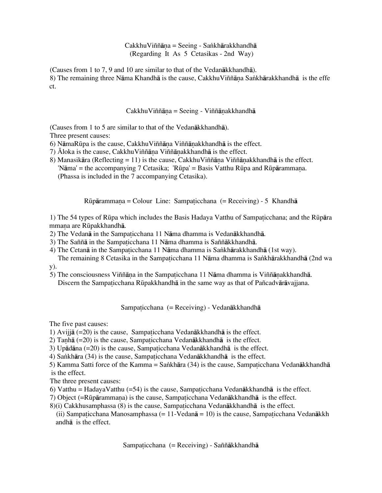# $CakkhuViññāna = Seeing - Sankhārakkhandhā$ (Regarding It As 5 Cetasikas - 2nd Way)

(Causes from 1 to 7, 9 and 10 are similar to that of the Vedanåkkhandhå).

8) The remaining three Nāma Khandhā is the cause, CakkhuViññāna Sankhārakkhandhā is the effe ct.

# $CakkhuViññāna = Seeine - Viññānakkhandhā$

(Causes from 1 to 5 are similar to that of the Vedanåkkhandhå).

Three present causes:

6) NāmaRūpa is the cause, CakkhuViññāṇa Viññāṇakkhandhā is the effect.

- 7)  $\bar{A}$ loka is the cause, Cakkhu Viññāna Viññānakkhandhā is the effect.
- 8) Manasikāra (Reflecting = 11) is the cause, Cakkhu Viññāna Viññānakkhandhā is the effect. 'Nāma' = the accompanying 7 Cetasika; 'Rūpa' = Basis Vatthu Rūpa and Rūpārammana. (Phassa is included in the 7 accompanying Cetasika).

 $Rūpārammana = Colour Line: Sampaticchana (= Receiving) - 5 Khandhā$ 

1) The 54 types of Rūpa which includes the Basis Hadaya Vatthu of Sampaticchana; and the Rūpāra mmana are Rūpakkhandhā.

- 2) The Vedanā in the Sampaticchana 11 Nāma dhamma is Vedanākkhandhā.
- 3) The Saññā in the Sampaticchana 11 Nāma dhamma is Saññākkhandhā.
- 4) The Cetanā in the Sampaticchana 11 Nāma dhamma is Sankhārakkhandhā (1st way).

The remaining 8 Cetasika in the Sampaticchana 11 Nāma dhamma is Sankhārakkhandhā (2nd wa y).

5) The consciousness Viññāna in the Sampaticchana 11 Nāma dhamma is Viññānakkhandhā. Discern the Sampaticchana Rūpakkhandhā in the same way as that of Pañcadvārāvajjana.

Sampaticchana (= Receiving) - Vedanākkhandhā

The five past causes:

1) Avijjā  $(=20)$  is the cause, Sampaticchana Vedanākkhandhā is the effect.

- 2) Tanhā ( $=20$ ) is the cause, Sampaticchana Vedanākkhandhā is the effect.
- 3) Up $\bar{a}$ dāna (=20) is the cause, Sampaticchana Vedanākkhandhā is the effect.
- 4) Sankhāra (34) is the cause, Sampaticchana Vedanākkhandhā is the effect.

5) Kamma Satti force of the Kamma = Sankhāra (34) is the cause, Sampaticchana Vedanākkhandhā is the effect.

The three present causes:

- 6) Vatthu = HadayaVatthu (=54) is the cause, Sampaticchana Vedan $\bar{a}$ kkhandh $\bar{a}$  is the effect.
- 7) Object (=Rūpārammana) is the cause, Sampaticchana Vedanākkhandhā is the effect.
- $8$ )(i) Cakkhusamphassa (8) is the cause, Sampaticchana Vedan $\bar{a}$ kkhandh $\bar{a}$  is the effect.
- (ii) Sampaticchana Manosamphassa (= 11-Vedan $\bar{a}$  = 10) is the cause, Sampaticchana Vedan $\bar{a}$ kkh andhå is the effect.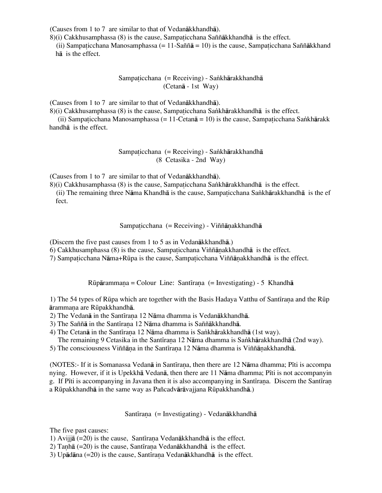(Causes from 1 to 7 are similar to that of Vedanåkkhandhå).

 $8$ )(i) Cakkhusamphassa (8) is the cause, Sampaticchana Saññākkhandhā is the effect.

(ii) Sampaticchana Manosamphassa (= 11-Saññ $\bar{a}$  = 10) is the cause, Sampaticchana Saññākkhand hå is the effect.

> Sampaticchana (= Receiving) - Sankhārakkhandhā (Cetanå - 1st Way)

(Causes from 1 to 7 are similar to that of Vedanåkkhandhå).

8)(i) Cakkhusamphassa (8) is the cause, Sampaticchana Sankhārakkhandhā is the effect.

(ii) Sampaticchana Manosamphassa (= 11-Cetan $\bar{a}$  = 10) is the cause, Sampaticchana Sankhārakk handhå is the effect.

> Sampaticchana (= Receiving) - Sankhārakkhandhā (8 Cetasika - 2nd Way)

(Causes from 1 to 7 are similar to that of Vedanåkkhandhå).

8)(i) Cakkhusamphassa (8) is the cause, Sampaticchana Sankhārakkhandhā is the effect. (ii) The remaining three Nāma Khandhā is the cause, Sampaticchana Sankhārakkhandhā is the ef fect.

Sampaticchana (= Receiving) - Viññānakkhandhā

(Discern the five past causes from 1 to 5 as in Vedanåkkhandhå.)

6) Cakkhusamphassa  $(8)$  is the cause, Sampaticchana Viññānakkhandhā is the effect.

7) Sampaticchana Nāma+Rūpa is the cause, Sampaticchana Viññānakkhandhā is the effect.

 $Rūpārammana = Colour Line: Santīrana (= Investigating) - 5 Khandhā$ 

1) The 54 types of Rūpa which are together with the Basis Hadaya Vatthu of Santīrana and the Rūp årammaˆa are RËpakkhandhå.

2) The Vedanā in the Santīrana 12 Nāma dhamma is Vedanākkhandhā.

3) The Saññā in the Santīrana 12 Nāma dhamma is Saññākkhandhā.

4) The Cetanā in the Santīrana 12 Nāma dhamma is Sankhārakkhandhā (1st way).

The remaining 9 Cetasika in the Santīrana 12 Nāma dhamma is Sankhārakkhandhā (2nd way).

5) The consciousness Viññāna in the Santīrana 12 Nāma dhamma is Viññānakkhandhā.

(NOTES:- If it is Somanassa Vedanā in Santīraṇa, then there are 12 Nāma dhamma; Pīti is accompa nying. However, if it is Upekkhā Vedanā, then there are 11 Nāma dhamma; Pīti is not accompanyin g. If Pīti is accompanying in Javana then it is also accompanying in Santīrana. Discern the Santīran a RËpakkhandhå in the same way as Pañcadvåråvajjana RËpakkhandhå.)

Santīrana (= Investigating) - Vedanākkhandhā

The five past causes:

1) Avijjā  $(=20)$  is the cause, Santīrana Vedanākkhandhā is the effect.

2) Tanhā (=20) is the cause, Santīrana Vedanākkhandhā is the effect.

3) Upādāna  $(=20)$  is the cause, Santīrana Vedanākkhandhā is the effect.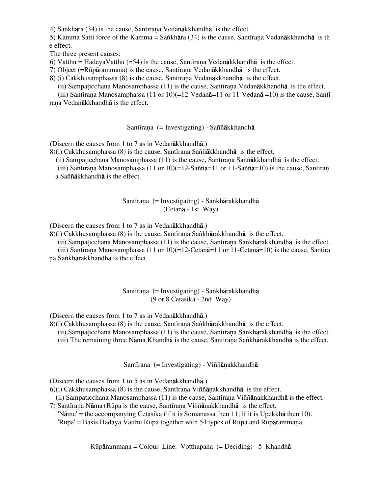4) Sankhāra (34) is the cause, Santīrana Vedanākkhandhā is the effect.

5) Kamma Satti force of the Kamma = Sankhāra (34) is the cause, Santīrana Vedanākkhandhā is th e effect.

The three present causes:

6) Vatthu = HadayaVatthu (=54) is the cause, Santīrana Vedanākkhandhā is the effect.

7) Object (=Rūpārammana) is the cause, Santīrana Vedanākkhandhā is the effect.

8) (i) Cakkhusamphassa (8) is the cause, Santirana Vedan $\bar{a}$ kkhandh $\bar{a}$  is the effect.

(ii) Sampaticchana Manosamphassa  $(11)$  is the cause, Santirana Vedan $\bar{a}$ kkhandh $\bar{a}$  is the effect.

(iii) Santīrana Manosamphassa (11 or 10)(=12-Vedanā=11 or 11-Vedanā =10) is the cause, Santī rana Vedanākkhandhā is the effect.

Santīrana (= Investigating) - Saññākkhandhā

(Discern the causes from 1 to 7 as in Vedanåkkhandhå.)

 $8$ )(i) Cakkhusamphassa (8) is the cause, Santīrana Saññākkhandhā is the effect.

(ii) Sampaticchana Manosamphassa  $(11)$  is the cause, Santirana Saññākkhandhā is the effect.

(iii) Santīrana Manosamphassa (11 or 10)(=12-Saññā=11 or 11-Saññā=10) is the cause, Santīran a Saññåkkhandhå is the effect.

Santīrana (= Investigating) - Sankhārakkhandhā

(Cetanå - 1st Way)

(Discern the causes from 1 to 7 as in Vedanåkkhandhå.)

 $8$ )(i) Cakkhusamphassa (8) is the cause, Santīrana Sankhārakkhandhā is the effect.

(ii) Sampaticchana Manosamphassa  $(11)$  is the cause, Santīrana Sankhārakkhandhā is the effect.

(iii) Santīrana Manosamphassa (11 or 10)(=12-Cetan $\bar{a}$ =11 or 11-Cetan $\bar{a}$ =10) is the cause, Santīra na Sankhārakkhandhā is the effect.

## Santīrana (= Investigating) - Sankhārakkhandhā (9 or 8 Cetasika - 2nd Way)

(Discern the causes from 1 to 7 as in Vedanåkkhandhå.)

 $8$ )(i) Cakkhusamphassa (8) is the cause, Santīrana Sankhārakkhandhā is the effect.

- (ii) Sampaticchana Manosamphassa (11) is the cause, Santīrana Sankhārakkhandhā is the effect.
- (iii) The remaining three Nāma Khandhā is the cause, Santīrana Sankhārakkhandhā is the effect.

Santīrana (= Investigating) - Viññānakkhandhā

(Discern the causes from 1 to 5 as in Vedanåkkhandhå.)

 $6$ )(i) Cakkhusamphassa (8) is the cause, Santīrana Viññānakkhandhā is the effect.

(ii) Sampaticchana Manosamphassa  $(11)$  is the cause, Santirana Viññānakkhandhā is the effect.

7) Santīrana Nāma+Rūpa is the cause, Santīrana Viññānakkhandhā is the effect.

'Nåma' = the accompanying Cetasika (if it is Somanassa then 11; if it is Upekkhå then 10).

'Rūpa' = Basis Hadaya Vatthu Rūpa together with 54 types of Rūpa and Rūpārammana.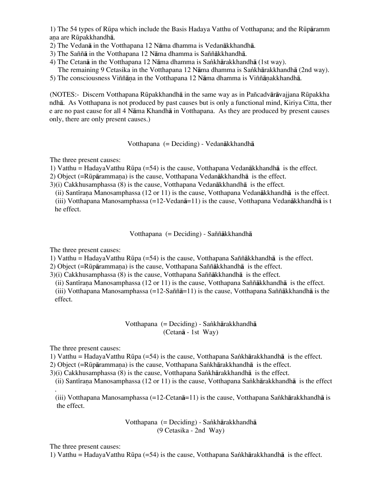1) The 54 types of RËpa which include the Basis Hadaya Vatthu of Votthapana; and the RËpåramm ana are Rūpakkhandhā.

2) The Vedanå in the Votthapana 12 Nåma dhamma is Vedanåkkhandhå.

- 3) The Saññå in the Votthapana 12 Nåma dhamma is Saññåkkhandhå.
- 4) The Cetanā in the Votthapana 12 Nāma dhamma is Sankhārakkhandhā (1st way). The remaining 9 Cetasika in the Votthapana 12 Nāma dhamma is Sankhārakkhandhā (2nd way).

5) The consciousness Viññāna in the Votthapana 12 Nāma dhamma is Viññānakkhandhā.

(NOTES:- Discern Votthapana RËpakkhandhå in the same way as in Pañcadvåråvajjana RËpakkha ndhå. As Votthapana is not produced by past causes but is only a functional mind, Kiriya Citta, ther e are no past cause for all 4 Nåma Khandhå in Votthapana. As they are produced by present causes only, there are only present causes.)

## Votthapana (= Deciding) - Vedanåkkhandhå

The three present causes:

1) Vatthu = HadayaVatthu RËpa (=54) is the cause, Votthapana Vedanåkkhandhå is the effect.

2) Object ( $=R\bar{u}p\bar{a}r$ ammana) is the cause, Votthapana Vedan $\bar{a}k$ khandh $\bar{a}$  is the effect.

3)(i) Cakkhusamphassa (8) is the cause, Votthapana Vedanåkkhandhå is the effect.

(ii) Santirana Manosamphassa (12 or 11) is the cause, Votthapana Vedan $\bar{a}$ kkhandh $\bar{a}$  is the effect.

(iii) Votthapana Manosamphassa (=12-Vedanå=11) is the cause, Votthapana Vedanåkkhandhå is t he effect.

Votthapana (= Deciding) - Saññåkkhandhå

The three present causes:

1) Vatthu = HadayaVatthu RËpa (=54) is the cause, Votthapana Saññåkkhandhå is the effect.

2) Object (=Rūpārammaṇa) is the cause, Votthapana Saññākkhandhā is the effect.

3)(i) Cakkhusamphassa (8) is the cause, Votthapana Saññåkkhandhå is the effect.

(ii) Santīrana Manosamphassa (12 or 11) is the cause, Votthapana Saññākkhandhā is the effect.

(iii) Votthapana Manosamphassa (=12-Saññā=11) is the cause, Votthapana Saññākkhandhā is the effect.

> Votthapana (= Deciding) - Sankhārakkhandhā (Cetanå - 1st Way)

The three present causes:

1) Vatthu = HadayaVatthu RËpa (=54) is the cause, Votthapana Sa∫khårakkhandhå is the effect.

2) Object (=Rūpārammana) is the cause, Votthapana Sankhārakkhandhā is the effect.

3)(i) Cakkhusamphassa (8) is the cause, Votthapana Sankhārakkhandhā is the effect.

(ii) Santīrana Manosamphassa (12 or 11) is the cause, Votthapana Sankhārakkhandhā is the effect

. (iii) Votthapana Manosamphassa (=12-Cetan $\bar{a}$ =11) is the cause, Votthapana Sankhārakkhandhā is the effect.

> Votthapana (= Deciding) - Sankhārakkhandhā (9 Cetasika - 2nd Way)

The three present causes:

1) Vatthu = HadayaVatthu RËpa (=54) is the cause, Votthapana Sa∫khårakkhandhå is the effect.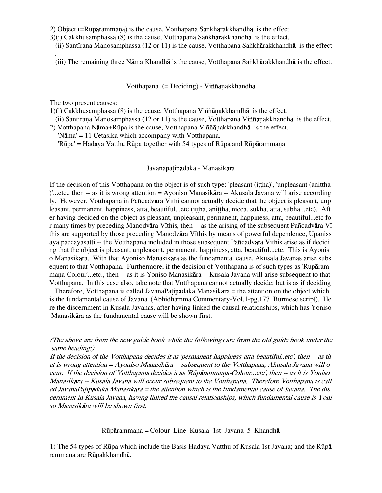2) Object (=Rūpārammana) is the cause, Votthapana Sankhārakkhandhā is the effect.

- 3)(i) Cakkhusamphassa (8) is the cause, Votthapana Sankhārakkhandhā is the effect.
	- (ii) Santīrana Manosamphassa (12 or 11) is the cause, Votthapana Sankhārakkhandhā is the effect

(iii) The remaining three Nāma Khandhā is the cause, Votthapana Sankhārakkhandhā is the effect.

Votthapana  $(=$  Deciding) - Viññānakkhandhā

The two present causes:

.

 $1)(i)$  Cakkhusamphassa  $(8)$  is the cause, Votthapana Viññānakkhandhā is the effect.

- (ii) Santīrana Manosamphassa (12 or 11) is the cause, Votthapana Viññānakkhandhā is the effect.
- 2) Votthapana N $\overline{a}$ ma+Rūpa is the cause, Votthapana Viññ $\overline{a}$ nakkhandh $\overline{a}$  is the effect. 'Nåma' = 11 Cetasika which accompany with Votthapana.

'Rūpa' = Hadaya Vatthu Rūpa together with 54 types of Rūpa and Rūpārammaṇa.

### Javanapatipādaka - Manasikāra

If the decision of this Votthapana on the object is of such type: 'pleasant (ittha)', 'unpleasant (anittha )'...etc., then -- as it is wrong attention = Ayoniso Manasikåra -- Akusala Javana will arise according ly. However, Votthapana in Pañcadvāra Vīthi cannot actually decide that the object is pleasant, unp leasant, permanent, happiness, atta, beautiful...etc (ittha, anittha, nicca, sukha, atta, subha...etc). Aft er having decided on the object as pleasant, unpleasant, permanent, happiness, atta, beautiful...etc fo r many times by preceding Manodvāra Vīthis, then -- as the arising of the subsequent Pañcadvāra Vī this are supported by those preceding Manodvāra Vīthis by means of powerful dependence, Upaniss aya paccayasatti -- the Votthapana included in those subsequent Pañcadvāra Vīthis arise as if decidi ng that the object is pleasant, unpleasant, permanent, happiness, atta, beautiful...etc. This is Ayonis o Manasikåra. With that Ayoniso Manasikåra as the fundamental cause, Akusala Javanas arise subs equent to that Votthapana. Furthermore, if the decision of Votthapana is of such types as 'Rupåram mana-Colour'...etc., then -- as it is Yoniso Manasikara -- Kusala Javana will arise subsequent to that Votthapana. In this case also, take note that Votthapana cannot actually decide; but is as if deciding . Therefore, Votthapana is called JavanaPatipādaka Manasikāra = the attention on the object which is the fundamental cause of Javana (Abhidhamma Commentary-Vol.1-pg.177 Burmese script). He re the discernment in Kusala Javanas, after having linked the causal relationships, which has Yoniso Manasikåra as the fundamental cause will be shown first.

(The above are from the new guide book while the followings are from the old guide book under the same heading:)

If the decision of the Votthapana decides it as 'permanent-happiness-atta-beautiful..etc', then -- as th at is wrong attention = Ayoniso Manasikåra -- subsequent to the Votthapana, Akusala Javana will o ccur. If the decision of Votthapana decides it as 'Rūpārammaṇa-Colour...etc', then -- as it is Yoniso Manasikåra -- Kusala Javana will occur subsequent to the Votthapana. Therefore Votthapana is call ed JavanaPatip $\vec{a}$ daka Manasik $\vec{a}$ ra = the attention which is the fundamental cause of Javana. The dis cernment in Kusala Javana, having linked the causal relationships, which fundamental cause is Yoni so Manasikåra will be shown first.

RËpårammaˆa = Colour Line Kusala 1st Javana 5 Khandhå

1) The 54 types of RËpa which include the Basis Hadaya Vatthu of Kusala 1st Javana; and the RËpå rammana are Rūpakkhandhā.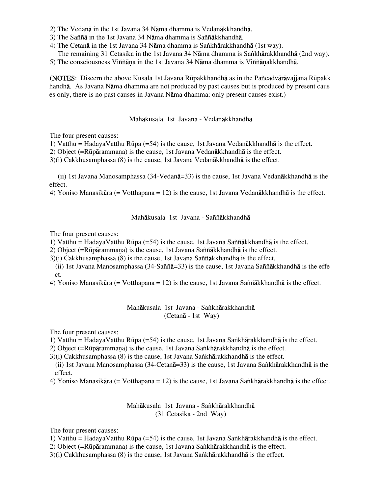- 2) The Vedanå in the 1st Javana 34 Nåma dhamma is Vedanåkkhandhå.
- 3) The Saññå in the 1st Javana 34 Nåma dhamma is Saññåkkhandhå.
- 4) The Cetanā in the 1st Javana 34 Nāma dhamma is Sankhārakkhandhā (1st way).
- The remaining 31 Cetasika in the 1st Javana 34 Nāma dhamma is Sankhārakkhandhā (2nd way).
- 5) The consciousness Viññāna in the 1st Javana 34 Nāma dhamma is Viññānakkhandhā.

(NOTES: Discern the above Kusala 1st Javana RËpakkhandhå as in the Pañcadvåråvajjana RËpakk handhå. As Javana Nåma dhamma are not produced by past causes but is produced by present caus es only, there is no past causes in Javana Nåma dhamma; only present causes exist.)

#### Mahåkusala 1st Javana - Vedanåkkhandhå

The four present causes:

1) Vatthu = HadayaVatthu RËpa (=54) is the cause, 1st Javana Vedanåkkhandhå is the effect.

2) Object ( $=R\bar{u}p\bar{a}r$ ammana) is the cause, 1st Javana Vedan $\bar{a}$ kkhandh $\bar{a}$  is the effect.

3)(i) Cakkhusamphassa (8) is the cause, 1st Javana Vedanåkkhandhå is the effect.

 (ii) 1st Javana Manosamphassa (34-Vedanå=33) is the cause, 1st Javana Vedanåkkhandhå is the effect.

4) Yoniso Manasikåra (= Votthapana = 12) is the cause, 1st Javana Vedanåkkhandhå is the effect.

#### Mahåkusala 1st Javana - Saññåkkhandhå

The four present causes:

1) Vatthu = HadayaVatthu RËpa (=54) is the cause, 1st Javana Saññåkkhandhå is the effect.

2) Object (=Rūpārammana) is the cause, 1st Javana Saññākkhandhā is the effect.

3)(i) Cakkhusamphassa (8) is the cause, 1st Javana Saññåkkhandhå is the effect.

(ii) 1st Javana Manosamphassa (34-Saññå=33) is the cause, 1st Javana Saññåkkhandhå is the effe ct.

4) Yoniso Manasikåra (= Votthapana = 12) is the cause, 1st Javana Saññåkkhandhå is the effect.

### Mahākusala 1st Javana - Sankhārakkhandhā (Cetanå - 1st Way)

The four present causes:

1) Vatthu = HadayaVatthu RËpa (=54) is the cause, 1st Javana Sa∫khårakkhandhå is the effect.

- 2) Object (=Rūpārammana) is the cause, 1st Javana Sankhārakkhandhā is the effect.
- $3$ (i) Cakkhusamphassa (8) is the cause, 1st Javana Sankhārakkhandhā is the effect.

(ii) 1st Javana Manosamphassa (34-Cetanå=33) is the cause, 1st Javana Sa∫khårakkhandhå is the effect.

4) Yoniso Manasikāra (= Votthapana = 12) is the cause, 1st Javana Sankhārakkhandhā is the effect.

### Mahākusala 1st Javana - Sankhārakkhandhā (31 Cetasika - 2nd Way)

The four present causes:

- 1) Vatthu = HadayaVatthu RËpa (=54) is the cause, 1st Javana Sa∫khårakkhandhå is the effect.
- 2) Object (=Rūpārammana) is the cause, 1st Javana Sankhārakkhandhā is the effect.

3)(i) Cakkhusamphassa (8) is the cause, 1st Javana Sankhārakkhandhā is the effect.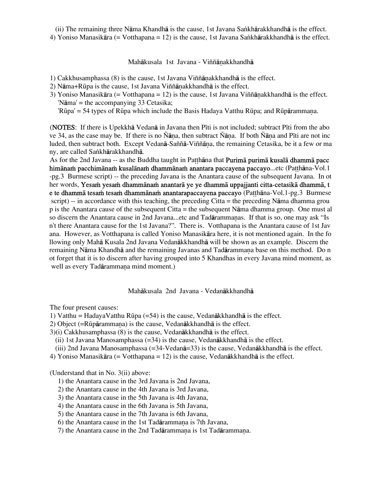(ii) The remaining three Nåma Khandhå is the cause, 1st Javana Sa∫khårakkhandhå is the effect. 4) Yoniso Manasikāra (= Votthapana = 12) is the cause, 1st Javana Sankhārakkhandhā is the effect.

Mahākusala 1st Javana - Viññānakkhandhā

- 1) Cakkhusamphassa (8) is the cause, 1st Javana Viññānakkhandhā is the effect.
- 2) N $\bar{a}$ ma+Rūpa is the cause, 1st Javana Viññ $\bar{a}$ nakkhandh $\bar{a}$  is the effect.
- 3) Yoniso Manasikāra (= Votthapana = 12) is the cause, 1st Javana Viññānakkhandhā is the effect. 'Nåma' = the accompanying 33 Cetasika;  $'$ Rūpa' = 54 types of Rūpa which include the Basis Hadaya Vatthu Rūpa; and Rūpārammana.

(**NOTES**: If there is Upekkhā Vedanā in Javana then Pīti is not included; subtract Pīti from the abo ve 34, as the case may be. If there is no Ñāna, then subtract Ñāna. If both Ñāna and Pīti are not inc luded, then subtract both. Except Vedanā-Saññā-Viññāna, the remaining Cetasika, be it a few or ma ny, are called Sankhārakkhandhā.

As for the 2nd Javana -- as the Buddha taught in Patthana that **Purima purima kusala dhamma pacc** himānam pacchimānam kusalānam dhammānam anantara paccayena paccayo...etc (Patthāna-Vol.1) -pg.3 Burmese script) -- the preceding Javana is the Anantara cause of the subsequent Javana. In ot her words, Yesam yesam dhammānam anantarā ye ye dhammā uppajjanti citta-cetasikā dhammā, t e te dhammā tesam tesam dhammānam anantarapaccayena paccayo (Patthāna-Vol.1-pg.3 Burmese script) -- in accordance with this teaching, the preceding Citta = the preceding Nāma dhamma grou p is the Anantara cause of the subsequent Citta = the subsequent Nåma dhamma group. One must al so discern the Anantara cause in 2nd Javana...etc and Tad<del>arammanas.</del> If that is so, one may ask "Is n't there Anantara cause for the 1st Javana?". There is. Votthapana is the Anantara cause of 1st Jav ana. However, as Votthapana is called Yoniso Manasikåra here, it is not mentioned again. In the fo llowing only Mahå Kusala 2nd Javana Vedanåkkhandhå will be shown as an example. Discern the remaining Nāma Khandhā and the remaining Javanas and Tadārammana base on this method. Do n ot forget that it is to discern after having grouped into 5 Khandhas in every Javana mind moment, as well as every Tadārammaṇa mind moment.)

### Mahåkusala 2nd Javana - Vedanåkkhandhå

The four present causes:

- 1) Vatthu = HadayaVatthu Rūpa (=54) is the cause, Vedan $\bar{a}$ kkhandh $\bar{a}$  is the effect.
- 2) Object ( $=R\bar{u}p\bar{a}r$ ammana) is the cause, Vedan $\bar{a}$ kkhandh $\bar{a}$  is the effect.
- 3)(i) Cakkhusamphassa (8) is the cause, Vedanåkkhandhå is the effect.
- (ii) 1st Javana Manosamphassa (=34) is the cause, Vedanåkkhandhå is the effect.
- (iii) 2nd Javana Manosamphassa (=34-Vedanå=33) is the cause, Vedanåkkhandhå is the effect.
- 4) Yoniso Manasikåra (= Votthapana = 12) is the cause, Vedanåkkhandhå is the effect.

(Understand that in No. 3(ii) above:

- 1) the Anantara cause in the 3rd Javana is 2nd Javana,
- 2) the Anantara cause in the 4th Javana is 3rd Javana,
- 3) the Anantara cause in the 5th Javana is 4th Javana,
- 4) the Anantara cause in the 6th Javana is 5th Javana,
- 5) the Anantara cause in the 7th Javana is 6th Javana,
- 6) the Anantara cause in the 1st Tad $\bar{a}$ rammana is 7th Javana,
- 7) the Anantara cause in the 2nd Tadārammana is 1st Tadārammana.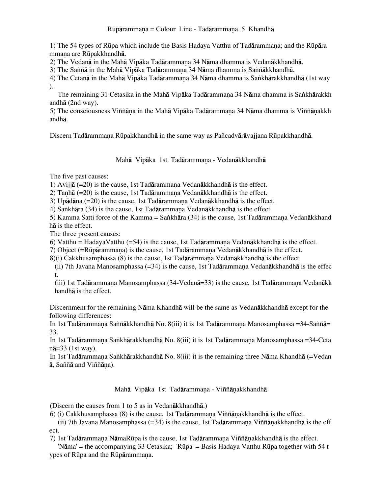1) The 54 types of Rūpa which include the Basis Hadaya Vatthu of Tadārammana; and the Rūpāra mmana are Rūpakkhandhā.

2) The Vedanā in the Mahā Vipāka Tadārammana 34 Nāma dhamma is Vedanākkhandhā.

3) The Saññā in the Mahā Vipāka Tadārammana 34 Nāma dhamma is Saññākkhandhā.

4) The Cetanā in the Mahā Vipāka Tadārammana 34 Nāma dhamma is Sankhārakkhandhā (1st way ).

The remaining 31 Cetasika in the Mahā Vipāka Tadārammana 34 Nāma dhamma is Sankhārakkh andhå (2nd way).

5) The consciousness Viññāna in the Mahā Vipāka Tadārammana 34 Nāma dhamma is Viññānakkh andhå.

Discern Tadārammana Rūpakkhandhā in the same way as Pañcadvārāvajjana Rūpakkhandhā.

Mahā Vipāka 1st Tadārammana - Vedanākkhandhā

The five past causes:

1) Avijjā  $(=20)$  is the cause, 1st Tadārammana Vedanākkhandhā is the effect.

2) Tanhā  $(=20)$  is the cause, 1st Tadārammana Vedanākkhandhā is the effect.

3) Up $\bar{a}$ dāna (=20) is the cause, 1st Tadārammana Vedanākkhandhā is the effect.

4) Sankhāra (34) is the cause, 1st Tadārammana Vedanākkhandhā is the effect.

5) Kamma Satti force of the Kamma = Sankhāra (34) is the cause, 1st Tadārammana Vedanākkhand hå is the effect.

The three present causes:

6) Vatthu = HadayaVatthu  $(=54)$  is the cause, 1st Tadārammana Vedanākkhandhā is the effect.

7) Object (=Rūpārammana) is the cause, 1st Tadārammana Vedanākkhandhā is the effect.

 $8$ )(i) Cakkhusamphassa (8) is the cause, 1st Tadārammana Vedanākkhandhā is the effect.

(ii) 7th Javana Manosamphassa (=34) is the cause, 1st Tadārammaṇa Vedanākkhandhā is the effec t.

(iii) 1st Tadārammana Manosamphassa (34-Vedanā=33) is the cause, 1st Tadārammana Vedanākk handhå is the effect.

Discernment for the remaining Nåma Khandhå will be the same as Vedanåkkhandhå except for the following differences:

In 1st Tadārammana Saññākkhandhā No. 8(iii) it is 1st Tadārammana Manosamphassa =34-Saññā= 33.

In 1st Tadārammaṇa Saṅkhārakkhandhā No. 8(iii) it is 1st Tadārammaṇa Manosamphassa =34-Ceta nå=33 (1st way).

In 1st Tadārammana Sankhārakkhandhā No. 8(iii) it is the remaining three Nāma Khandhā (=Vedan ā, Saññā and Viññāṇa).

Mahā Vipāka 1st Tadārammana - Viññānakkhandhā

(Discern the causes from 1 to 5 as in Vedanåkkhandhå.)

6) (i) Cakkhusamphassa  $(8)$  is the cause, 1st Tad $\bar{a}$ rammana Viññ $\bar{a}$ nakkhandh $\bar{a}$  is the effect.

(ii) 7th Javana Manosamphassa (=34) is the cause, 1st Tadārammana Viññānakkhandhā is the eff ect.

7) 1st Tadārammana NāmaRūpa is the cause, 1st Tadārammana Viññānakkhandhā is the effect.

 'Nåma' = the accompanying 33 Cetasika; 'RËpa' = Basis Hadaya Vatthu RËpa together with 54 t ypes of Rūpa and the Rūpārammana.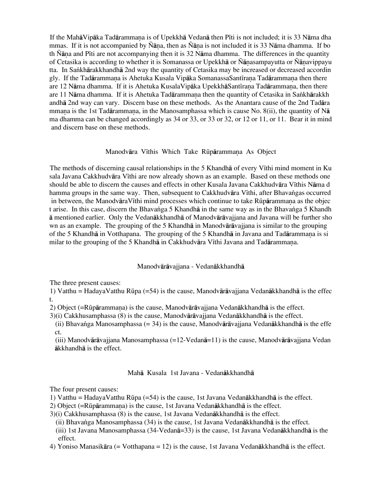If the MahāVipāka Tadārammana is of Upekkhā Vedanā then Pīti is not included; it is 33 Nāma dha mmas. If it is not accompanied by Ñāna, then as Ñāna is not included it is 33 Nāma dhamma. If bo th  $\tilde{N}$ āna and Pīti are not accompanying then it is 32 Nāma dhamma. The differences in the quantity of Cetasika is according to whether it is Somanassa or Upekkhā or Ñānasampayutta or Ñānavippayu tta. In Sankhārakkhandhā 2nd way the quantity of Cetasika may be increased or decreased accordin gly. If the Tadārammana is Ahetuka Kusala Vipāka SomanassaSantīrana Tadārammana then there are 12 Nāma dhamma. If it is Ahetuka KusalaVipāka UpekkhāSantīrana Tadārammana, then there are 11 Nāma dhamma. If it is Ahetuka Tadārammana then the quantity of Cetasika in Sankhārakkh andhå 2nd way can vary. Discern base on these methods. As the Anantara cause of the 2nd Tadåra mmana is the 1st Tadārammana, in the Manosamphassa which is cause No. 8(ii), the quantity of N $\bar{a}$ ma dhamma can be changed accordingly as 34 or 33, or 33 or 32, or 12 or 11, or 11. Bear it in mind and discern base on these methods.

#### Manodvāra Vīthis Which Take Rūpārammana As Object

The methods of discerning causal relationships in the 5 Khandha of every V<sub>I</sub>thi mind moment in Ku sala Javana Cakkhudvāra Vīthi are now already shown as an example. Based on these methods one should be able to discern the causes and effects in other Kusala Javana Cakkhudvāra Vīthis Nāma d hamma groups in the same way. Then, subsequent to Cakkhudvāra Vīthi, after Bhavangas occurred in between, the ManodvāraV $\overline{\text{t}}$ thi mind processes which continue to take R $\overline{\text{u}}$ t arise. In this case, discern the Bhavanga 5 Khandhā in the same way as in the Bhavanga 5 Khandh å mentioned earlier. Only the Vedanåkkhandhå of Manodvåråvajjana and Javana will be further sho wn as an example. The grouping of the 5 Khandha in Manodvaravajjana is similar to the grouping of the 5 Khandhā in Votthapana. The grouping of the 5 Khandhā in Javana and Tadārammana is si milar to the grouping of the 5 Khandhā in Cakkhudvāra Vīthi Javana and Tadārammana.

### Manodvåråvajjana - Vedanåkkhandhå

The three present causes:

1) Vatthu = HadayaVatthu Rūpa (=54) is the cause, Manodvārāvajjana Vedanākkhandhā is the effec t.

2) Object ( $=R\bar{u}p\bar{a}r$ ammana) is the cause, Manodv $\bar{a}r\bar{a}v$ ajjana Vedan $\bar{a}k$ khandh $\bar{a}$  is the effect.

3)(i) Cakkhusamphassa (8) is the cause, Manodvåråvajjana Vedanåkkhandhå is the effect.

(ii) Bhava∫ga Manosamphassa (= 34) is the cause, Manodvåråvajjana Vedanåkkhandhå is the effe ct.

(iii) Manodvåråvajjana Manosamphassa (=12-Vedanå=11) is the cause, Manodvåråvajjana Vedan åkkhandhå is the effect.

### Mahå Kusala 1st Javana - Vedanåkkhandhå

The four present causes:

- 1) Vatthu = HadayaVatthu RËpa (=54) is the cause, 1st Javana Vedanåkkhandhå is the effect.
- 2) Object ( $=R\bar{u}p\bar{a}r$ ammana) is the cause, 1st Javana Vedan $\bar{a}$ kkhandh $\bar{a}$  is the effect.
- 3)(i) Cakkhusamphassa (8) is the cause, 1st Javana Vedanåkkhandhå is the effect.

(ii) Bhava∫ga Manosamphassa (34) is the cause, 1st Javana Vedanåkkhandhå is the effect.

- (iii) 1st Javana Manosamphassa (34-Vedanå=33) is the cause, 1st Javana Vedanåkkhandhå is the effect.
- 4) Yoniso Manasikåra (= Votthapana = 12) is the cause, 1st Javana Vedanåkkhandhå is the effect.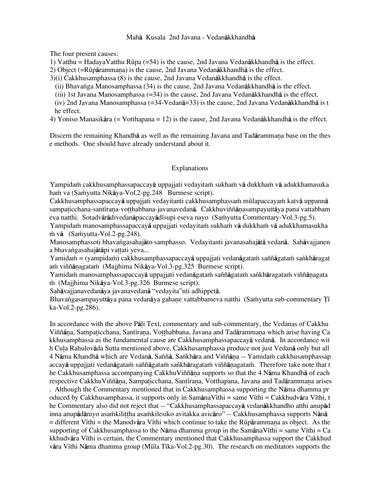### Mahå Kusala 2nd Javana - Vedanåkkhandhå

The four present causes:

1) Vatthu = HadayaVatthu Rūpa (=54) is the cause, 2nd Javana Vedan $\bar{a}$ kkhandh $\bar{a}$  is the effect.

2) Object ( $=R\bar{u}p\bar{a}r$ ammana) is the cause, 2nd Javana Vedan $\bar{a}k$ khandh $\bar{a}$  is the effect.

3)(i) Cakkhusamphassa (8) is the cause, 2nd Javana Vedanåkkhandhå is the effect.

(ii) Bhava∫ga Manosamphassa (34) is the cause, 2nd Javana Vedanåkkhandhå is the effect.

(iii) 1st Javana Manosamphassa (=34) is the cause, 2nd Javana Vedanåkkhandhå is the effect.

(iv) 2nd Javana Manosamphassa (=34-Vedanå=33) is the cause, 2nd Javana Vedanåkkhandhå is t he effect.

4) Yoniso Manasikåra (= Votthapana = 12) is the cause, 2nd Javana Vedanåkkhandhå is the effect.

Discern the remaining Khandhā as well as the remaining Javana and Tadārammana base on the thes e methods. One should have already understand about it.

## Explanations

Yampidaṁ cakkhusamphassapaccayā uppajjati vedayitaṁ sukhaṁ vā dukkhaṁ vā adukkhamasuka ham va (Samyutta Nikāya-Vol.2-pg.248 Burmese script).

Cakkhusamphassapaccayā uppajjati vedayitanti cakkhusamphassam mūlapaccayam katvā uppannā sampaticchana-santīrana-votthabbana-javanavedanā. Cakkhuviññānasampayuttāya pana vattabbam eva natthi. Sotadvārādivedanāpaccayādīsupi eseva nayo (Saṁyutta Commentary-Vol.3-pg.5).

Yampidam manosamphassapaccayā uppajjati vedayitam sukham vā dukkham vā adukkhamasukha  $\dot{m}$  vā (Sa $\dot{m}$ yutta-Vol.2-pg. 248).

Manosamphassoti bhavangasahajāto samphasso. Vedayitanti javanasahajātā vedanā. Sahāvajjanen a bhavangasahajātāpi vattati yeva...

Yamidam≀ = (yampidam̄) cakkhusamphassapaccayā uppajjati vedanāgatam saññāgatam sankhāragat am viññānagatam (Majjhima Nikāya-Vol.3-pg.325 Burmese script).

Yamidaṁ manosamphassapaccayā uppajjati vedanāgataṁ saññāgataṁ sankhāragataṁ viññānagata m (Majjhima Nikāya-Vol.3-pg.326 Burmese script).

Sahåvajjanavedanåya javanavedanå "vedayita"nti adhippetå.

Bhavangasampayuttāya pana vedanāya gahane vattabbameva natthi (Samyutta sub-commentary Ti ka-Vol.2-pg.286).

In accordance with the above Pali Text, commentary and sub-commentary, the Vedanas of Cakkhu Viññāna, Sampaticchana, Santīrana, Votthabbana, Javana and Tadārammana which arise having Ca kkhusamphassa as the fundamental cause are Cakkhusamphassapaccayå vedanå. In accordance wit h Cula Rahulovāda Sutta mentioned above, Cakkhusamphassa produce not just Vedanā only but all 4 Nāma Khandhā which are Vedanā, Saññā, Sankhāra and Viññāna -- Yamidam cakkhusamphassap accayā uppajjati vedanāgatam saññāgatam sankhāragatam viññānagatam. Therefore take note that t he Cakkhusamphassa accompanying CakkhuViññāṇa supports so that the 4 Nāma Khandhā of each respective CakkhuViññāna, Sampaticchana, Santīrana, Votthapana, Javana and Tadārammana arises . Although the Commentary mentioned that in Cakkhusamphassa supporting the Nåma dhamma pr oduced by Cakkhusamphassa, it supports only in SamānaVīthi = same Vīthi = Cakkhudvāra Vīthi, t he Commentary also did not reject that -- "Cakkhusamphassapaccay**a** vedan**a**kkhandho atthi anupad inna anupādāniyo asamkilittha asamkilesiko avitakka avicāro" -- Cakkhusamphassa supports Nānā  $=$  different Vīthi = the Manodvāra Vīthi which continue to take the Rūpārammana as object. As the supporting of Cakkhusamphassa to the N $\overline{a}$ ma dhamma group in the Sam $\overline{a}$ nanaV $\overline{b}$ thi = Ca kkhudvāra Vīthi is certain, the Commentary mentioned that Cakkhusamphassa support the Cakkhud vāra Vīthi Nāma dhamma group (Mūla Tīka-Vol.2-pg.30). The research on meditators supports the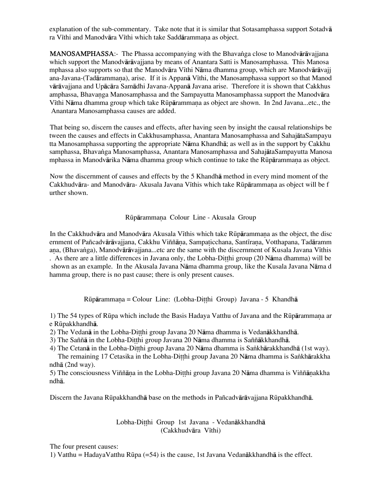explanation of the sub-commentary. Take note that it is similar that Sotasamphassa support Sotadvå ra Vīthi and Manodvāra Vīthi which take Saddārammana as object.

MANOSAMPHASSA:- The Phassa accompanying with the Bhavanga close to Manodvārāvajjana which support the Manodvåråvajjana by means of Anantara Satti is Manosamphassa. This Manosa mphassa also supports so that the Manodvāra Vīthi Nāma dhamma group, which are Manodvārāvaji ana-Javana-(Tadārammana), arise. If it is Appanā Vīthi, the Manosamphassa support so that Manod våråvajjana and Upåcåra Samådhi Javana-Appanå Javana arise. Therefore it is shown that Cakkhus amphassa, Bhavanga Manosamphassa and the Sampayutta Manosamphassa support the Manodvāra Vīthi Nāma dhamma group which take Rūpārammana as object are shown. In 2nd Javana...etc., the Anantara Manosamphassa causes are added.

That being so, discern the causes and effects, after having seen by insight the causal relationships be tween the causes and effects in Cakkhusamphassa, Anantara Manosamphassa and SahajåtaSampayu tta Manosamphassa supporting the appropriate Nåma Khandhå; as well as in the support by Cakkhu samphassa, Bhavanga Manosamphassa, Anantara Manosamphassa and SahajātaSampayutta Manosa mphassa in Manodvārika Nāma dhamma group which continue to take the Rūpārammana as object.

Now the discernment of causes and effects by the 5 Khandhå method in every mind moment of the Cakkhudvāra- and Manodvāra- Akusala Javana Vīthis which take Rūpārammana as object will be f urther shown.

## Rūpārammana Colour Line - Akusala Group

In the Cakkhudvāra and Manodvāra Akusala Vīthis which take Rūpārammana as the object, the disc ernment of Pañcadvārāvajjana, Cakkhu Viññāna, Sampaticchana, Santīrana, Votthapana, Tadāramm ana, (Bhavanga), Manodvārāvajjana...etc are the same with the discernment of Kusala Javana Vīthis . As there are a little differences in Javana only, the Lobha-Ditthi group (20 Nāma dhamma) will be shown as an example. In the Akusala Javana Nåma dhamma group, like the Kusala Javana Nåma d hamma group, there is no past cause; there is only present causes.

Rūpārammana = Colour Line: (Lobha-Ditthi Group) Javana - 5 Khandhā

1) The 54 types of Rūpa which include the Basis Hadaya Vatthu of Javana and the Rūpārammana ar e RËpakkhandhå.

2) The Vedanā in the Lobha-Ditthi group Javana 20 Nāma dhamma is Vedanākkhandhā.

3) The Saññā in the Lobha-Ditthi group Javana 20 Nāma dhamma is Saññākkhandhā.

4) The Cetanā in the Lobha-Ditthi group Javana 20 Nāma dhamma is Sankhārakkhandhā (1st way).

The remaining 17 Cetasika in the Lobha-Ditthi group Javana 20 Nāma dhamma is Sankhārakkha ndhå (2nd way).

5) The consciousness Viññāna in the Lobha-Ditthi group Javana 20 Nāma dhamma is Viññāṇakkha ndhå.

Discern the Javana Rūpakkhandhā base on the methods in Pañcadvārāvajjana Rūpakkhandhā.

Lobha-Ditthi Group 1st Javana - Vedanākkhandhā (Cakkhudvāra Vīthi)

The four present causes:

1) Vatthu = HadayaVatthu Rūpa (=54) is the cause, 1st Javana Vedan $\bar{a}$ kkhandh $\bar{a}$  is the effect.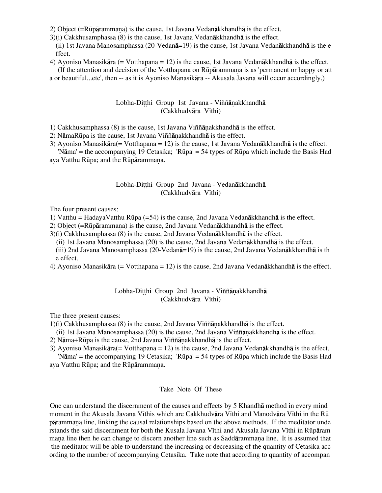2) Object ( $=R\bar{u}p\bar{a}r$ ammana) is the cause, 1st Javana Vedan $\bar{a}k$ khandh $\bar{a}$  is the effect.

3)(i) Cakkhusamphassa (8) is the cause, 1st Javana Vedanåkkhandhå is the effect.

(ii) 1st Javana Manosamphassa (20-Vedanå=19) is the cause, 1st Javana Vedanåkkhandhå is the e ffect.

4) Ayoniso Manasikåra (= Votthapana = 12) is the cause, 1st Javana Vedanåkkhandhå is the effect. (If the attention and decision of the Votthapana on Rūpārammana is as 'permanent or happy or att

a or beautiful...etc', then -- as it is Ayoniso Manasikåra -- Akusala Javana will occur accordingly.)

## Lobha-Ditthi Group 1st Javana - Viññānakkhandhā (Cakkhudvāra Vīthi)

1) Cakkhusamphassa  $(8)$  is the cause, 1st Javana Viññ $\overline{a}$ nakkhandh $\overline{a}$  is the effect.

- 2) N $\bar{a}$ ma $R\bar{u}$ pa is the cause, 1st Javana Viññ $\bar{a}$ nakkhandh $\bar{a}$  is the effect.
- 3) Ayoniso Manasikåra(= Votthapana = 12) is the cause, 1st Javana Vedanåkkhandhå is the effect. 'Nāma' = the accompanying 19 Cetasika; 'Rūpa' = 54 types of Rūpa which include the Basis Had

aya Vatthu Rūpa; and the Rūpārammana.

# Lobha-Ditthi Group 2nd Javana - Vedanākkhandhā (Cakkhudvāra Vīthi)

The four present causes:

1) Vatthu = HadayaVatthu RËpa (=54) is the cause, 2nd Javana Vedanåkkhandhå is the effect.

2) Object (=Rūpārammana) is the cause, 2nd Javana Vedanākkhandhā is the effect.

3)(i) Cakkhusamphassa (8) is the cause, 2nd Javana Vedanåkkhandhå is the effect.

(ii) 1st Javana Manosamphassa (20) is the cause, 2nd Javana Vedanåkkhandhå is the effect.

(iii) 2nd Javana Manosamphassa (20-Vedanå=19) is the cause, 2nd Javana Vedanåkkhandhå is th e effect.

4) Ayoniso Manasikåra (= Votthapana = 12) is the cause, 2nd Javana Vedanåkkhandhå is the effect.

## Lobha-Ditthi Group 2nd Javana - Viññānakkhandhā (Cakkhudvāra Vīthi)

The three present causes:

 $1$ )(i) Cakkhusamphassa (8) is the cause, 2nd Javana Viññānakkhandhā is the effect.

(ii) 1st Javana Manosamphassa  $(20)$  is the cause, 2nd Javana Viññānakkhandhā is the effect.

2) N $\bar{a}$ ma+Rūpa is the cause, 2nd Javana Viññ $\bar{a}$ nakkhandh $\bar{a}$  is the effect.

3) Ayoniso Manasikåra(= Votthapana = 12) is the cause, 2nd Javana Vedanåkkhandhå is the effect.

 'Nåma' = the accompanying 19 Cetasika; 'RËpa' = 54 types of RËpa which include the Basis Had aya Vatthu Rūpa; and the Rūpārammana.

### Take Note Of These

One can understand the discernment of the causes and effects by 5 Khandhå method in every mind moment in the Akusala Javana Vīthis which are Cakkhudvāra Vīthi and Manodvāra Vīthi in the Rū pårammaˆa line, linking the causal relationships based on the above methods. If the meditator unde rstands the said discernment for both the Kusala Javana Vīthi and Akusala Javana Vīthi in Rūpāram mana line then he can change to discern another line such as Saddārammana line. It is assumed that the meditator will be able to understand the increasing or decreasing of the quantity of Cetasika acc ording to the number of accompanying Cetasika. Take note that according to quantity of accompan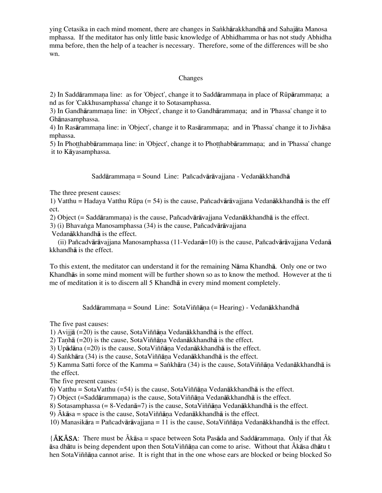ying Cetasika in each mind moment, there are changes in Sankhārakkhandhā and Sahajāta Manosa mphassa. If the meditator has only little basic knowledge of Abhidhamma or has not study Abhidha mma before, then the help of a teacher is necessary. Therefore, some of the differences will be sho wn.

## Changes

2) In Saddārammana line: as for 'Object', change it to Saddārammana in place of Rūpārammana; a nd as for 'Cakkhusamphassa' change it to Sotasamphassa.

3) In Gandhārammana line: in 'Object', change it to Gandhārammana; and in 'Phassa' change it to Ghånasamphassa.

4) In Rasārammana line: in 'Object', change it to Rasārammana; and in 'Phassa' change it to Jivhāsa mphassa.

5) In Pho tthabbārammaṇa line: in 'Object', change it to Pho tthabbārammaṇa; and in 'Phassa' change it to Kåyasamphassa.

Saddārammana = Sound Line: Pañcadvārāvajjana - Vedanākkhandhā

The three present causes:

1) Vatthu = Hadaya Vatthu Rūpa (= 54) is the cause, Pañcadvārāvajiana Vedanākkhandhā is the eff ect.

2) Object (= Saddārammana) is the cause, Pañcadvārāvajjana Vedanākkhandhā is the effect.

3) (i) Bhavanga Manosamphassa (34) is the cause, Pañcadvārāvajjana

Vedanåkkhandhå is the effect.

 (ii) Pañcadvåråvajjana Manosamphassa (11-Vedanå=10) is the cause, Pañcadvåråvajjana Vedanå kkhandhå is the effect.

To this extent, the meditator can understand it for the remaining Nåma Khandhå. Only one or two Khandhås in some mind moment will be further shown so as to know the method. However at the ti me of meditation it is to discern all 5 Khandhå in every mind moment completely.

Saddārammana = Sound Line: SotaViññāna (= Hearing) - Vedanākkhandhā

The five past causes:

1) Avijjā  $(=20)$  is the cause, SotaViññāna Vedanākkhandhā is the effect.

2) Tanhā (=20) is the cause, SotaViññāna Vedanākkhandhā is the effect.

3) Upādāna  $(=20)$  is the cause, SotaViññāna Vedanākkhandhā is the effect.

4) Sankhāra (34) is the cause, SotaViññāna Vedanākkhandhā is the effect.

5) Kamma Satti force of the Kamma = Sankhāra (34) is the cause, SotaViññāna Vedanākkhandhā is the effect.

The five present causes:

6) Vatthu = SotaVatthu (=54) is the cause, SotaViññana Vedanakkhandha is the effect.

7) Object (=Saddārammana) is the cause, SotaViññāna Vedanākkhandhā is the effect.

8) Sotasamphassa (=  $8$ -Vedan $\bar{a}$ =7) is the cause, SotaViññ $\bar{a}$ na Vedan $\bar{a}$ kkhandh $\bar{a}$  is the effect.

9)  $\bar{A}$ kāsa = space is the cause, SotaViññāna Vedanākkhandhā is the effect.

10) Manasikāra = Pañcadvārāvajjana = 11 is the cause, Sota Viññāna Vedanākkhandhā is the effect.

{ $\overline{A}K\overline{A}SA$ : There must be  $\overline{A}k\overline{a}sa$  = space between Sota Pas $\overline{a}da$  and Sadd $\overline{a}ram$ mana. Only if that  $\overline{A}k$ åsa dhåtu is being dependent upon then SotaViññåˆa can come to arise. Without that Ókåsa dhåtu t hen SotaViññāna cannot arise. It is right that in the one whose ears are blocked or being blocked So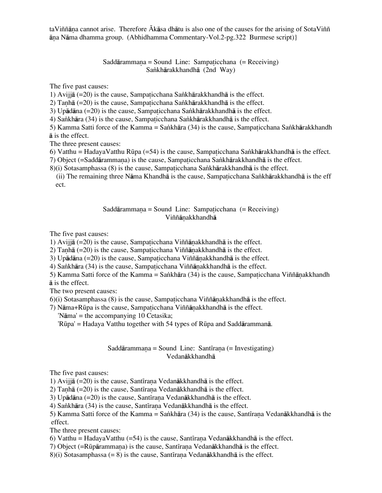taViññãna cannot arise. Therefore Ákāsa dhātu is also one of the causes for the arising of SotaViññ åˆa Nåma dhamma group. (Abhidhamma Commentary-Vol.2-pg.322 Burmese script)}

### Saddārammana = Sound Line: Sampaticchana (= Receiving) Sankhārakkhandhā (2nd Way)

The five past causes:

1) Avijjā (=20) is the cause, Sampaticchana Sankhārakkhandhā is the effect.

2) Tanhā (=20) is the cause, Sampaticchana Sankhārakkhandhā is the effect.

3) Up $\bar{a}$ dāna (=20) is the cause, Sampaticchana Sankhārakkhandhā is the effect.

4) Sankhāra (34) is the cause, Sampaticchana Sankhārakkhandhā is the effect.

5) Kamma Satti force of the Kamma = Sankhāra (34) is the cause, Sampaticchana Sankhārakkhandh å is the effect.

The three present causes:

6) Vatthu = HadayaVatthu Rūpa (=54) is the cause, Sampaticchana Sankhārakkhandhā is the effect.

7) Object (=Saddārammana) is the cause, Sampaticchana Sankhārakkhandhā is the effect.

8)(i) Sotasamphassa (8) is the cause, Sampaticchana Sankhārakkhandhā is the effect.

(ii) The remaining three Nāma Khandhā is the cause, Sampaticchana Sankhārakkhandhā is the eff ect.

#### Saddārammana = Sound Line: Sampaticchana (= Receiving) Viññānakkhandhā

The five past causes:

1) Avijjā  $(=20)$  is the cause, Sampaticchana Viññānakkhandhā is the effect.

2) Tanhā  $(=20)$  is the cause, Sampaticchana Viññānakkhandhā is the effect.

3) Upādāna  $(=20)$  is the cause, Sampaticchana Viññānakkhandhā is the effect.

4) Sankhāra (34) is the cause, Sampaticchana Viññānakkhandhā is the effect.

5) Kamma Satti force of the Kamma = Sankhāra (34) is the cause, Sampaticchana Viññānakkhandh å is the effect.

The two present causes:

 $6$ )(i) Sotasamphassa (8) is the cause, Sampaticchana Viññānakkhandhā is the effect.

7) Nāma+Rūpa is the cause, Sampaticchana Viññānakkhandhā is the effect.

'Nåma' = the accompanying 10 Cetasika;

'RËpa' = Hadaya Vatthu together with 54 types of RËpa and Saddårammanå.

### Saddārammaṇa = Sound Line: Santīraṇa (= Investigating) Vedanåkkhandhå

The five past causes:

1) Avijjā  $(=20)$  is the cause, Santīrana Vedanākkhandhā is the effect.

2) Tanhā (=20) is the cause, Santīrana Vedanākkhandhā is the effect.

3) Up $\bar{a}$ dāna (=20) is the cause, Santīrana Vedanākkhandhā is the effect.

4) Sankhāra  $(34)$  is the cause, Santīrana Vedanākkhandhā is the effect.

5) Kamma Satti force of the Kamma = Sankhāra (34) is the cause, Santīrana Vedanākkhandhā is the effect.

The three present causes:

6) Vatthu = HadayaVatthu (=54) is the cause, Santīrana Vedanākkhandhā is the effect.

7) Object (=Rūpārammana) is the cause, Santīrana Vedanākkhandhā is the effect.

8)(i) Sotasamphassa (= 8) is the cause, Santīrana Vedanākkhandhā is the effect.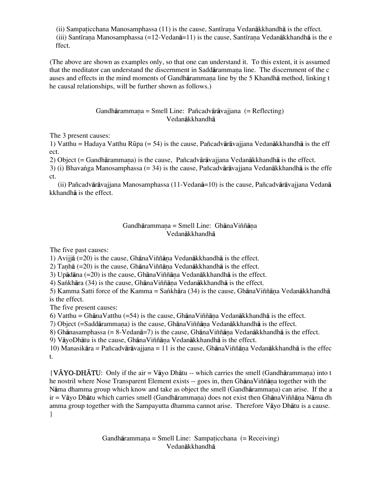(ii) Sampaticchana Manosamphassa  $(11)$  is the cause, Santīrana Vedanākkhandhā is the effect. (iii) Santīrana Manosamphassa (=12-Vedanā=11) is the cause, Santīrana Vedanākkhandhā is the e ffect.

(The above are shown as examples only, so that one can understand it. To this extent, it is assumed that the meditator can understand the discernment in Saddārammana line. The discernment of the c auses and effects in the mind moments of Gandhārammana line by the 5 Khandhā method, linking t he causal relationships, will be further shown as follows.)

> Gandhārammana = Smell Line: Pañcadvārāvajiana (= Reflecting) Vedanåkkhandhå

The 3 present causes:

1) Vatthu = Hadaya Vatthu Rūpa (= 54) is the cause, Pañcadvārāvajjana Vedanākkhandhā is the eff ect.

2) Object (= Gandhārammana) is the cause, Pañcadvārāvajjana Vedanākkhandhā is the effect.

3) (i) Bhava∫ga Manosamphassa (= 34) is the cause, Pañcadvåråvajjana Vedanåkkhandhå is the effe ct.

 (ii) Pañcadvåråvajjana Manosamphassa (11-Vedanå=10) is the cause, Pañcadvåråvajjana Vedanå kkhandhå is the effect.

### Gandhārammana = Smell Line: GhānaViññāna Vedanåkkhandhå

The five past causes:

1) Avijjā  $(=20)$  is the cause, GhānaViññāna Vedanākkhandhā is the effect.

2) Tanhā  $(=20)$  is the cause, GhānaViññāṇa Vedanākkhandhā is the effect.

3) Up $\bar{a}$ dāna (=20) is the cause, GhānaViññāna Vedanākkhandhā is the effect.

4) Sankhāra (34) is the cause, Ghāna Viññāna Vedanākkhandhā is the effect.

5) Kamma Satti force of the Kamma = Sankhāra (34) is the cause, GhānaViññāna Vedanākkhandhā is the effect.

The five present causes:

6) Vatthu = GhānaVatthu (=54) is the cause, GhānaViññāna Vedanākkhandhā is the effect.

7) Object (=Saddārammana) is the cause, GhānaViññāna Vedanākkhandhā is the effect.

8) Ghānasamphassa (= 8-Vedanā=7) is the cause, Ghāna Viññāna Vedanākkhandhā is the effect.

9) VāvoDhātu is the cause, GhānaViññāna Vedanākkhandhā is the effect.

10) Manasikāra = Pañcadvārāvajjana = 11 is the cause, Ghāna Viññāna Vedanākkhandhā is the effec t.

 ${V\bar{A}YO\text{-}DH\bar{A}TU:}$  Only if the air = Vayo Dhatu -- which carries the smell (Gandharammana) into t he nostril where Nose Transparent Element exists -- goes in, then GhānaViññāna together with the Nāma dhamma group which know and take as object the smell (Gandhārammana) can arise. If the a  $ir = V\bar{a}$ yo Dhātu which carries smell (Gandhārammana) does not exist then GhānaViññāna Nāma dh amma group together with the Sampayutta dhamma cannot arise. Therefore Våyo Dhåtu is a cause. }

> Gandhārammana = Smell Line: Sampaticchana (= Receiving) Vedanåkkhandhå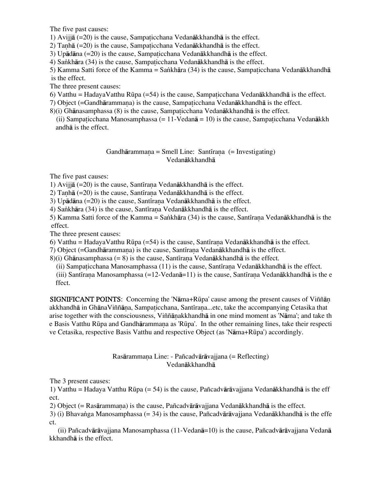The five past causes:

1) Avijjā  $(=20)$  is the cause, Sampaticchana Vedanākkhandhā is the effect.

2) Tanhā  $(=20)$  is the cause, Sampaticchana Vedanākkhandhā is the effect.

3) Upādāna  $(=20)$  is the cause, Sampaticchana Vedanākkhandhā is the effect.

4) Sankhāra (34) is the cause, Sampaticchana Vedanākkhandhā is the effect.

5) Kamma Satti force of the Kamma = Sankhāra (34) is the cause, Sampaticchana Vedanākkhandhā is the effect.

The three present causes:

6) Vatthu = HadayaVatthu Rūpa (=54) is the cause, Sampaticchana Vedan $\bar{a}$ kkhandh $\bar{a}$  is the effect.

7) Object (=Gandhārammana) is the cause, Sampaticchana Vedanākkhandhā is the effect.

- $8$ )(i) Ghānasamphassa (8) is the cause, Sampaticchana Vedanākkhandhā is the effect.
	- (ii) Sampaticchana Manosamphassa  $(= 11$ -Vedan $\bar{a} = 10$ ) is the cause, Sampaticchana Vedan $\bar{a}$ kkh andhå is the effect.

# Gandhārammana = Smell Line: Santīrana (= Investigating) Vedanåkkhandhå

The five past causes:

1) Avijjā  $(=20)$  is the cause, Santīrana Vedanākkhandhā is the effect.

2) Tanhā  $(=20)$  is the cause, Santīrana Vedanākkhandhā is the effect.

3) Up $\bar{a}$ dāna (=20) is the cause, Santīrana Vedanākkhandhā is the effect.

4) Sankhāra (34) is the cause, Santīrana Vedanākkhandhā is the effect.

5) Kamma Satti force of the Kamma = Sankhāra (34) is the cause, Santīrana Vedanākkhandhā is the effect.

The three present causes:

6) Vatthu = HadayaVatthu Rūpa (=54) is the cause, Santīrana Vedanākkhandhā is the effect.

7) Object (=Gandhārammana) is the cause, Santīrana Vedanākkhandhā is the effect.

8)(i) Ghānasamphassa (= 8) is the cause, Santīrana Vedanākkhandhā is the effect.

(ii) Sampaticchana Manosamphassa  $(11)$  is the cause, Santīraṇa Vedanākkhandhā is the effect.

(iii) Santīrana Manosamphassa (=12-Vedanā=11) is the cause, Santīrana Vedanākkhandhā is the e ffect.

SIGNIFICANT POINTS: Concerning the 'Nāma+Rūpa' cause among the present causes of Viññān akkhandhā in GhānaViññāna, Sampaticchana, Santīrana...etc, take the accompanying Cetasika that arise together with the consciousness, Viññānakkhandhā in one mind moment as 'Nāma'; and take th e Basis Vatthu Rūpa and Gandhārammana as 'Rūpa'. In the other remaining lines, take their respecti ve Cetasika, respective Basis Vatthu and respective Object (as 'Nåma+RËpa') accordingly.

# Rasårammaˆa Line: - Pañcadvåråvajjana (= Reflecting) Vedanåkkhandhå

The 3 present causes:

1) Vatthu = Hadaya Vatthu Rūpa (= 54) is the cause, Pañcadvārāvajjana Vedanākkhandhā is the eff ect.

2) Object (= Rasārammana) is the cause, Pañcadvārāvajiana Vedanākkhandhā is the effect.

3) (i) Bhavanga Manosamphassa (= 34) is the cause, Pañcadvārāvajjana Vedanākkhandhā is the effe ct.

 (ii) Pañcadvåråvajjana Manosamphassa (11-Vedanå=10) is the cause, Pañcadvåråvajjana Vedanå kkhandhå is the effect.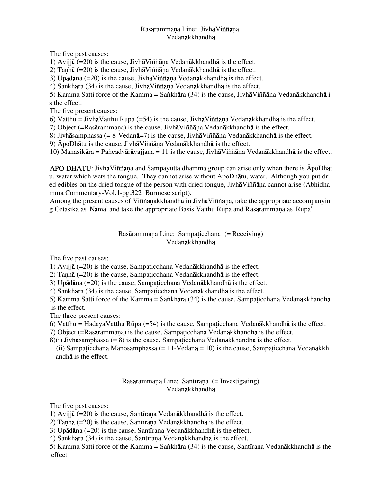# Rasārammana Line: Jivhā Viññāna Vedanåkkhandhå

The five past causes:

1) Avijjā  $(=20)$  is the cause, Jivhā Viññāna Vedanākkhandhā is the effect.

2) Tanhā (=20) is the cause, Jivhā Viññāna Vedanākkhandhā is the effect.

3) Upādāna  $(=20)$  is the cause, Jivhā Viññāna Vedanākkhandhā is the effect.

4) Sankhāra (34) is the cause, Jivhā Viññāna Vedanākkhandhā is the effect.

5) Kamma Satti force of the Kamma = Sankhāra (34) is the cause, JivhāViññāna Vedanākkhandhā i s the effect.

The five present causes:

6) Vatthu = JivhāVatthu Rūpa (=54) is the cause, JivhāViññāna Vedanākkhandhā is the effect.

7) Object (=Rasārammana) is the cause, Jivhā Viññāna Vedanākkhandhā is the effect.

8) Jivhāsamphassa (= 8-Vedanā=7) is the cause, Jivhā Viññāna Vedanākkhandhā is the effect.

9)  $\bar{A}$ po $Dh$ ātu is the cause, Jivhā $V$ iññāna Vedanākkhandhā is the effect.

10) Manasikāra = Pañcadvārāvajjana = 11 is the cause, Jivhā Viññāna Vedanākkhandhā is the effect.

 $\overline{A}PO-DH\overline{A}TU$ : Jivhā $V$ iññāna and Sampayutta dhamma group can arise only when there is  $\overline{A}$ poDhāt u, water which wets the tongue. They cannot arise without ApoDhåtu, water. Although you put dri ed edibles on the dried tongue of the person with dried tongue, Jivhā Viññāna cannot arise (Abhidha mma Commentary-Vol.1-pg.322 Burmese script).

Among the present causes of Viññānakkhandhā in Jivhā Viññāna, take the appropriate accompanyin g Cetasika as 'Nāma' and take the appropriate Basis Vatthu Rūpa and Rasārammana as 'Rūpa'.

## Rasārammaṇa Line: Sampaticchana (= Receiving) Vedanåkkhandhå

The five past causes:

1) Avijjā  $(=20)$  is the cause, Sampaticchana Vedanākkhandhā is the effect.

2) Tanhā ( $=20$ ) is the cause, Sampaticchana Vedanākkhandhā is the effect.

3) Upādāna  $(=20)$  is the cause, Sampaticchana Vedanākkhandhā is the effect.

4) Sankhāra (34) is the cause, Sampaticchana Vedanākkhandhā is the effect.

5) Kamma Satti force of the Kamma = Sankhāra (34) is the cause, Sampaticchana Vedanākkhandhā is the effect.

The three present causes:

6) Vatthu = Hadaya Vatthu Rūpa (=54) is the cause, Sampaticchana Vedan $\bar{a}$ kkhandh $\bar{a}$  is the effect.

7) Object (=Rasārammana) is the cause, Sampaticchana Vedanākkhandhā is the effect.

 $8$ )(i) Jivhāsamphassa (= 8) is the cause, Sampaticchana Vedanākkhandhā is the effect.

(ii) Sampaticchana Manosamphassa  $(= 11$ -Vedan $\bar{a} = 10$ ) is the cause, Sampaticchana Vedan $\bar{a}$ kkh andhå is the effect.

# Rasārammana Line: Santīrana (= Investigating) Vedanåkkhandhå

The five past causes:

1) Avijjā  $(=20)$  is the cause, Santīrana Vedanākkhandhā is the effect.

2) Tanhā ( $=20$ ) is the cause, Santīrana Vedanākkhandhā is the effect.

3) Up $\bar{a}$ dāna (=20) is the cause, Santīrana Vedanākkhandhā is the effect.

4) Sankhāra (34) is the cause, Santīrana Vedanākkhandhā is the effect.

5) Kamma Satti force of the Kamma = Sankhāra (34) is the cause, Santīrana Vedanākkhandhā is the effect.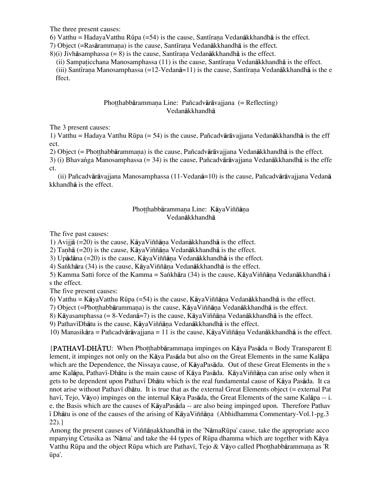The three present causes:

6) Vatthu = HadayaVatthu Rūpa (=54) is the cause, Santīrana Vedanākkhandhā is the effect.

7) Object (=Rasārammana) is the cause, Santīrana Vedanākkhandhā is the effect.

 $8$ )(i) Jivhāsamphassa (= 8) is the cause, Santīrana Vedanākkhandhā is the effect.

(ii) Sampaticchana Manosamphassa  $(11)$  is the cause, Santīrana Vedanākkhandhā is the effect.

(iii) Santīrana Manosamphassa (=12-Vedanā=11) is the cause, Santīrana Vedanākkhandhā is the e ffect.

# Photthabbārammana Line: Pañcadvārāvajjana (= Reflecting) Vedanåkkhandhå

The 3 present causes:

1) Vatthu = Hadaya Vatthu RËpa (= 54) is the cause, Pañcadvåråvajjana Vedanåkkhandhå is the eff ect.

2) Object (= Photthabbārammana) is the cause, Pañcadvārāvajjana Vedanākkhandhā is the effect.

3) (i) Bhavanga Manosamphassa (= 34) is the cause, Pañcadvārāvajjana Vedanākkhandhā is the effe ct.

 (ii) Pañcadvåråvajjana Manosamphassa (11-Vedanå=10) is the cause, Pañcadvåråvajjana Vedanå kkhandhå is the effect.

# Photthabbārammana Line: KāyaViññāna Vedanåkkhandhå

The five past causes:

1) Avijjā  $(=20)$  is the cause, Kāya Viññāna Vedanākkhandhā is the effect.

2) Tanhā (=20) is the cause, KāyaViññāna Vedanākkhandhā is the effect.

3) Upādāna  $(=20)$  is the cause, KāyaViññāna Vedanākkhandhā is the effect.

4) Sankhāra (34) is the cause, KāyaViññāṇa Vedanākkhandhā is the effect.

5) Kamma Satti force of the Kamma = Sankhāra (34) is the cause, KāyaViññāna Vedanākkhandhā i s the effect.

The five present causes:

6) Vatthu = KāyaVatthu Rūpa (=54) is the cause, KāyaViññāna Vedanākkhandhā is the effect.

7) Object (=Photthabbārammana) is the cause, KāyaViññāna Vedanākkhandhā is the effect.

8) Kāyasamphassa (= 8-Vedanā=7) is the cause, KāyaViññāna Vedanākkhandhā is the effect.

9) Pathav $\overline{1}$ Dhātu is the cause, KāyaViññāna Vedanākkhandhā is the effect.

10) Manasikāra = Pañcadvārāvajjana = 11 is the cause, Kāya Viññāna Vedanākkhandhā is the effect.

 ${PATHAVI-DHÅTU:}$  When Photthabbarammana impinges on Kāya Pasāda = Body Transparent E lement, it impinges not only on the Kåya Pasåda but also on the Great Elements in the same Kalåpa which are the Dependence, the Nissaya cause, of KåyaPasåda. Out of these Great Elements in the s ame Kalāpa, Pathavī-Dhātu is the main cause of Kāya Pasāda. Kāya Viññāṇa can arise only when it gets to be dependent upon Pathavi Dhātu which is the real fundamental cause of Kāya Pasāda. It ca nnot arise without Pathavī dhātu. It is true that as the external Great Elements object (= external Pat havī, Tejo, Vāyo) impinges on the internal Kāya Pasāda, the Great Elements of the same Kalāpa -- i. e. the Basis which are the causes of KåyaPasåda -- are also being impinged upon. Therefore Pathav  $\bar{p}$  Dhātu is one of the causes of the arising of KāyaViññāna (Abhidhamma Commentary-Vol.1-pg.3) 22).}

Among the present causes of Viññānakkhandhā in the 'NāmaRūpa' cause, take the appropriate acco mpanying Cetasika as 'Nåma' and take the 44 types of RËpa dhamma which are together with Kåya Vatthu Rūpa and the object Rūpa which are Pathavī, Tejo & Vāyo called Photthabbārammana as 'R ūpa'.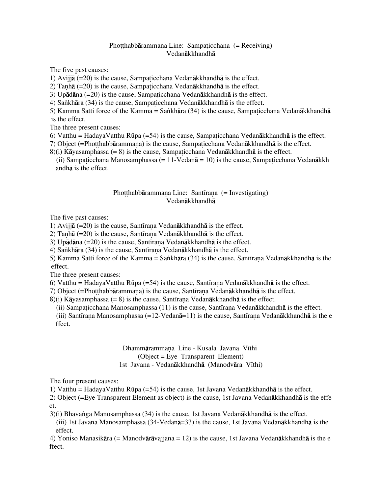### Photthabbārammana Line: Sampaticchana (= Receiving) Vedanåkkhandhå

The five past causes:

1) Avijjā  $(=20)$  is the cause, Sampaticchana Vedanākkhandhā is the effect.

2) Tanhā  $(=20)$  is the cause, Sampaticchana Vedanākkhandhā is the effect.

3) Up $\bar{a}$ dāna (=20) is the cause, Sampaticchana Vedanākkhandhā is the effect.

4) Sankhāra (34) is the cause, Sampaticchana Vedanākkhandhā is the effect.

5) Kamma Satti force of the Kamma = Sankhāra (34) is the cause, Sampaticchana Vedanākkhandhā is the effect.

The three present causes:

6) Vatthu = HadayaVatthu Rūpa (=54) is the cause, Sampaticchana Vedanākkhandhā is the effect.

7) Object (=Photthabbārammaṇa) is the cause, Sampa ticchana Vedanākkhandhā is the effect.

 $8$ )(i) Kāyasamphassa (= 8) is the cause, Sampaticchana Vedanākkhandhā is the effect.

(ii) Sampaticchana Manosamphassa  $(= 11$ -Vedan $\bar{a} = 10$ ) is the cause, Sampaticchana Vedan $\bar{a}$ kkh andhå is the effect.

#### Photthabbārammana Line: Santīrana (= Investigating) Vedanåkkhandhå

The five past causes:

1) Avijjā  $(=20)$  is the cause, Santīrana Vedanākkhandhā is the effect.

2) Tanhā  $(=20)$  is the cause, Santīrana Vedanākkhandhā is the effect.

3) Upādāna  $(=20)$  is the cause, Santīrana Vedanākkhandhā is the effect.

4) Sankhāra (34) is the cause, Santīrana Vedanākkhandhā is the effect.

5) Kamma Satti force of the Kamma = Sankhāra (34) is the cause, Santīrana Vedanākkhandhā is the effect.

The three present causes:

6) Vatthu = HadayaVatthu Rūpa (=54) is the cause, Santīrana Vedanākkhandhā is the effect.

7) Object (=Photthabbārammana) is the cause, Santīrana Vedanākkhandhā is the effect.

 $8$ (i) Kāyasamphassa (= 8) is the cause, Santīrana Vedanākkhandhā is the effect.

(ii) Sampaticchana Manosamphassa  $(11)$  is the cause, Santīrana Vedanākkhandhā is the effect.

(iii) Santīrana Manosamphassa (=12-Vedanā=11) is the cause, Santīrana Vedanākkhandhā is the e ffect.

### Dhammārammana Line - Kusala Javana Vīthi (Object = Eye Transparent Element) 1st Javana - Vedanākkhandhā (Manodvāra Vīthi)

The four present causes:

1) Vatthu = HadayaVatthu RËpa (=54) is the cause, 1st Javana Vedanåkkhandhå is the effect.

2) Object (=Eye Transparent Element as object) is the cause, 1st Javana Vedanåkkhandhå is the effe ct.

3)(i) Bhava∫ga Manosamphassa (34) is the cause, 1st Javana Vedanåkkhandhå is the effect. (iii) 1st Javana Manosamphassa (34-Vedanå=33) is the cause, 1st Javana Vedanåkkhandhå is the effect.

4) Yoniso Manasikåra (= Manodvåråvajjana = 12) is the cause, 1st Javana Vedanåkkhandhå is the e ffect.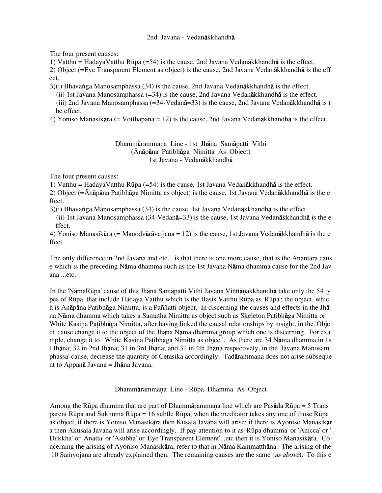### 2nd Javana - Vedanåkkhandhå

The four present causes:

1) Vatthu = HadayaVatthu Rūpa (=54) is the cause, 2nd Javana Vedan $\bar{a}$ kkhandh $\bar{a}$  is the effect.

2) Object (=Eye Transparent Element as object) is the cause, 2nd Javana Vedanåkkhandhå is the eff ect.

3)(i) Bhava∫ga Manosamphassa (34) is the cause, 2nd Javana Vedanåkkhandhå is the effect.

(ii) 1st Javana Manosamphassa  $(=34)$  is the cause, 2nd Javana Vedan $\bar{a}$ kkhandh $\bar{a}$  is the effect. (iii) 2nd Javana Manosamphassa (=34-Vedanå=33) is the cause, 2nd Javana Vedanåkkhandhå is t he effect.

4) Yoniso Manasikåra (= Votthapana = 12) is the cause, 2nd Javana Vedanåkkhandhå is the effect.

Dhammārammaṇa Line - 1st Jhāna Samāpatti Vīthi (Ānāpāna Patibhāga Nimitta As Object) 1st Javana - Vedanåkkhandhå

The four present causes:

1) Vatthu = HadayaVatthu RËpa (=54) is the cause, 1st Javana Vedanåkkhandhå is the effect.

2) Object ( $=\bar{A}n\bar{a}p\bar{a}n$ a Patibh $\bar{a}g$ a Nimitta as object) is the cause, 1st Javana Vedan $\bar{a}$ kkhandh $\bar{a}$  is the e ffect.

3)(i) Bhava∫ga Manosamphassa (34) is the cause, 1st Javana Vedanåkkhandhå is the effect.

(ii) 1st Javana Manosamphassa (34-Vedanå=33) is the cause, 1st Javana Vedanåkkhandhå is the e ffect.

4) Yoniso Manasikåra (= Manodvåråvajjana = 12) is the cause, 1st Javana Vedanåkkhandhå is the e ffect.

The only difference in 2nd Javana and etc... is that there is one more cause, that is the Anantara caus e which is the preceding Nåma dhamma such as the 1st Javana Nåma dhamma cause for the 2nd Jav ana ...etc.

In the 'NāmaRūpa' cause of this Jhāna Samāpatti Vīthi Javana Viññānakkhandhā take only the 54 ty pes of RËpa that include Hadaya Vatthu which is the Basis Vatthu RËpa as 'RËpa'; the object, whic h is Ánāpāna Patibhāga Nimitta, is a Paññatti object. In discerning the causes and effects in the Jhā na Nāma dhamma which takes a Samatha Nimitta as object such as Skeleton Patibhāga Nimitta or White Kasina Patibhāga Nimitta, after having linked the causal relationships by insight, in the 'Obje ct' cause change it to the object of the Jhåna Nåma dhamma group which one is discerning. For exa mple, change it to ' White Kasina Patibhāga Nimitta as object'. As there are 34 Nāma dhamma in 1s t Jhåna; 32 in 2nd Jhåna; 31 in 3rd Jhåna; and 31 in 4th Jhåna respectively, in the 'Javana Manosam phassa' cause, decrease the quantity of Cetasika accordingly. Tadārammana does not arise subseque nt to Appanå Javana = Jhåna Javana.

Dhammārammana Line - Rūpa Dhamma As Object

Among the Rūpa dhamma that are part of Dhammārammana line which are Pasāda Rūpa = 5 Trans parent RËpa and Sukhuma RËpa = 16 subtle RËpa, when the meditator takes any one of those RËpa as object, if there is Yoniso Manasikåra then Kusala Javana will arise; if there is Ayoniso Manasikår a then Akusala Javana will arise accordingly. If pay attention to it as 'RËpa dhamma' or 'Anicca' or ' Dukkha' or 'Anatta' or 'Asubha' or 'Eye Transparent Element'...etc then it is Yoniso Manasikåra. Co ncerning the arising of Ayoniso Manasikāra, refer to that in Nāma Kammatthāna. The arising of the 10 Samyojana are already explained then. The remaining causes are the same (as above). To this e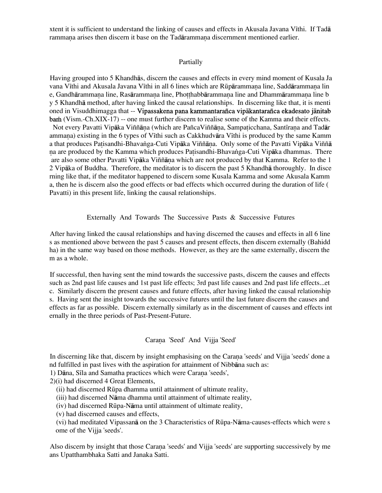xtent it is sufficient to understand the linking of causes and effects in Akusala Javana Vīthi. If Tad<del>ā</del> rammana arises then discern it base on the Tadārammana discernment mentioned earlier.

#### Partially

Having grouped into 5 Khandhås, discern the causes and effects in every mind moment of Kusala Ja vana Vīthi and Akusala Javana Vīthi in all 6 lines which are Rūpārammana line, Saddārammana lin e, Gandhārammaṇa line, Rasārammaṇa line, Photthabbārammana line and Dhammārammana line b y 5 Khandhå method, after having linked the causal relationships. In discerning like that, it is menti oned in Visuddhimagga that -- Vipassakena pana kammantarañca vipåkantarañca ekadesato jånitab bam (Vism.-Ch.XIX-17) -- one must further discern to realise some of the Kamma and their effects. Not every Pavatti Vipāka Viññāna (which are PañcaViññāna, Sampaticchana, Santīrana and Tadār ammana) existing in the 6 types of Vīthi such as Cakkhudvāra Vīthi is produced by the same Kamm a that produces Patisandhi-Bhavanga-Cuti Vipāka Viññāṇa. Only some of the Pavatti Vipāka Viññā na are produced by the Kamma which produces Patisandhi-Bhavanga-Cuti Vipāka dhammas. There are also some other Pavatti Vipāka Viññāna which are not produced by that Kamma. Refer to the 1 2 Vipåka of Buddha. Therefore, the meditator is to discern the past 5 Khandhå thoroughly. In disce rning like that, if the meditator happened to discern some Kusala Kamma and some Akusala Kamm a, then he is discern also the good effects or bad effects which occurred during the duration of life ( Pavatti) in this present life, linking the causal relationships.

Externally And Towards The Successive Pasts & Successive Futures

After having linked the causal relationships and having discerned the causes and effects in all 6 line s as mentioned above between the past 5 causes and present effects, then discern externally (Bahidd ha) in the same way based on those methods. However, as they are the same externally, discern the m as a whole.

If successful, then having sent the mind towards the successive pasts, discern the causes and effects such as 2nd past life causes and 1st past life effects; 3rd past life causes and 2nd past life effects...et c. Similarly discern the present causes and future effects, after having linked the causal relationship s. Having sent the insight towards the successive futures until the last future discern the causes and effects as far as possible. Discern externally similarly as in the discernment of causes and effects int ernally in the three periods of Past-Present-Future.

### Carana 'Seed' And Vijja 'Seed'

In discerning like that, discern by insight emphasising on the Carana 'seeds' and Vijja 'seeds' done a nd fulfilled in past lives with the aspiration for attainment of Nibbåna such as:

1) Dāna, Sīla and Samatha practices which were Caraṇa 'seeds',

2)(i) had discerned 4 Great Elements,

(ii) had discerned RËpa dhamma until attainment of ultimate reality,

(iii) had discerned Nåma dhamma until attainment of ultimate reality,

(iv) had discerned RËpa-Nåma until attainment of ultimate reality,

(v) had discerned causes and effects,

(vi) had meditated Vipassanå on the 3 Characteristics of RËpa-Nåma-causes-effects which were s ome of the Vijja 'seeds'.

Also discern by insight that those Carana 'seeds' and Vijja 'seeds' are supporting successively by me ans Upatthambhaka Satti and Janaka Satti.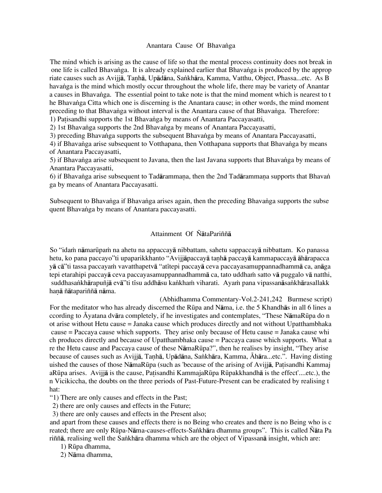### Anantara Cause Of Bhavanga

The mind which is arising as the cause of life so that the mental process continuity does not break in one life is called Bhavanga. It is already explained earlier that Bhavanga is produced by the approp riate causes such as Avijjā, Tanhā, Upādāna, Sankhāra, Kamma, Vatthu, Object, Phassa...etc. As B havanga is the mind which mostly occur throughout the whole life, there may be variety of Anantar a causes in Bhavanga. The essential point to take note is that the mind moment which is nearest to t he Bhavanga Citta which one is discerning is the Anantara cause; in other words, the mind moment preceding to that Bhavanga without interval is the Anantara cause of that Bhavanga. Therefore: 1) Patisandhi supports the 1st Bhavanga by means of Anantara Paccayasatti,

2) 1st Bhavanga supports the 2nd Bhavanga by means of Anantara Paccayasatti,

3) preceding Bhavanga supports the subsequent Bhavanga by means of Anantara Paccayasatti,

4) if Bhavanga arise subsequent to Votthapana, then Votthapana supports that Bhavanga by means of Anantara Paccayasatti,

5) if Bhavanga arise subsequent to Javana, then the last Javana supports that Bhavanga by means of Anantara Paccayasatti,

6) if Bhavanga arise subsequent to Tadārammaṇa, then the 2nd Tadārammaṇa supports that Bhavan ga by means of Anantara Paccayasatti.

Subsequent to Bhavanga if Bhavanga arises again, then the preceding Bhavanga supports the subse quent Bhavanga by means of Anantara paccayasatti.

# Attainment Of ÑåtaPariññå

So "idam nāmarūpam na ahetu na appaccayā nibbattam, sahetu sappaccayā nibbattam. Ko panassa hetu, ko pana paccayo"ti upaparikkhanto "Avijjāpaccayā tanhā paccayā kammapaccayā āhārapacca yā cā"ti tassa paccayam vavatthapetvā "atītepi paccayā ceva paccayasamuppannadhammā ca, anāga tepi etarahipi paccayā ceva paccayasamuppannadhammā ca, tato uddham satto vā puggalo vā natthi, suddhasankhārapuñjā evā"ti tīsu addhāsu kankham viharati. Ayam pana vipassanāsankhārasallakk hanā ñātapariññā nāma.

(Abhidhamma Commentary-Vol.2-241,242 Burmese script) For the meditator who has already discerned the RËpa and Nåma, i.e. the 5 Khandhås in all 6 lines a ccording to Āyatana dvāra completely, if he investigates and contemplates, "These NāmaRūpa do n ot arise without Hetu cause = Janaka cause which produces directly and not without Upatthambhaka cause = Paccaya cause which supports. They arise only because of Hetu cause = Janaka cause whi ch produces directly and because of Upatthambhaka cause = Paccaya cause which supports. What a re the Hetu cause and Paccaya cause of these NāmaRūpa?", then he realises by insight, "They arise because of causes such as Avijjā, Tanhā, Upādāna, Sankhāra, Kamma, Āhāra...etc.". Having disting uished the causes of those NāmaRūpa (such as 'because of the arising of Avijia, Patisandhi Kammaj aRūpa arises. Avijjā is the cause, Patisandhi KammajaRūpa Rūpakkhandhā is the effect'....etc.), the n Vicikiccha, the doubts on the three periods of Past-Future-Present can be eradicated by realising t hat:

"1) There are only causes and effects in the Past;

2) there are only causes and effects in the Future;

3) there are only causes and effects in the Present also;

and apart from these causes and effects there is no Being who creates and there is no Being who is c reated; there are only Rūpa-Nāma-causes-effects-Sankhāra dhamma groups". This is called Ñāta Pa riññã, realising well the Sankhāra dhamma which are the object of Vipassanã insight, which are:

- 1) RËpa dhamma,
- 2) Nåma dhamma,